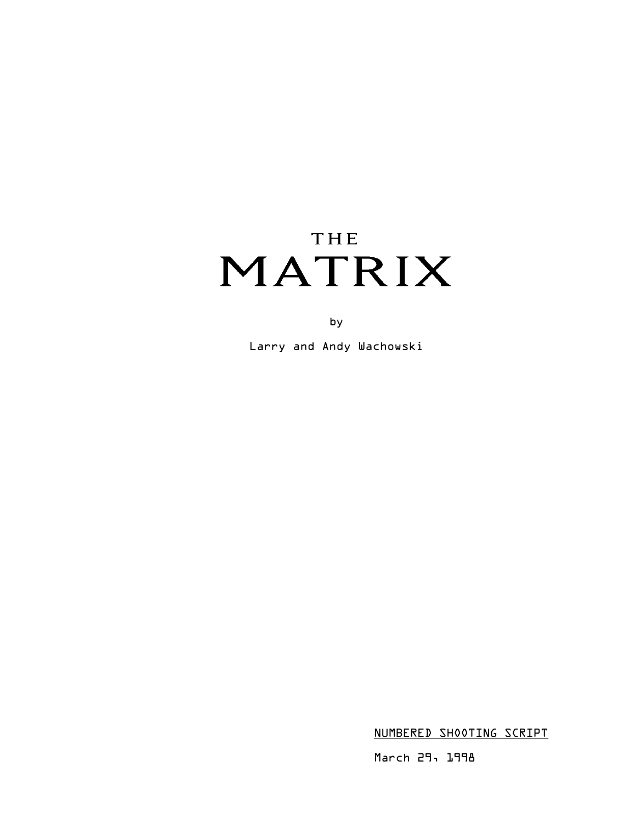# THE MATRIX

by

Larry and Andy Wachowski

NUMBERED SHOOTING SCRIPT

March 29, 1998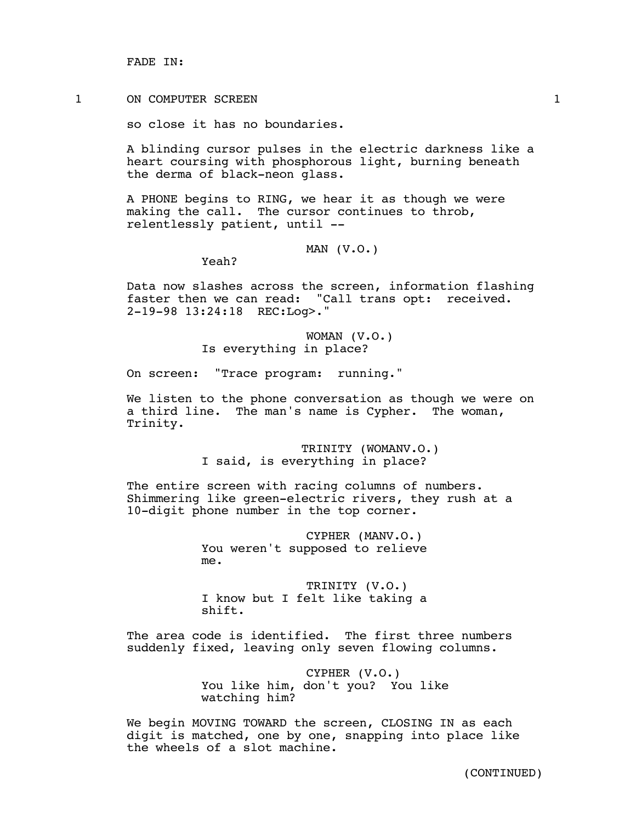FADE IN:

#### 1 ON COMPUTER SCREEN 1

so close it has no boundaries.

A blinding cursor pulses in the electric darkness like a heart coursing with phosphorous light, burning beneath the derma of black-neon glass.

A PHONE begins to RING, we hear it as though we were making the call. The cursor continues to throb, relentlessly patient, until --

MAN (V.O.)

Yeah?

Data now slashes across the screen, information flashing faster then we can read: "Call trans opt: received. 2-19-98 13:24:18 REC:Log>."

> WOMAN (V.O.) Is everything in place?

On screen: "Trace program: running."

We listen to the phone conversation as though we were on a third line. The man's name is Cypher. The woman, Trinity.

> TRINITY (WOMANV.O.) I said, is everything in place?

The entire screen with racing columns of numbers. Shimmering like green-electric rivers, they rush at a 10-digit phone number in the top corner.

> CYPHER (MANV.O.) You weren't supposed to relieve me.

> TRINITY (V.O.) I know but I felt like taking a shift.

The area code is identified. The first three numbers suddenly fixed, leaving only seven flowing columns.

> CYPHER (V.O.) You like him, don't you? You like watching him?

We begin MOVING TOWARD the screen, CLOSING IN as each digit is matched, one by one, snapping into place like the wheels of a slot machine.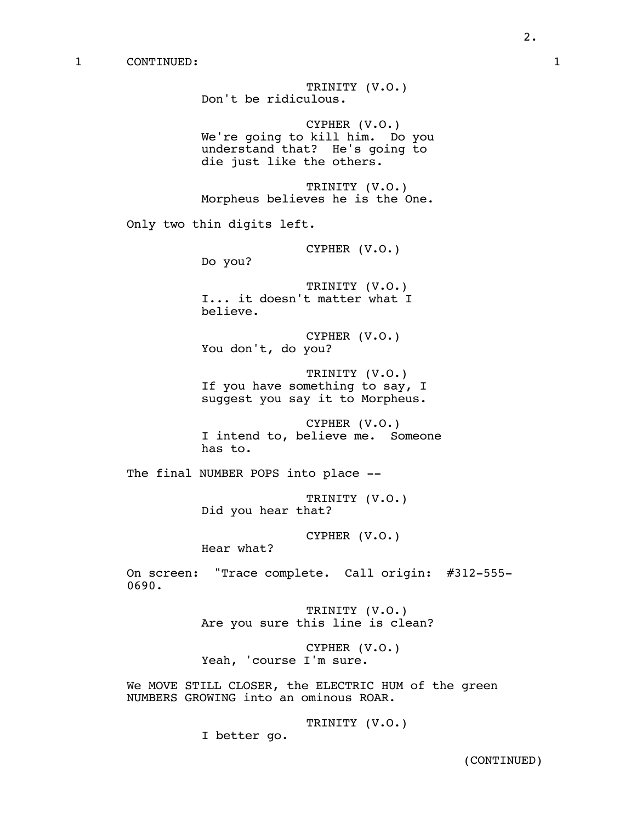TRINITY (V.O.) Don't be ridiculous. CYPHER (V.O.) We're going to kill him. Do you understand that? He's going to die just like the others. TRINITY (V.O.) Morpheus believes he is the One. Only two thin digits left. CYPHER (V.O.) Do you? TRINITY (V.O.) I... it doesn't matter what I believe. CYPHER (V.O.) You don't, do you? TRINITY (V.O.) If you have something to say, I suggest you say it to Morpheus. CYPHER (V.O.) I intend to, believe me. Someone has to. The final NUMBER POPS into place --TRINITY (V.O.) Did you hear that? CYPHER (V.O.) Hear what? On screen: "Trace complete. Call origin: #312-555- 0690. TRINITY (V.O.) Are you sure this line is clean? CYPHER (V.O.) Yeah, 'course I'm sure. We MOVE STILL CLOSER, the ELECTRIC HUM of the green NUMBERS GROWING into an ominous ROAR. TRINITY (V.O.)

I better go.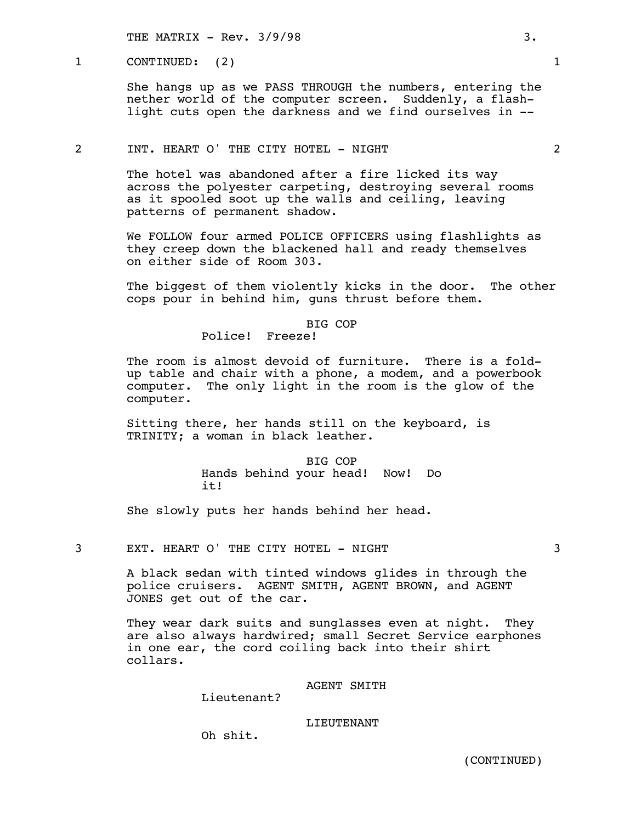THE MATRIX  $-$  Rev.  $3/9/98$  3.

# 1 CONTINUED: (2) 1

She hangs up as we PASS THROUGH the numbers, entering the nether world of the computer screen. Suddenly, a flashlight cuts open the darkness and we find ourselves in --

# 2 INT. HEART O' THE CITY HOTEL - NIGHT 2

The hotel was abandoned after a fire licked its way across the polyester carpeting, destroying several rooms as it spooled soot up the walls and ceiling, leaving patterns of permanent shadow.

We FOLLOW four armed POLICE OFFICERS using flashlights as they creep down the blackened hall and ready themselves on either side of Room 303.

The biggest of them violently kicks in the door. The other cops pour in behind him, guns thrust before them.

#### BIG COP

Police! Freeze!

The room is almost devoid of furniture. There is a foldup table and chair with a phone, a modem, and a powerbook computer. The only light in the room is the glow of the computer.

Sitting there, her hands still on the keyboard, is TRINITY; a woman in black leather.

# BIG COP Hands behind your head! Now! Do it!

She slowly puts her hands behind her head.

# 3 EXT. HEART O' THE CITY HOTEL - NIGHT 3

A black sedan with tinted windows glides in through the police cruisers. AGENT SMITH, AGENT BROWN, and AGENT JONES get out of the car.

They wear dark suits and sunglasses even at night. They are also always hardwired; small Secret Service earphones in one ear, the cord coiling back into their shirt collars.

# AGENT SMITH

Lieutenant?

#### LIEUTENANT

Oh shit.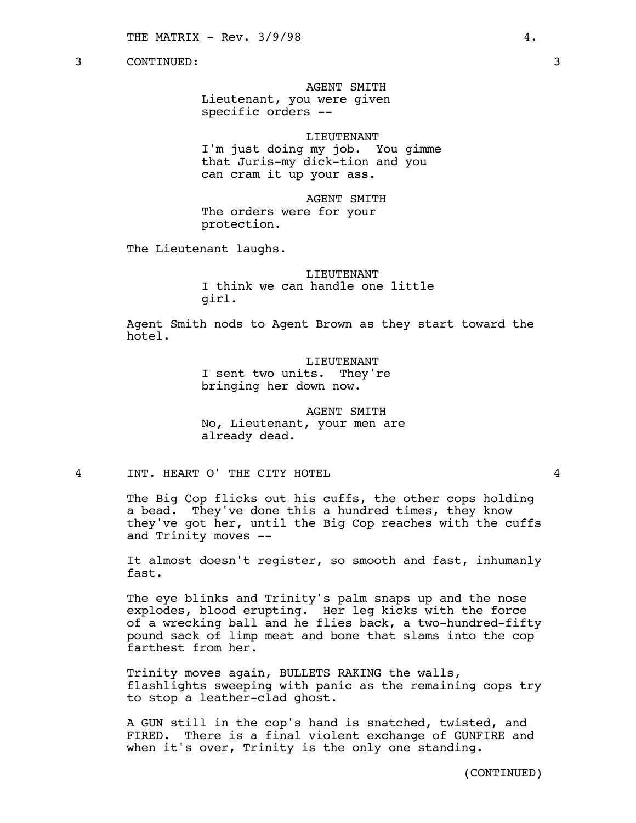3 CONTINUED: 3

AGENT SMITH Lieutenant, you were given specific orders --

# LIEUTENANT

I'm just doing my job. You gimme that Juris-my dick-tion and you can cram it up your ass.

AGENT SMITH The orders were for your protection.

The Lieutenant laughs.

# LIEUTENANT

I think we can handle one little girl.

Agent Smith nods to Agent Brown as they start toward the hotel.

LIEUTENANT

I sent two units. They're bringing her down now.

AGENT SMITH

No, Lieutenant, your men are already dead.

4 INT. HEART O' THE CITY HOTEL 4

The Big Cop flicks out his cuffs, the other cops holding a bead. They've done this a hundred times, they know they've got her, until the Big Cop reaches with the cuffs and Trinity moves --

It almost doesn't register, so smooth and fast, inhumanly fast.

The eye blinks and Trinity's palm snaps up and the nose explodes, blood erupting. Her leg kicks with the force of a wrecking ball and he flies back, a two-hundred-fifty pound sack of limp meat and bone that slams into the cop farthest from her.

Trinity moves again, BULLETS RAKING the walls, flashlights sweeping with panic as the remaining cops try to stop a leather-clad ghost.

A GUN still in the cop's hand is snatched, twisted, and FIRED. There is a final violent exchange of GUNFIRE and when it's over, Trinity is the only one standing.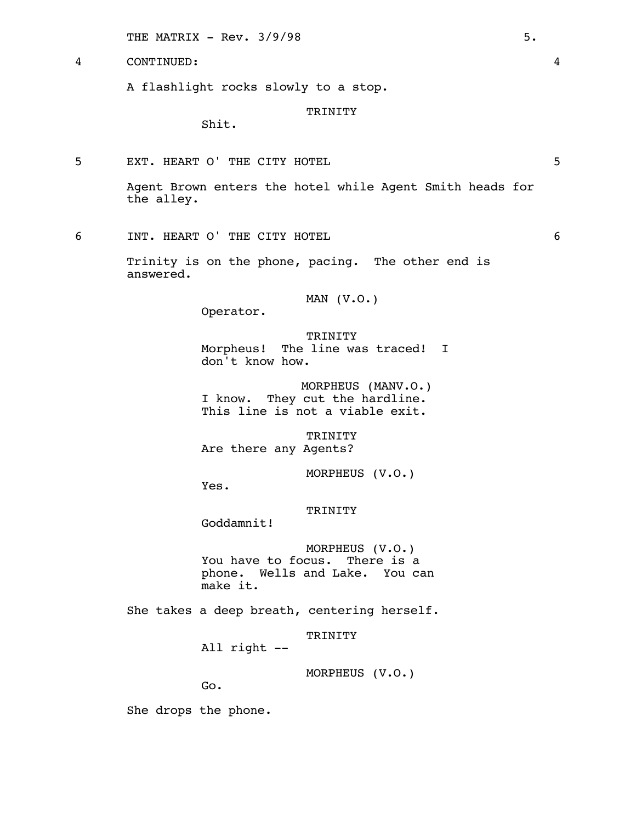THE MATRIX  $-$  Rev.  $3/9/98$  5.

4 CONTINUED: 4

A flashlight rocks slowly to a stop.

# TRINITY

Shit.

5 EXT. HEART O' THE CITY HOTEL 5

Agent Brown enters the hotel while Agent Smith heads for the alley.

6 INT. HEART O' THE CITY HOTEL 6

Trinity is on the phone, pacing. The other end is answered.

MAN (V.O.)

Operator.

TRINITY Morpheus! The line was traced! I don't know how.

 MORPHEUS (MANV.O.) I know. They cut the hardline. This line is not a viable exit.

**TRINITY** Are there any Agents?

MORPHEUS (V.O.)

Yes.

#### **TRINITY**

Goddamnit!

MORPHEUS (V.O.) You have to focus. There is a phone. Wells and Lake. You can make it.

She takes a deep breath, centering herself.

TRINITY

All right --

MORPHEUS (V.O.)

Go.

She drops the phone.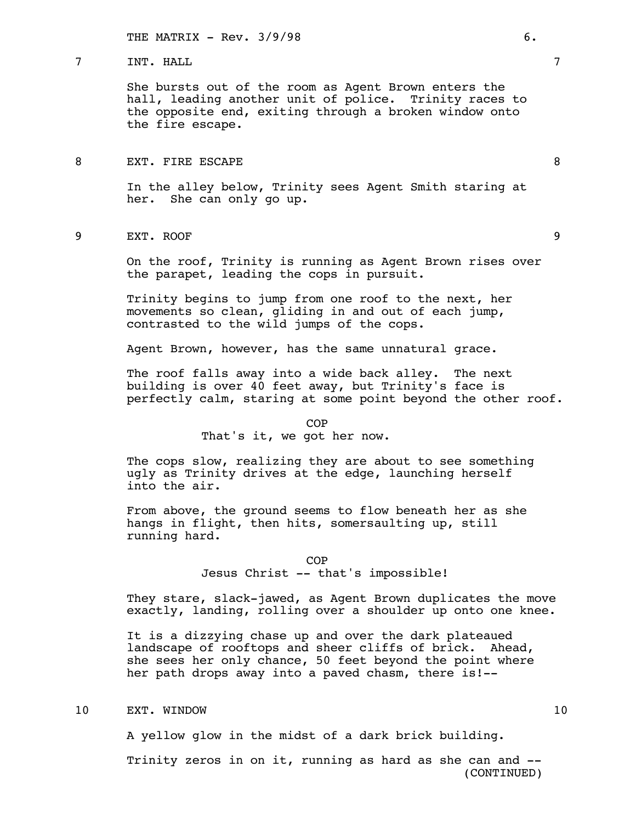THE MATRIX  $-$  Rev.  $3/9/98$  6.

7 INT. HALL 7

She bursts out of the room as Agent Brown enters the hall, leading another unit of police. Trinity races to the opposite end, exiting through a broken window onto the fire escape.

# 8 EXT. FIRE ESCAPE 8

In the alley below, Trinity sees Agent Smith staring at her. She can only go up.

9 EXT. ROOF 9

On the roof, Trinity is running as Agent Brown rises over the parapet, leading the cops in pursuit.

Trinity begins to jump from one roof to the next, her movements so clean, gliding in and out of each jump, contrasted to the wild jumps of the cops.

Agent Brown, however, has the same unnatural grace.

The roof falls away into a wide back alley. The next building is over 40 feet away, but Trinity's face is perfectly calm, staring at some point beyond the other roof.

> **COP** That's it, we got her now.

The cops slow, realizing they are about to see something ugly as Trinity drives at the edge, launching herself into the air.

From above, the ground seems to flow beneath her as she hangs in flight, then hits, somersaulting up, still running hard.

> **COP** Jesus Christ -- that's impossible!

They stare, slack-jawed, as Agent Brown duplicates the move exactly, landing, rolling over a shoulder up onto one knee.

It is a dizzying chase up and over the dark plateaued landscape of rooftops and sheer cliffs of brick. Ahead, she sees her only chance, 50 feet beyond the point where her path drops away into a paved chasm, there is!--

10 EXT. WINDOW 10

A yellow glow in the midst of a dark brick building.

Trinity zeros in on it, running as hard as she can and -- (CONTINUED)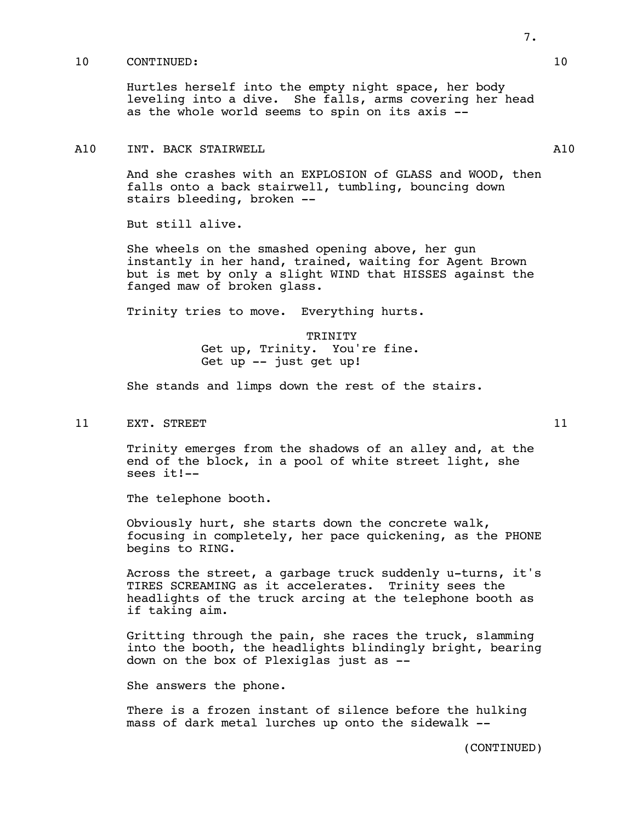### 10 CONTINUED: 10

Hurtles herself into the empty night space, her body leveling into a dive. She falls, arms covering her head as the whole world seems to spin on its axis --

# A10 INT. BACK STAIRWELL A10

And she crashes with an EXPLOSION of GLASS and WOOD, then falls onto a back stairwell, tumbling, bouncing down stairs bleeding, broken --

But still alive.

She wheels on the smashed opening above, her gun instantly in her hand, trained, waiting for Agent Brown but is met by only a slight WIND that HISSES against the fanged maw of broken glass.

Trinity tries to move. Everything hurts.

**TRINITY** Get up, Trinity. You're fine. Get up -- just get up!

She stands and limps down the rest of the stairs.

# 11 EXT. STREET 11

Trinity emerges from the shadows of an alley and, at the end of the block, in a pool of white street light, she sees it!--

The telephone booth.

Obviously hurt, she starts down the concrete walk, focusing in completely, her pace quickening, as the PHONE begins to RING.

Across the street, a garbage truck suddenly u-turns, it's TIRES SCREAMING as it accelerates. Trinity sees the headlights of the truck arcing at the telephone booth as if taking aim.

Gritting through the pain, she races the truck, slamming into the booth, the headlights blindingly bright, bearing down on the box of Plexiglas just as --

She answers the phone.

There is a frozen instant of silence before the hulking mass of dark metal lurches up onto the sidewalk --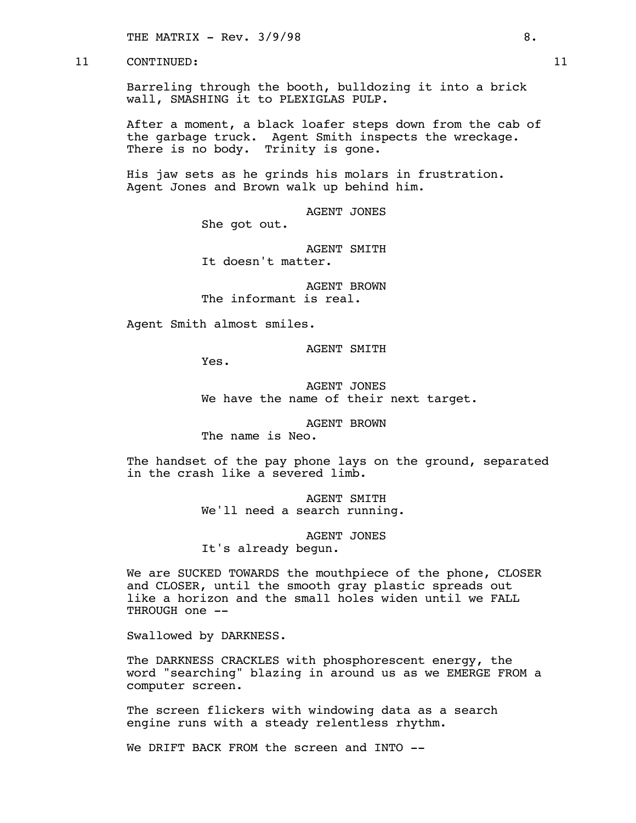11 CONTINUED: 11

Barreling through the booth, bulldozing it into a brick wall, SMASHING it to PLEXIGLAS PULP.

After a moment, a black loafer steps down from the cab of the garbage truck. Agent Smith inspects the wreckage. There is no body. Trinity is gone.

His jaw sets as he grinds his molars in frustration. Agent Jones and Brown walk up behind him.

AGENT JONES

She got out.

AGENT SMITH It doesn't matter.

AGENT BROWN The informant is real.

Agent Smith almost smiles.

AGENT SMITH

Yes.

AGENT JONES We have the name of their next target.

AGENT BROWN The name is Neo.

The handset of the pay phone lays on the ground, separated in the crash like a severed limb.

> AGENT SMITH We'll need a search running.

AGENT JONES It's already begun.

We are SUCKED TOWARDS the mouthpiece of the phone, CLOSER and CLOSER, until the smooth gray plastic spreads out like a horizon and the small holes widen until we FALL THROUGH one --

Swallowed by DARKNESS.

The DARKNESS CRACKLES with phosphorescent energy, the word "searching" blazing in around us as we EMERGE FROM a computer screen.

The screen flickers with windowing data as a search engine runs with a steady relentless rhythm.

We DRIFT BACK FROM the screen and INTO --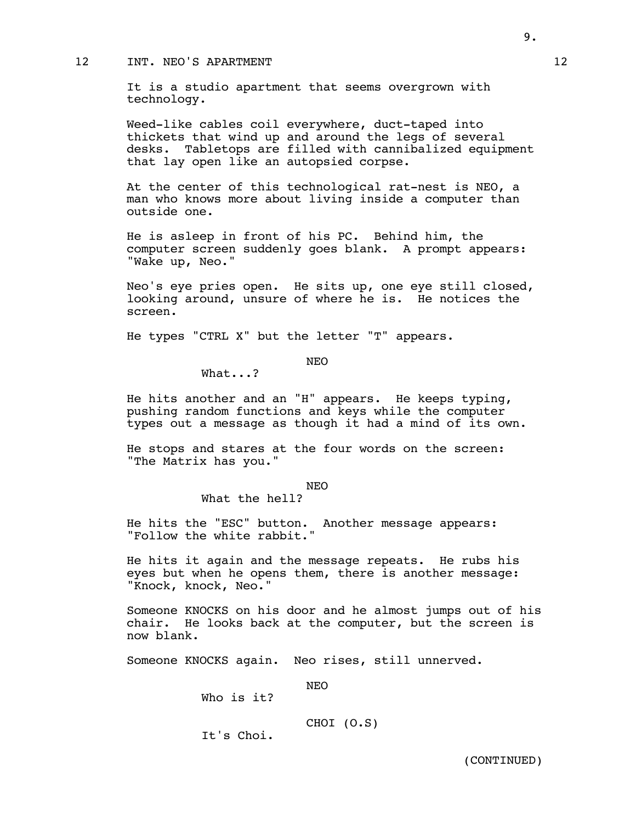#### 12 INT. NEO'S APARTMENT 12

It is a studio apartment that seems overgrown with technology.

Weed-like cables coil everywhere, duct-taped into thickets that wind up and around the legs of several desks. Tabletops are filled with cannibalized equipment that lay open like an autopsied corpse.

At the center of this technological rat-nest is NEO, a man who knows more about living inside a computer than outside one.

He is asleep in front of his PC. Behind him, the computer screen suddenly goes blank. A prompt appears: "Wake up, Neo."

Neo's eye pries open. He sits up, one eye still closed, looking around, unsure of where he is. He notices the screen.

He types "CTRL X" but the letter "T" appears.

NEO

What...?

He hits another and an "H" appears. He keeps typing, pushing random functions and keys while the computer types out a message as though it had a mind of its own.

He stops and stares at the four words on the screen: "The Matrix has you."

NEO

What the hell?

He hits the "ESC" button. Another message appears: "Follow the white rabbit."

He hits it again and the message repeats. He rubs his eyes but when he opens them, there is another message: "Knock, knock, Neo."

Someone KNOCKS on his door and he almost jumps out of his chair. He looks back at the computer, but the screen is now blank.

Someone KNOCKS again. Neo rises, still unnerved.

NEO

Who is it?

CHOI (O.S)

It's Choi.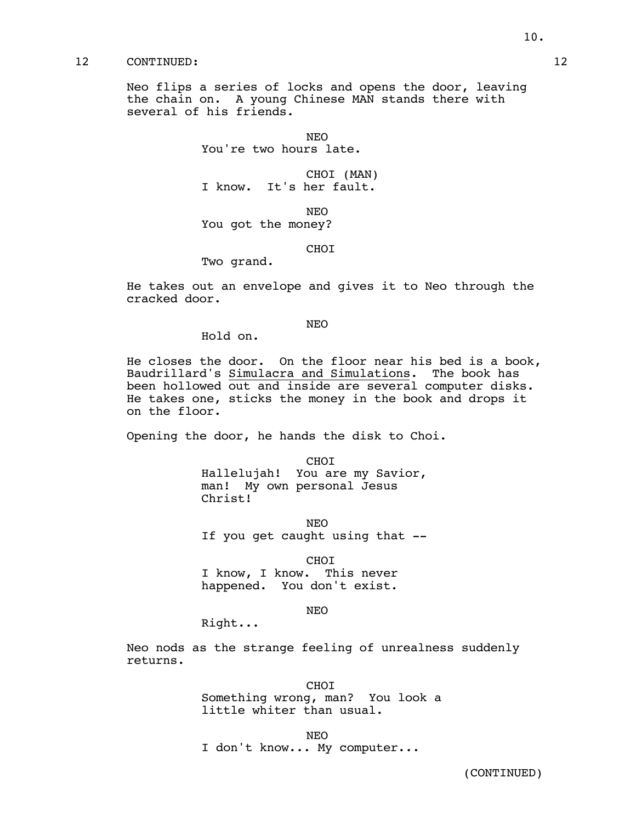# 12 CONTINUED: 12

Neo flips a series of locks and opens the door, leaving the chain on. A young Chinese MAN stands there with several of his friends.

> NEO You're two hours late.

CHOI (MAN) I know. It's her fault.

NEO You got the money?

#### **CHOI**

Two grand.

He takes out an envelope and gives it to Neo through the cracked door.

NEO

Hold on.

He closes the door. On the floor near his bed is a book, Baudrillard's Simulacra and Simulations. The book has been hollowed out and inside are several computer disks. He takes one, sticks the money in the book and drops it on the floor.

Opening the door, he hands the disk to Choi.

CHOI Hallelujah! You are my Savior, man! My own personal Jesus Christ!

NEO If you get caught using that --

CHOI

I know, I know. This never happened. You don't exist.

NEO

Right...

Neo nods as the strange feeling of unrealness suddenly returns.

**CHOI** 

Something wrong, man? You look a little whiter than usual.

NEO

I don't know... My computer...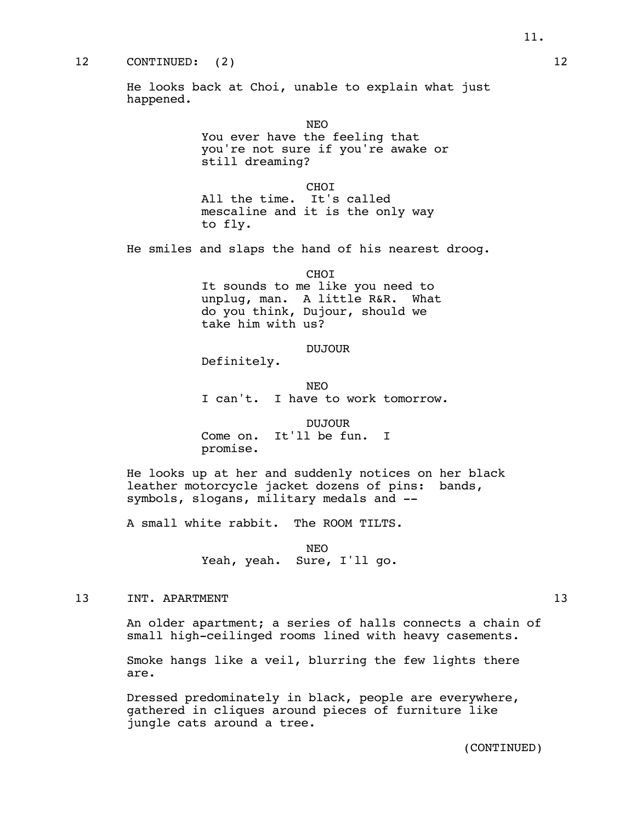# 12 CONTINUED: (2) 12

He looks back at Choi, unable to explain what just happened.

> NEO You ever have the feeling that you're not sure if you're awake or still dreaming?

CHOI All the time. It's called mescaline and it is the only way to fly.

He smiles and slaps the hand of his nearest droog.

CHOI

It sounds to me like you need to unplug, man. A little R&R. What do you think, Dujour, should we take him with us?

# DUJOUR

Definitely.

NEO I can't. I have to work tomorrow.

DUJOUR Come on. It'll be fun. I promise.

He looks up at her and suddenly notices on her black leather motorcycle jacket dozens of pins: bands, symbols, slogans, military medals and --

A small white rabbit. The ROOM TILTS.

NEO Yeah, yeah. Sure, I'll go.

# 13 INT. APARTMENT 13 13

An older apartment; a series of halls connects a chain of small high-ceilinged rooms lined with heavy casements.

Smoke hangs like a veil, blurring the few lights there are.

Dressed predominately in black, people are everywhere, gathered in cliques around pieces of furniture like jungle cats around a tree.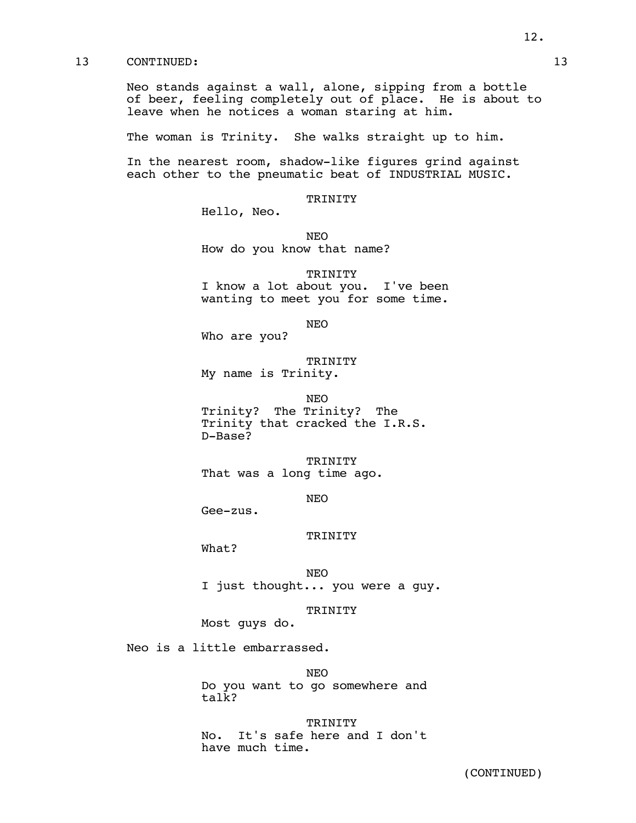### 13 CONTINUED: 13 13

Neo stands against a wall, alone, sipping from a bottle of beer, feeling completely out of place. He is about to leave when he notices a woman staring at him.

The woman is Trinity. She walks straight up to him.

In the nearest room, shadow-like figures grind against each other to the pneumatic beat of INDUSTRIAL MUSIC.

#### TRINITY

Hello, Neo.

NEO

How do you know that name?

**TRINITY** I know a lot about you. I've been wanting to meet you for some time.

NEO

Who are you?

TRINITY My name is Trinity.

NEO Trinity? The Trinity? The Trinity that cracked the I.R.S. D-Base?

TRINITY That was a long time ago.

NEO

Gee-zus.

# **TRINITY**

What?

NEO

I just thought... you were a guy.

# **TRINITY**

Most guys do.

Neo is a little embarrassed.

NEO

Do you want to go somewhere and talk?

**TRINITY** No. It's safe here and I don't have much time.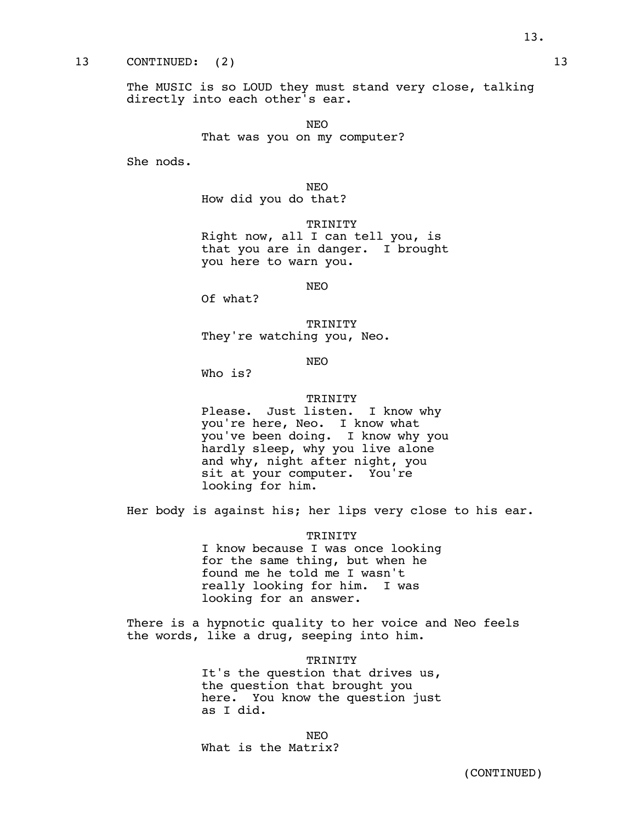# 13 CONTINUED: (2) 13

The MUSIC is so LOUD they must stand very close, talking directly into each other's ear.

> NEO That was you on my computer?

She nods.

NEO

How did you do that?

TRINITY Right now, all I can tell you, is that you are in danger. I brought you here to warn you.

NEO

Of what?

TRINITY They're watching you, Neo.

NEO

Who is?

#### TRINITY

Please. Just listen. I know why you're here, Neo. I know what you've been doing. I know why you hardly sleep, why you live alone and why, night after night, you sit at your computer. You're looking for him.

Her body is against his; her lips very close to his ear.

**TRINITY** 

I know because I was once looking for the same thing, but when he found me he told me I wasn't really looking for him. I was looking for an answer.

There is a hypnotic quality to her voice and Neo feels the words, like a drug, seeping into him.

> TRINITY It's the question that drives us, the question that brought you here. You know the question just as I did.

NEO What is the Matrix? 13.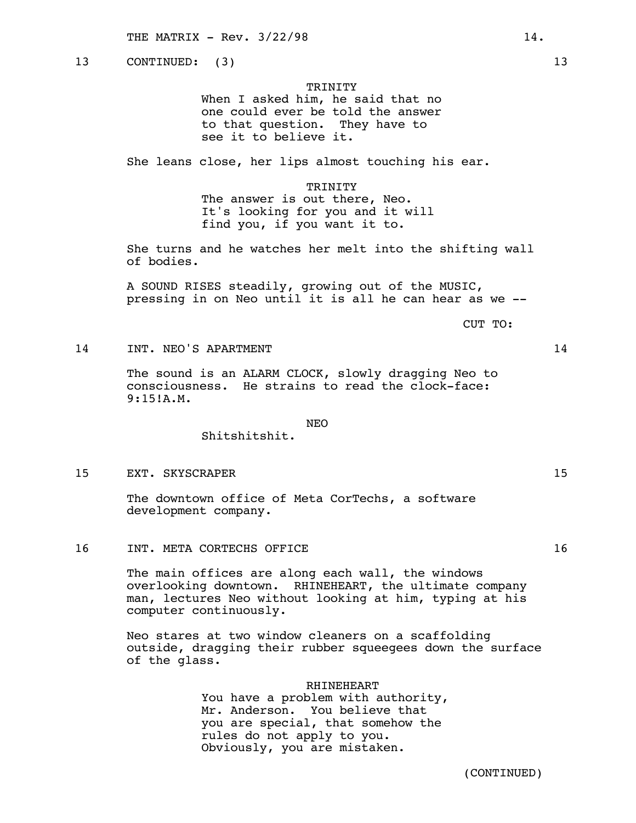13 CONTINUED: (3) 13

### TRINITY

When I asked him, he said that no one could ever be told the answer to that question. They have to see it to believe it.

She leans close, her lips almost touching his ear.

#### **TRINITY**

The answer is out there, Neo. It's looking for you and it will find you, if you want it to.

She turns and he watches her melt into the shifting wall of bodies.

A SOUND RISES steadily, growing out of the MUSIC, pressing in on Neo until it is all he can hear as we --

CUT TO:

14 INT. NEO'S APARTMENT 14

The sound is an ALARM CLOCK, slowly dragging Neo to consciousness. He strains to read the clock-face: 9:15!A.M.

# NEO

Shitshitshit.

15 EXT. SKYSCRAPER 15

The downtown office of Meta CorTechs, a software development company.

16 INT. META CORTECHS OFFICE 16 16

The main offices are along each wall, the windows overlooking downtown. RHINEHEART, the ultimate company man, lectures Neo without looking at him, typing at his computer continuously.

Neo stares at two window cleaners on a scaffolding outside, dragging their rubber squeegees down the surface of the glass.

#### RHINEHEART

You have a problem with authority, Mr. Anderson. You believe that you are special, that somehow the rules do not apply to you. Obviously, you are mistaken.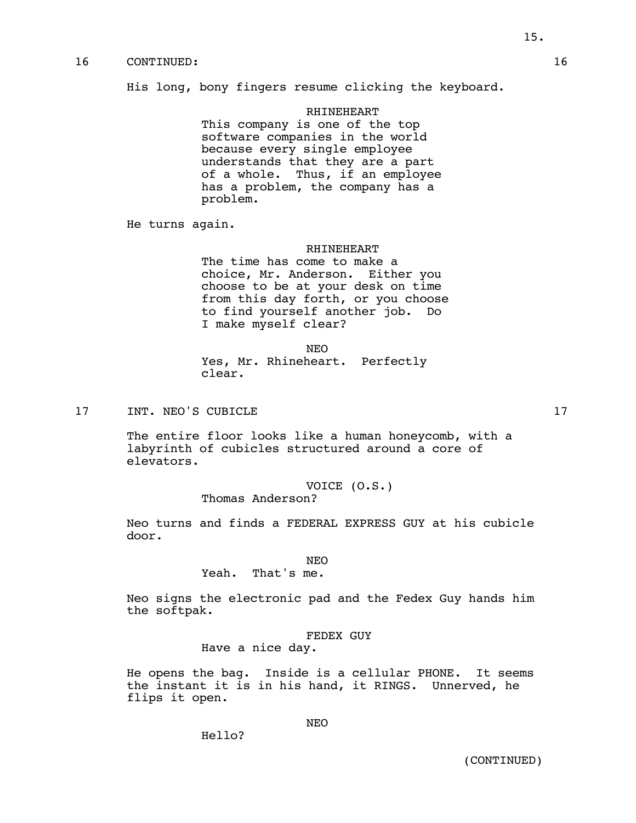His long, bony fingers resume clicking the keyboard.

RHINEHEART This company is one of the top software companies in the world because every single employee understands that they are a part of a whole. Thus, if an employee has a problem, the company has a problem.

He turns again.

#### RHINEHEART

The time has come to make a choice, Mr. Anderson. Either you choose to be at your desk on time from this day forth, or you choose to find yourself another job. Do I make myself clear?

NEO Yes, Mr. Rhineheart. Perfectly clear.

17 INT. NEO'S CUBICLE 17

The entire floor looks like a human honeycomb, with a labyrinth of cubicles structured around a core of elevators.

> VOICE (O.S.) Thomas Anderson?

Neo turns and finds a FEDERAL EXPRESS GUY at his cubicle door.

#### NEO

Yeah. That's me.

Neo signs the electronic pad and the Fedex Guy hands him the softpak.

### FEDEX GUY

Have a nice day.

He opens the bag. Inside is a cellular PHONE. It seems the instant it is in his hand, it RINGS. Unnerved, he flips it open.

# NEO

Hello?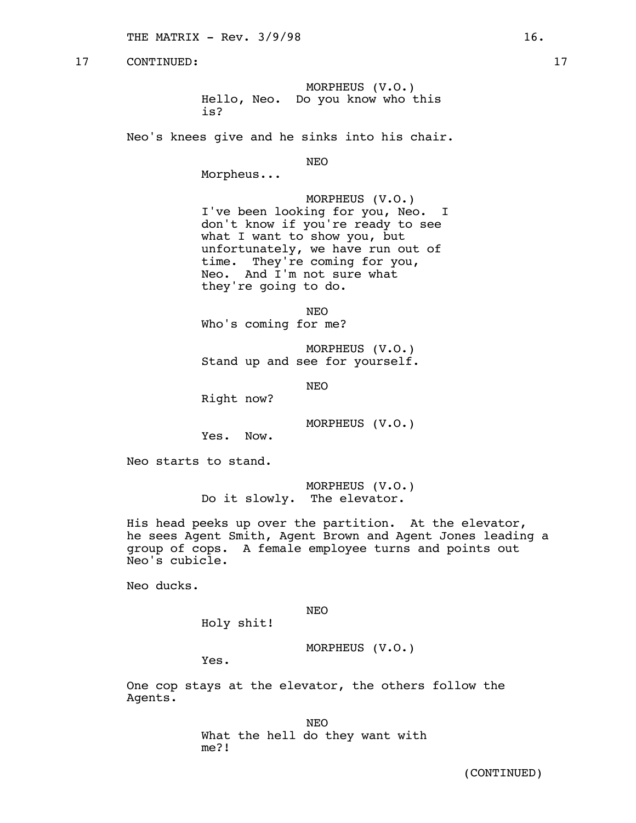17 CONTINUED: 17

MORPHEUS (V.O.) Hello, Neo. Do you know who this is?

Neo's knees give and he sinks into his chair.

NEO

Morpheus...

MORPHEUS (V.O.) I've been looking for you, Neo. I don't know if you're ready to see what I want to show you, but unfortunately, we have run out of time. They're coming for you, Neo. And I'm not sure what they're going to do.

NEO Who's coming for me?

MORPHEUS (V.O.) Stand up and see for yourself.

NEO

Right now?

MORPHEUS (V.O.)

Yes. Now.

Neo starts to stand.

MORPHEUS (V.O.) Do it slowly. The elevator.

His head peeks up over the partition. At the elevator, he sees Agent Smith, Agent Brown and Agent Jones leading a group of cops. A female employee turns and points out Neo's cubicle.

Neo ducks.

#### NEO

Holy shit!

MORPHEUS (V.O.)

Yes.

One cop stays at the elevator, the others follow the Agents.

> NEO What the hell do they want with me?!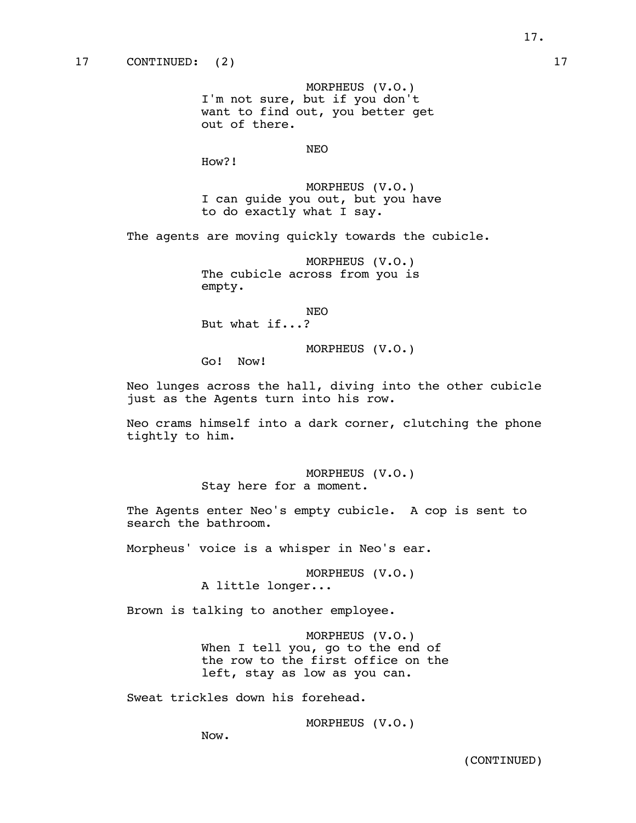MORPHEUS (V.O.) I'm not sure, but if you don't want to find out, you better get out of there.

NEO

How?!

MORPHEUS (V.O.) I can guide you out, but you have to do exactly what I say.

The agents are moving quickly towards the cubicle.

MORPHEUS (V.O.) The cubicle across from you is empty.

NEO But what if...?

MORPHEUS (V.O.)

Go! Now!

Neo lunges across the hall, diving into the other cubicle just as the Agents turn into his row.

Neo crams himself into a dark corner, clutching the phone tightly to him.

> MORPHEUS (V.O.) Stay here for a moment.

The Agents enter Neo's empty cubicle. A cop is sent to search the bathroom.

Morpheus' voice is a whisper in Neo's ear.

MORPHEUS (V.O.) A little longer...

Brown is talking to another employee.

MORPHEUS (V.O.) When I tell you, go to the end of the row to the first office on the left, stay as low as you can.

Sweat trickles down his forehead.

MORPHEUS (V.O.)

Now.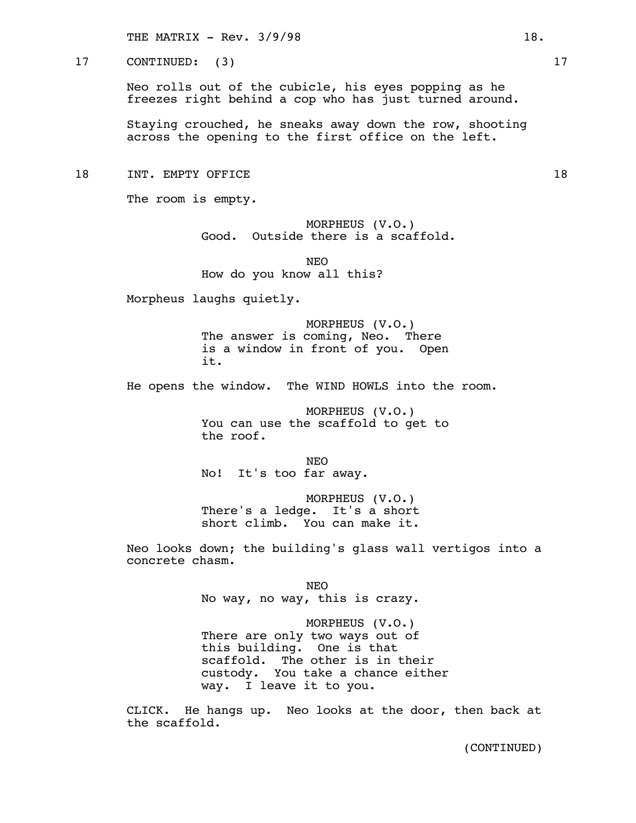17 CONTINUED: (3) 17

Neo rolls out of the cubicle, his eyes popping as he freezes right behind a cop who has just turned around.

Staying crouched, he sneaks away down the row, shooting across the opening to the first office on the left.

18 INT. EMPTY OFFICE 18

The room is empty.

MORPHEUS (V.O.) Good. Outside there is a scaffold.

NEO How do you know all this?

Morpheus laughs quietly.

MORPHEUS (V.O.) The answer is coming, Neo. There is a window in front of you. Open it.

He opens the window. The WIND HOWLS into the room.

MORPHEUS (V.O.) You can use the scaffold to get to the roof.

NEO No! It's too far away.

MORPHEUS (V.O.) There's a ledge. It's a short short climb. You can make it.

Neo looks down; the building's glass wall vertigos into a concrete chasm.

> NEO No way, no way, this is crazy.

MORPHEUS (V.O.) There are only two ways out of this building. One is that scaffold. The other is in their custody. You take a chance either way. I leave it to you.

CLICK. He hangs up. Neo looks at the door, then back at the scaffold.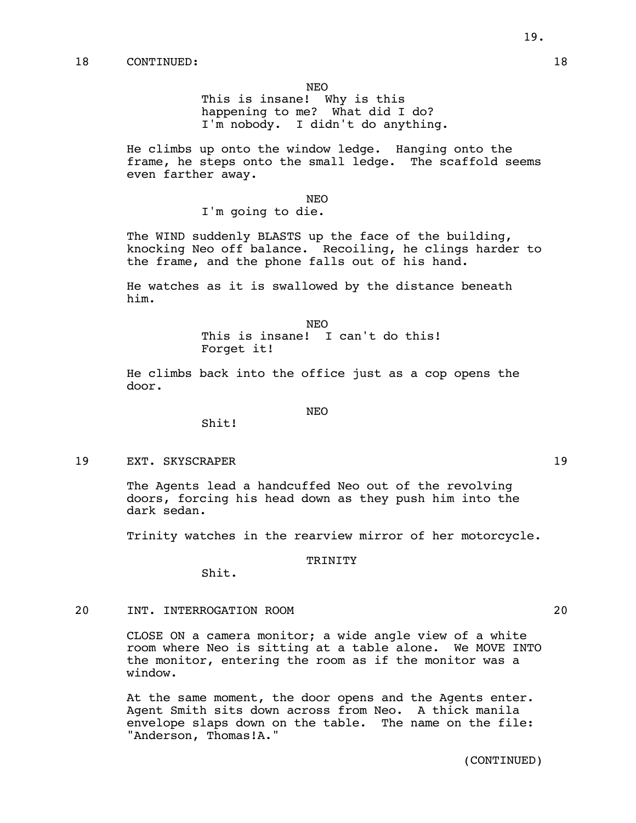#### NEO

This is insane! Why is this happening to me? What did I do? I'm nobody. I didn't do anything.

He climbs up onto the window ledge. Hanging onto the frame, he steps onto the small ledge. The scaffold seems even farther away.

NEO

I'm going to die.

The WIND suddenly BLASTS up the face of the building, knocking Neo off balance. Recoiling, he clings harder to the frame, and the phone falls out of his hand.

He watches as it is swallowed by the distance beneath him.

NEO

This is insane! I can't do this! Forget it!

He climbs back into the office just as a cop opens the door.

NEO

19 EXT. SKYSCRAPER 19

The Agents lead a handcuffed Neo out of the revolving doors, forcing his head down as they push him into the dark sedan.

Trinity watches in the rearview mirror of her motorcycle.

# **TRINITY**

Shit.

Shit!

# 20 INT. INTERROGATION ROOM 20

CLOSE ON a camera monitor; a wide angle view of a white room where Neo is sitting at a table alone. We MOVE INTO the monitor, entering the room as if the monitor was a window.

At the same moment, the door opens and the Agents enter. Agent Smith sits down across from Neo. A thick manila envelope slaps down on the table. The name on the file: "Anderson, Thomas! A."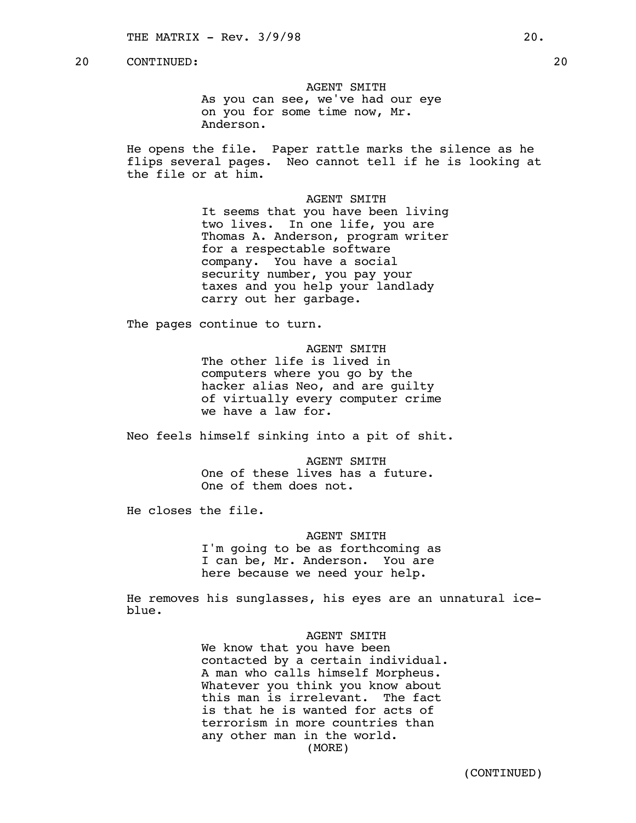20 CONTINUED: 20

AGENT SMITH As you can see, we've had our eye on you for some time now, Mr. Anderson.

He opens the file. Paper rattle marks the silence as he flips several pages. Neo cannot tell if he is looking at the file or at him.

> AGENT SMITH It seems that you have been living two lives. In one life, you are Thomas A. Anderson, program writer for a respectable software company. You have a social security number, you pay your taxes and you help your landlady carry out her garbage.

The pages continue to turn.

AGENT SMITH The other life is lived in computers where you go by the hacker alias Neo, and are guilty of virtually every computer crime we have a law for.

Neo feels himself sinking into a pit of shit.

AGENT SMITH One of these lives has a future. One of them does not.

He closes the file.

AGENT SMITH I'm going to be as forthcoming as I can be, Mr. Anderson. You are here because we need your help.

He removes his sunglasses, his eyes are an unnatural iceblue.

> AGENT SMITH We know that you have been contacted by a certain individual. A man who calls himself Morpheus. Whatever you think you know about this man is irrelevant. The fact is that he is wanted for acts of terrorism in more countries than any other man in the world. (MORE)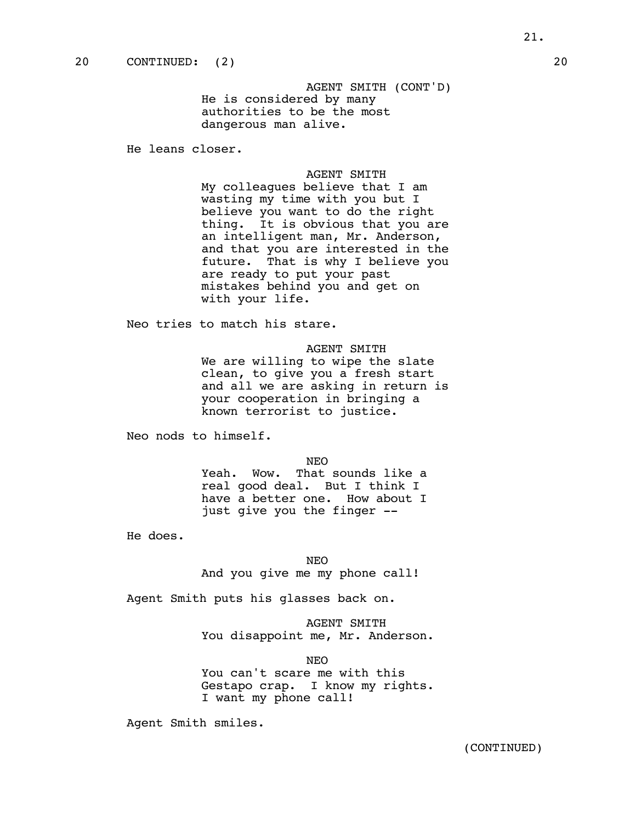AGENT SMITH (CONT'D) He is considered by many authorities to be the most dangerous man alive.

He leans closer.

AGENT SMITH

My colleagues believe that I am wasting my time with you but I believe you want to do the right thing. It is obvious that you are an intelligent man, Mr. Anderson, and that you are interested in the future. That is why I believe you are ready to put your past mistakes behind you and get on with your life.

Neo tries to match his stare.

AGENT SMITH

We are willing to wipe the slate clean, to give you a fresh start and all we are asking in return is your cooperation in bringing a known terrorist to justice.

Neo nods to himself.

NEO

Yeah. Wow. That sounds like a real good deal. But I think I have a better one. How about I just give you the finger --

He does.

NEO

And you give me my phone call!

Agent Smith puts his glasses back on.

AGENT SMITH You disappoint me, Mr. Anderson.

NEO

You can't scare me with this Gestapo crap. I know my rights. I want my phone call!

Agent Smith smiles.

21.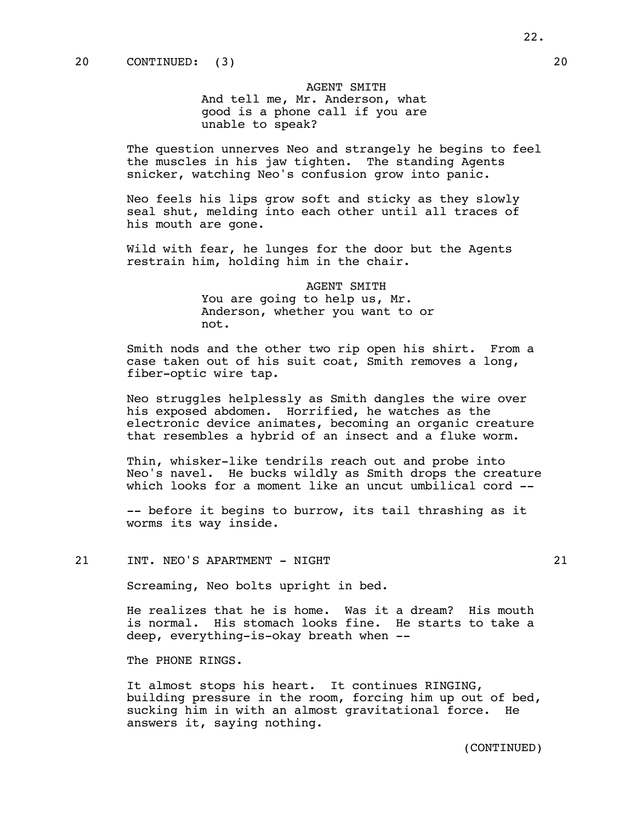#### AGENT SMITH

And tell me, Mr. Anderson, what good is a phone call if you are unable to speak?

The question unnerves Neo and strangely he begins to feel the muscles in his jaw tighten. The standing Agents snicker, watching Neo's confusion grow into panic.

Neo feels his lips grow soft and sticky as they slowly seal shut, melding into each other until all traces of his mouth are gone.

Wild with fear, he lunges for the door but the Agents restrain him, holding him in the chair.

> AGENT SMITH You are going to help us, Mr. Anderson, whether you want to or not.

Smith nods and the other two rip open his shirt. From a case taken out of his suit coat, Smith removes a long, fiber-optic wire tap.

Neo struggles helplessly as Smith dangles the wire over his exposed abdomen. Horrified, he watches as the electronic device animates, becoming an organic creature that resembles a hybrid of an insect and a fluke worm.

Thin, whisker-like tendrils reach out and probe into Neo's navel. He bucks wildly as Smith drops the creature which looks for a moment like an uncut umbilical cord --

-- before it begins to burrow, its tail thrashing as it worms its way inside.

21 INT. NEO'S APARTMENT - NIGHT 21

Screaming, Neo bolts upright in bed.

He realizes that he is home. Was it a dream? His mouth is normal. His stomach looks fine. He starts to take a deep, everything-is-okay breath when --

The PHONE RINGS.

It almost stops his heart. It continues RINGING, building pressure in the room, forcing him up out of bed, sucking him in with an almost gravitational force. He answers it, saying nothing.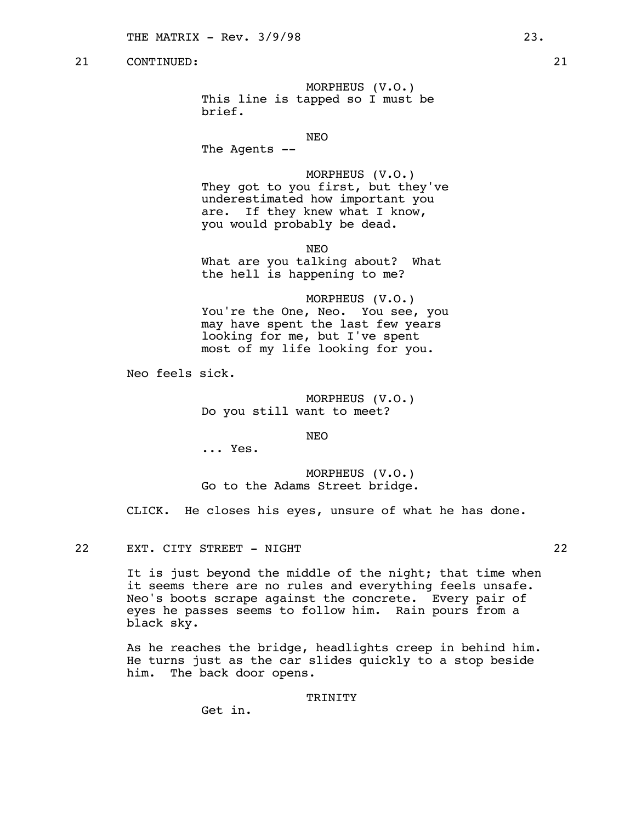The Agents --

21 CONTINUED: 21

MORPHEUS (V.O.) This line is tapped so I must be brief.

NEO

MORPHEUS (V.O.) They got to you first, but they've underestimated how important you are. If they knew what I know, you would probably be dead.

NEO

What are you talking about? What the hell is happening to me?

MORPHEUS (V.O.) You're the One, Neo. You see, you may have spent the last few years looking for me, but I've spent most of my life looking for you.

Neo feels sick.

MORPHEUS (V.O.) Do you still want to meet?

NEO

... Yes.

MORPHEUS (V.O.) Go to the Adams Street bridge.

CLICK. He closes his eyes, unsure of what he has done.

22 EXT. CITY STREET - NIGHT 22

It is just beyond the middle of the night; that time when it seems there are no rules and everything feels unsafe. Neo's boots scrape against the concrete. Every pair of eyes he passes seems to follow him. Rain pours from a black sky.

As he reaches the bridge, headlights creep in behind him. He turns just as the car slides quickly to a stop beside him. The back door opens.

# **TRINITY**

Get in.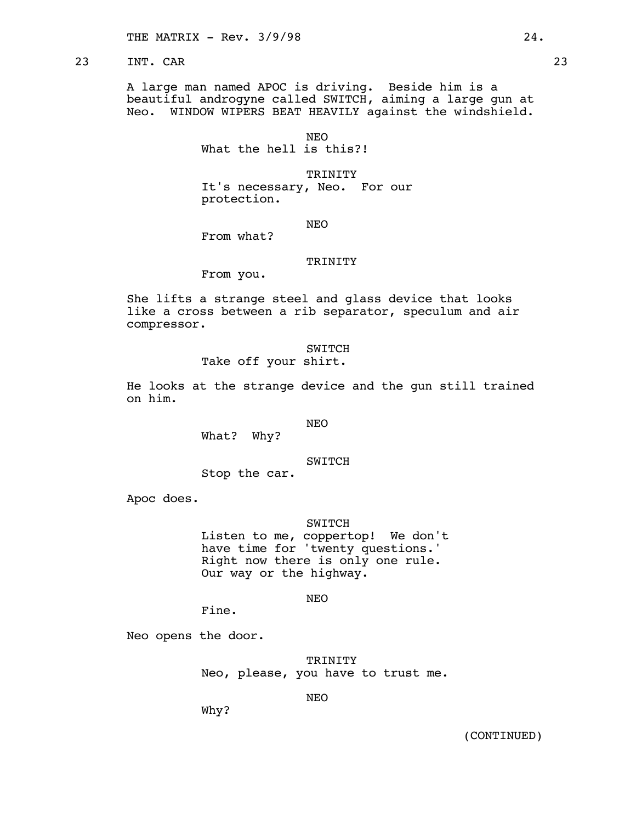23 INT. CAR 23

A large man named APOC is driving. Beside him is a beautiful androgyne called SWITCH, aiming a large gun at Neo. WINDOW WIPERS BEAT HEAVILY against the windshield.

> NEO What the hell is this?!

**TRINITY** It's necessary, Neo. For our protection.

NEO

From what?

# **TRINITY**

From you.

She lifts a strange steel and glass device that looks like a cross between a rib separator, speculum and air compressor.

# SWITCH Take off your shirt.

He looks at the strange device and the gun still trained on him.

NEO

What? Why?

SWITCH

Stop the car.

Apoc does.

#### SWITCH

Listen to me, coppertop! We don't have time for 'twenty questions.' Right now there is only one rule. Our way or the highway.

NEO

Fine.

Neo opens the door.

TRINITY Neo, please, you have to trust me.

NEO

Why?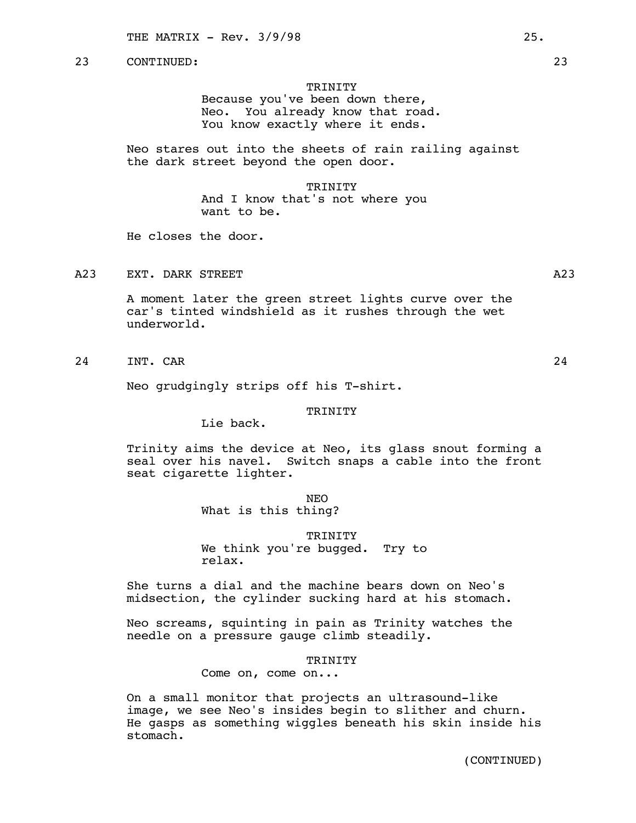23 CONTINUED: 23 23

#### TRINITY

Because you've been down there, Neo. You already know that road. You know exactly where it ends.

Neo stares out into the sheets of rain railing against the dark street beyond the open door.

#### TRINITY

And I know that's not where you want to be.

He closes the door.

A23 EXT. DARK STREET A23

A moment later the green street lights curve over the car's tinted windshield as it rushes through the wet underworld.

24 INT. CAR 24

Neo grudgingly strips off his T-shirt.

#### **TRINITY**

Lie back.

Trinity aims the device at Neo, its glass snout forming a seal over his navel. Switch snaps a cable into the front seat cigarette lighter.

> NEO What is this thing?

TNITY We think you're bugged. Try to relax.

She turns a dial and the machine bears down on Neo's midsection, the cylinder sucking hard at his stomach.

Neo screams, squinting in pain as Trinity watches the needle on a pressure gauge climb steadily.

### TRINITY

Come on, come on...

On a small monitor that projects an ultrasound-like image, we see Neo's insides begin to slither and churn. He gasps as something wiggles beneath his skin inside his stomach.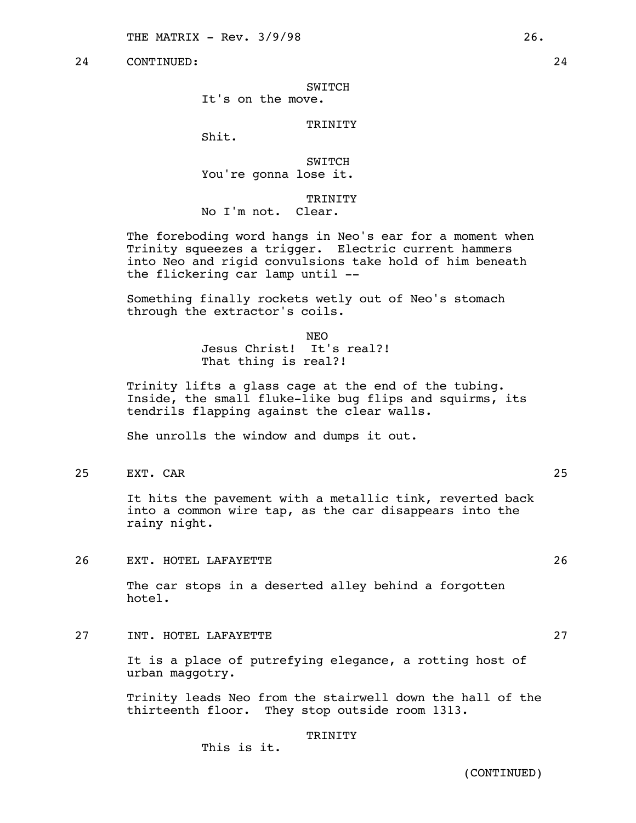### SWITCH

It's on the move.

#### TNITY

Shit.

SWITCH You're gonna lose it.

# **TRINITY**

No I'm not. Clear.

The foreboding word hangs in Neo's ear for a moment when Trinity squeezes a trigger. Electric current hammers into Neo and rigid convulsions take hold of him beneath the flickering car lamp until --

Something finally rockets wetly out of Neo's stomach through the extractor's coils.

> NEO Jesus Christ! It's real?! That thing is real?!

Trinity lifts a glass cage at the end of the tubing. Inside, the small fluke-like bug flips and squirms, its tendrils flapping against the clear walls.

She unrolls the window and dumps it out.

25 EXT. CAR 25

It hits the pavement with a metallic tink, reverted back into a common wire tap, as the car disappears into the rainy night.

26 EXT. HOTEL LAFAYETTE 26

The car stops in a deserted alley behind a forgotten hotel.

27 INT. HOTEL LAFAYETTE 27

It is a place of putrefying elegance, a rotting host of urban maggotry.

Trinity leads Neo from the stairwell down the hall of the thirteenth floor. They stop outside room 1313.

TRINITY

This is it.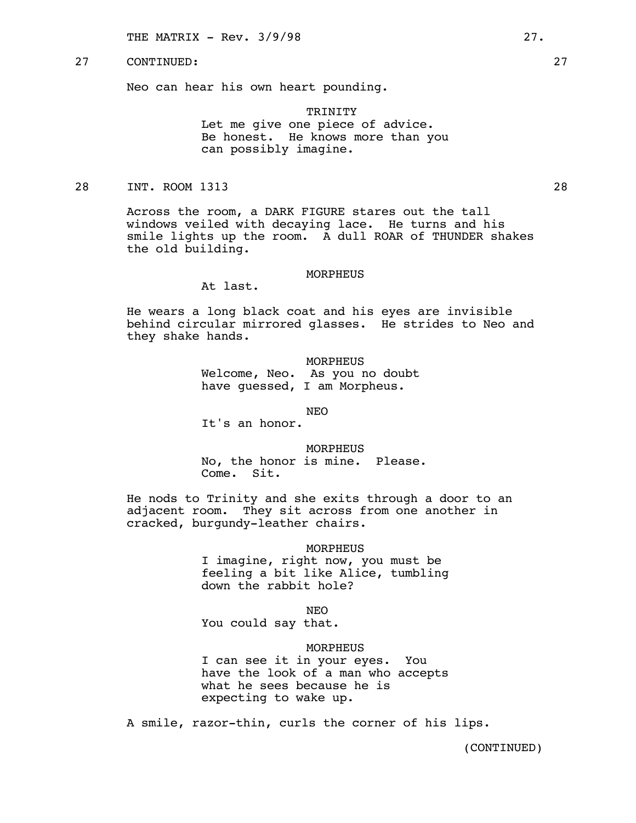THE MATRIX  $-$  Rev.  $3/9/98$  27.

# 27 CONTINUED: 27

Neo can hear his own heart pounding.

**TRINITY** Let me give one piece of advice. Be honest. He knows more than you can possibly imagine.

28 INT. ROOM 1313 28

Across the room, a DARK FIGURE stares out the tall windows veiled with decaying lace. He turns and his smile lights up the room. A dull ROAR of THUNDER shakes the old building.

### **MORPHEUS**

At last.

He wears a long black coat and his eyes are invisible behind circular mirrored glasses. He strides to Neo and they shake hands.

# MORPHEUS

Welcome, Neo. As you no doubt have guessed, I am Morpheus.

NEO

It's an honor.

**MORPHEUS** 

No, the honor is mine. Please. Come. Sit.

He nods to Trinity and she exits through a door to an adjacent room. They sit across from one another in cracked, burgundy-leather chairs.

#### MORPHEUS

I imagine, right now, you must be feeling a bit like Alice, tumbling down the rabbit hole?

NEO

You could say that.

#### **MORPHEUS**

I can see it in your eyes. You have the look of a man who accepts what he sees because he is expecting to wake up.

A smile, razor-thin, curls the corner of his lips.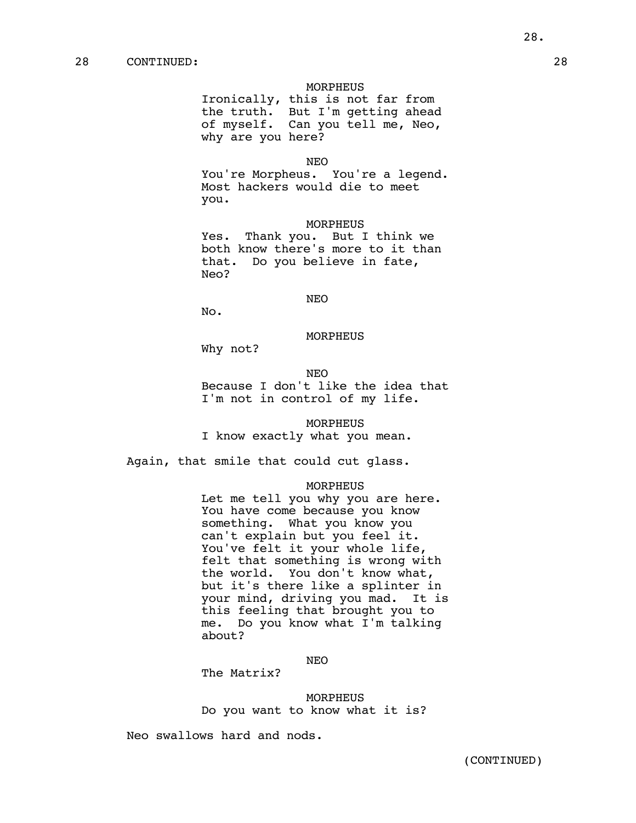#### MORPHEUS

Ironically, this is not far from the truth. But I'm getting ahead of myself. Can you tell me, Neo, why are you here?

NEO

You're Morpheus. You're a legend. Most hackers would die to meet you.

MORPHEUS Yes. Thank you. But I think we both know there's more to it than that. Do you believe in fate, Neo?

#### NEO

No.

#### MORPHEUS

Why not?

#### NEO

Because I don't like the idea that I'm not in control of my life.

MORPHEUS

I know exactly what you mean.

Again, that smile that could cut glass.

# **MORPHEUS**

Let me tell you why you are here. You have come because you know something. What you know you can't explain but you feel it. You've felt it your whole life, felt that something is wrong with the world. You don't know what, but it's there like a splinter in your mind, driving you mad. It is this feeling that brought you to me. Do you know what I'm talking about?

NEO

The Matrix?

MORPHEUS Do you want to know what it is?

Neo swallows hard and nods.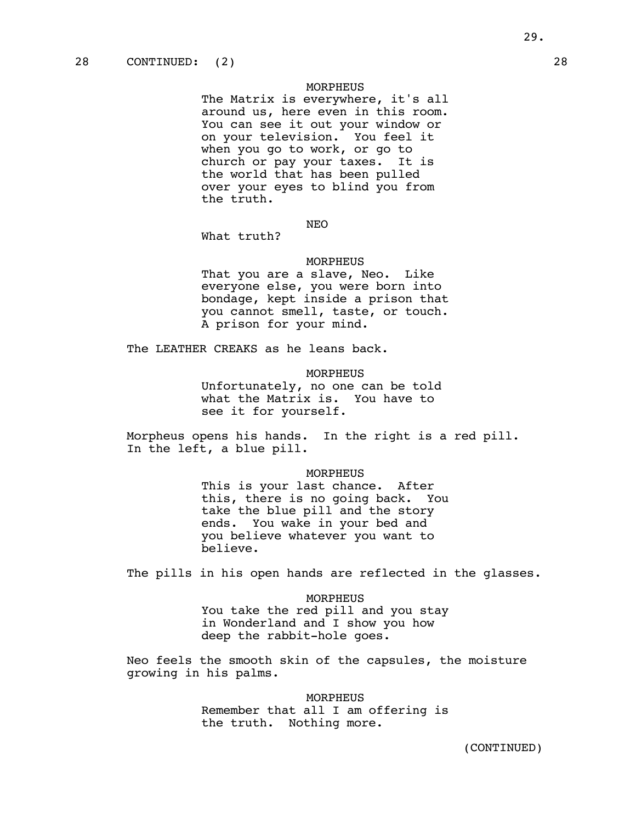#### MORPHEUS

The Matrix is everywhere, it's all around us, here even in this room. You can see it out your window or on your television. You feel it when you go to work, or go to church or pay your taxes. It is the world that has been pulled over your eyes to blind you from the truth.

# NEO

What truth?

### **MORPHEUS**

That you are a slave, Neo. Like everyone else, you were born into bondage, kept inside a prison that you cannot smell, taste, or touch. A prison for your mind.

The LEATHER CREAKS as he leans back.

MORPHEUS

Unfortunately, no one can be told what the Matrix is. You have to see it for yourself.

Morpheus opens his hands. In the right is a red pill. In the left, a blue pill.

#### MORPHEUS

This is your last chance. After this, there is no going back. You take the blue pill and the story ends. You wake in your bed and you believe whatever you want to believe.

The pills in his open hands are reflected in the glasses.

#### MORPHEUS

You take the red pill and you stay in Wonderland and I show you how deep the rabbit-hole goes.

Neo feels the smooth skin of the capsules, the moisture growing in his palms.

# MORPHEUS Remember that all I am offering is the truth. Nothing more.

29.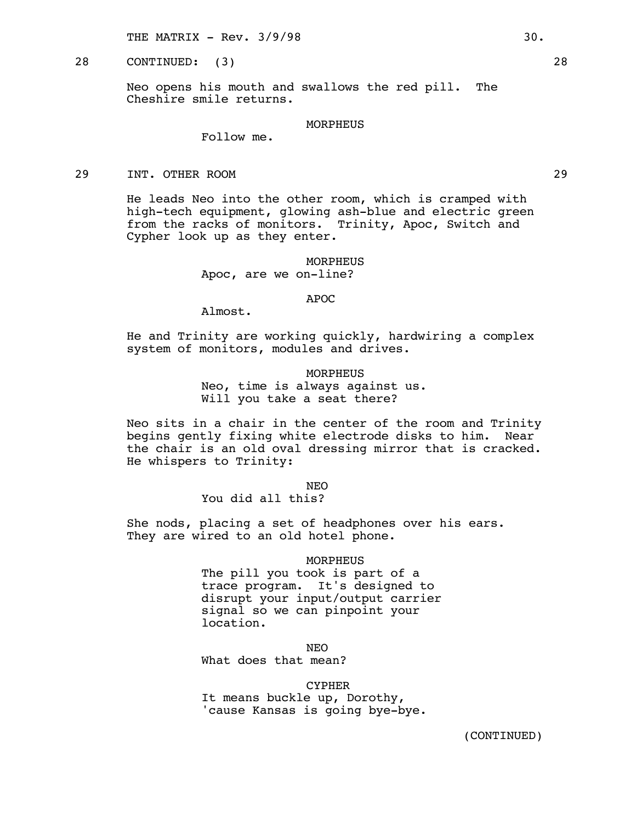THE MATRIX  $-$  Rev.  $3/9/98$  30.

# 28 CONTINUED: (3) 28

Neo opens his mouth and swallows the red pill. The Cheshire smile returns.

#### **MORPHEUS**

Follow me.

# 29 INT. OTHER ROOM 29

He leads Neo into the other room, which is cramped with high-tech equipment, glowing ash-blue and electric green from the racks of monitors. Trinity, Apoc, Switch and Cypher look up as they enter.

# MORPHEUS Apoc, are we on-line?

#### APOC

Almost.

He and Trinity are working quickly, hardwiring a complex system of monitors, modules and drives.

#### **MORPHEUS**

Neo, time is always against us. Will you take a seat there?

Neo sits in a chair in the center of the room and Trinity begins gently fixing white electrode disks to him. Near the chair is an old oval dressing mirror that is cracked. He whispers to Trinity:

NEO

You did all this?

She nods, placing a set of headphones over his ears. They are wired to an old hotel phone.

#### **MORPHEUS**

The pill you took is part of a trace program. It's designed to disrupt your input/output carrier signal so we can pinpoint your location.

NEO

What does that mean?

CYPHER

It means buckle up, Dorothy, 'cause Kansas is going bye-bye.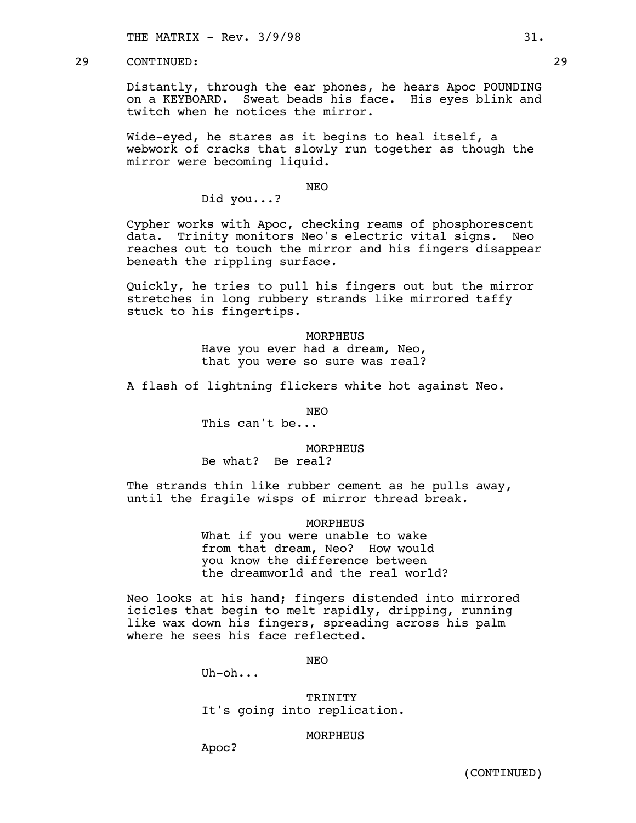29 CONTINUED: 29

Distantly, through the ear phones, he hears Apoc POUNDING on a KEYBOARD. Sweat beads his face. His eyes blink and twitch when he notices the mirror.

Wide-eyed, he stares as it begins to heal itself, a webwork of cracks that slowly run together as though the mirror were becoming liquid.

NEO

Did you...?

Cypher works with Apoc, checking reams of phosphorescent data. Trinity monitors Neo's electric vital signs. Neo reaches out to touch the mirror and his fingers disappear beneath the rippling surface.

Quickly, he tries to pull his fingers out but the mirror stretches in long rubbery strands like mirrored taffy stuck to his fingertips.

> **MORPHEUS** Have you ever had a dream, Neo, that you were so sure was real?

A flash of lightning flickers white hot against Neo.

NEO

This can't be...

**MORPHEUS** Be what? Be real?

The strands thin like rubber cement as he pulls away, until the fragile wisps of mirror thread break.

MORPHEUS

What if you were unable to wake from that dream, Neo? How would you know the difference between the dreamworld and the real world?

Neo looks at his hand; fingers distended into mirrored icicles that begin to melt rapidly, dripping, running like wax down his fingers, spreading across his palm where he sees his face reflected.

NEO

Uh-oh...

TRINITY It's going into replication.

MORPHEUS

Apoc?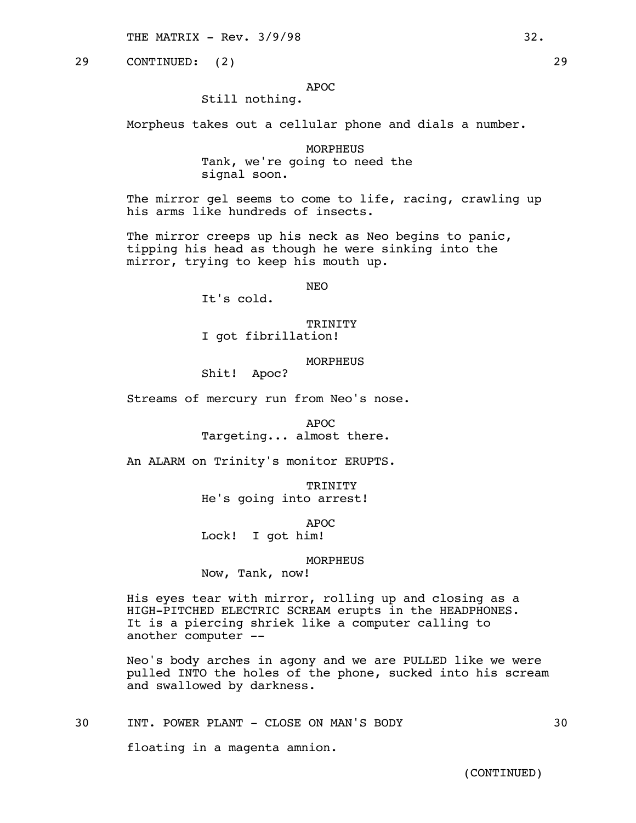THE MATRIX  $-$  Rev.  $3/9/98$  32.

29 CONTINUED: (2) 29

# APOC

# Still nothing.

Morpheus takes out a cellular phone and dials a number.

MORPHEUS Tank, we're going to need the signal soon.

The mirror gel seems to come to life, racing, crawling up his arms like hundreds of insects.

The mirror creeps up his neck as Neo begins to panic, tipping his head as though he were sinking into the mirror, trying to keep his mouth up.

NEO

It's cold.

TRINITY I got fibrillation!

MORPHEUS

Shit! Apoc?

Streams of mercury run from Neo's nose.

APOC Targeting... almost there.

An ALARM on Trinity's monitor ERUPTS.

**TRINITY** He's going into arrest!

APOC

Lock! I got him!

**MORPHEUS** 

Now, Tank, now!

His eyes tear with mirror, rolling up and closing as a HIGH-PITCHED ELECTRIC SCREAM erupts in the HEADPHONES. It is a piercing shriek like a computer calling to another computer --

Neo's body arches in agony and we are PULLED like we were pulled INTO the holes of the phone, sucked into his scream and swallowed by darkness.

30 INT. POWER PLANT - CLOSE ON MAN'S BODY 30

floating in a magenta amnion.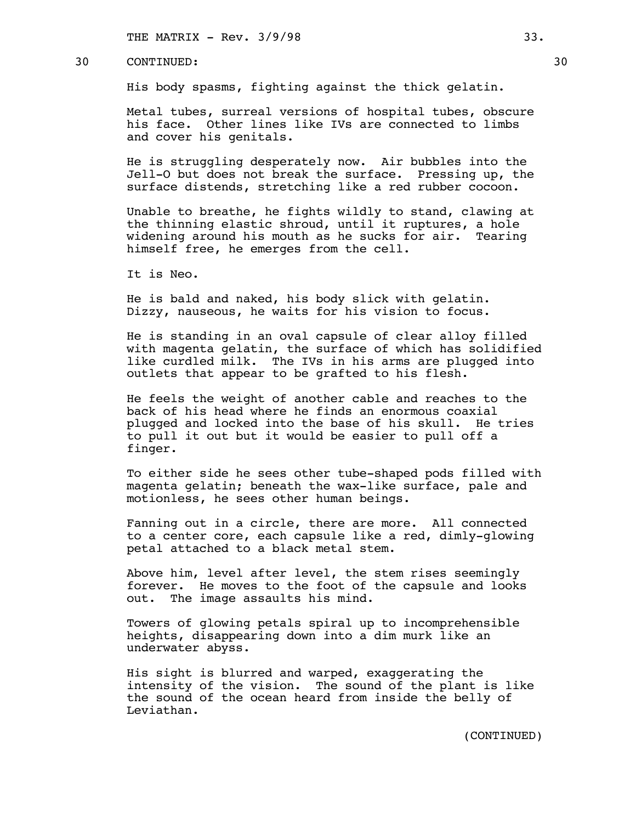THE MATRIX  $-$  Rev.  $3/9/98$  33.

### 30 CONTINUED: 30

His body spasms, fighting against the thick gelatin.

Metal tubes, surreal versions of hospital tubes, obscure his face. Other lines like IVs are connected to limbs and cover his genitals.

He is struggling desperately now. Air bubbles into the Jell-O but does not break the surface. Pressing up, the surface distends, stretching like a red rubber cocoon.

Unable to breathe, he fights wildly to stand, clawing at the thinning elastic shroud, until it ruptures, a hole widening around his mouth as he sucks for air. Tearing himself free, he emerges from the cell.

It is Neo.

He is bald and naked, his body slick with gelatin. Dizzy, nauseous, he waits for his vision to focus.

He is standing in an oval capsule of clear alloy filled with magenta gelatin, the surface of which has solidified like curdled milk. The IVs in his arms are plugged into outlets that appear to be grafted to his flesh.

He feels the weight of another cable and reaches to the back of his head where he finds an enormous coaxial plugged and locked into the base of his skull. He tries to pull it out but it would be easier to pull off a finger.

To either side he sees other tube-shaped pods filled with magenta gelatin; beneath the wax-like surface, pale and motionless, he sees other human beings.

Fanning out in a circle, there are more. All connected to a center core, each capsule like a red, dimly-glowing petal attached to a black metal stem.

Above him, level after level, the stem rises seemingly forever. He moves to the foot of the capsule and looks out. The image assaults his mind.

Towers of glowing petals spiral up to incomprehensible heights, disappearing down into a dim murk like an underwater abyss.

His sight is blurred and warped, exaggerating the intensity of the vision. The sound of the plant is like the sound of the ocean heard from inside the belly of Leviathan.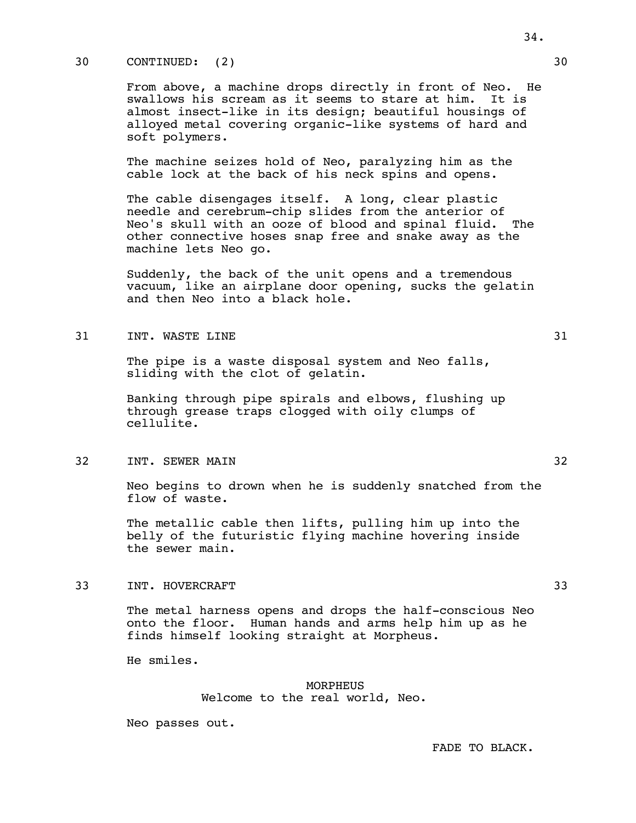# 30 CONTINUED: (2) 30

From above, a machine drops directly in front of Neo. He swallows his scream as it seems to stare at him. It is almost insect-like in its design; beautiful housings of alloyed metal covering organic-like systems of hard and soft polymers.

The machine seizes hold of Neo, paralyzing him as the cable lock at the back of his neck spins and opens.

The cable disengages itself. A long, clear plastic needle and cerebrum-chip slides from the anterior of Neo's skull with an ooze of blood and spinal fluid. The other connective hoses snap free and snake away as the machine lets Neo go.

Suddenly, the back of the unit opens and a tremendous vacuum, like an airplane door opening, sucks the gelatin and then Neo into a black hole.

# 31 INT. WASTE LINE 31

The pipe is a waste disposal system and Neo falls, sliding with the clot of gelatin.

Banking through pipe spirals and elbows, flushing up through grease traps clogged with oily clumps of cellulite.

# 32 INT. SEWER MAIN 32

Neo begins to drown when he is suddenly snatched from the flow of waste.

The metallic cable then lifts, pulling him up into the belly of the futuristic flying machine hovering inside the sewer main.

# 33 INT. HOVERCRAFT 33

The metal harness opens and drops the half-conscious Neo onto the floor. Human hands and arms help him up as he finds himself looking straight at Morpheus.

He smiles.

# MORPHEUS

Welcome to the real world, Neo.

Neo passes out.

34.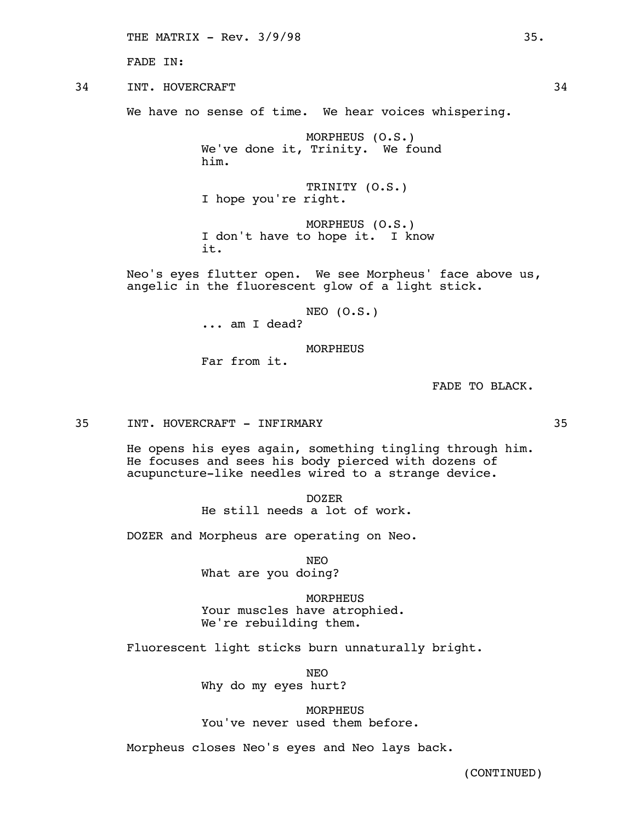THE MATRIX  $-$  Rev.  $3/9/98$  35.

FADE IN:

34 INT. HOVERCRAFT 34

We have no sense of time. We hear voices whispering.

MORPHEUS (O.S.) We've done it, Trinity. We found him.

TRINITY (O.S.) I hope you're right.

MORPHEUS (O.S.) I don't have to hope it. I know it.

Neo's eyes flutter open. We see Morpheus' face above us, angelic in the fluorescent glow of a light stick.

> NEO (O.S.) ... am I dead?

> > **MORPHEUS**

Far from it.

FADE TO BLACK.

35 INT. HOVERCRAFT - INFIRMARY 35

He opens his eyes again, something tingling through him. He focuses and sees his body pierced with dozens of acupuncture-like needles wired to a strange device.

> DOZER He still needs a lot of work.

DOZER and Morpheus are operating on Neo.

NEO What are you doing?

MORPHEUS Your muscles have atrophied. We're rebuilding them.

Fluorescent light sticks burn unnaturally bright.

NEO Why do my eyes hurt?

MORPHEUS You've never used them before.

Morpheus closes Neo's eyes and Neo lays back.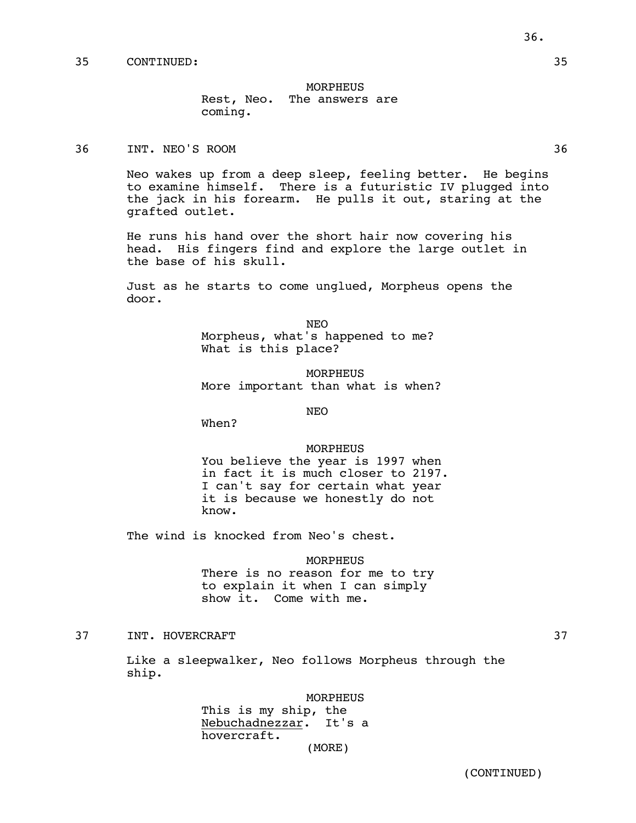# Rest, Neo. The answers are coming.

36 INT. NEO'S ROOM 36

Neo wakes up from a deep sleep, feeling better. He begins to examine himself. There is a futuristic IV plugged into the jack in his forearm. He pulls it out, staring at the grafted outlet.

He runs his hand over the short hair now covering his head. His fingers find and explore the large outlet in the base of his skull.

Just as he starts to come unglued, Morpheus opens the door.

> NEO Morpheus, what's happened to me? What is this place?

**MORPHEUS** More important than what is when?

NEO

When?

### **MORPHEUS**

You believe the year is 1997 when in fact it is much closer to 2197. I can't say for certain what year it is because we honestly do not know.

The wind is knocked from Neo's chest.

MORPHEUS There is no reason for me to try to explain it when I can simply

show it. Come with me.

37 INT. HOVERCRAFT 37

Like a sleepwalker, Neo follows Morpheus through the ship.

> MORPHEUS This is my ship, the Nebuchadnezzar. It's a hovercraft.

(MORE)

36.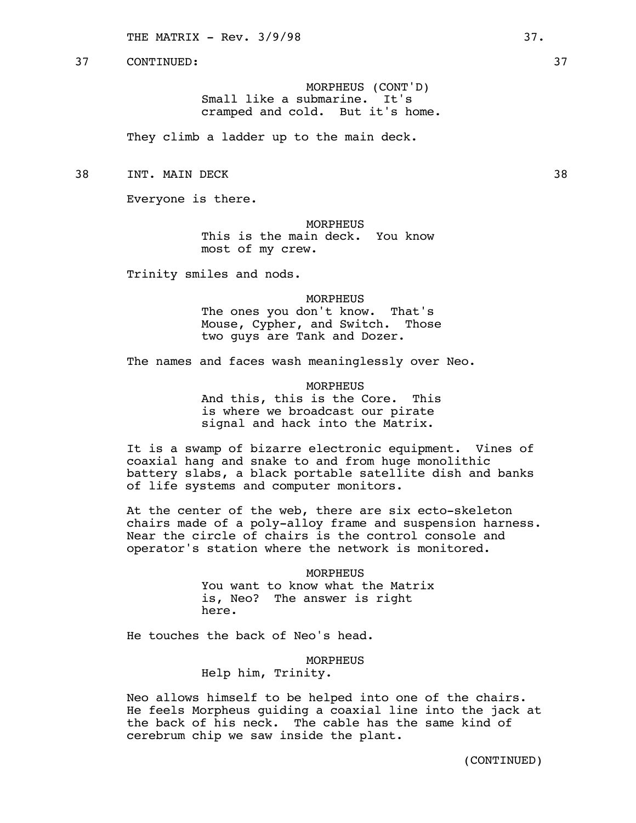THE MATRIX  $-$  Rev.  $3/9/98$  37.

37 CONTINUED: 37

MORPHEUS (CONT'D) Small like a submarine. It's cramped and cold. But it's home.

They climb a ladder up to the main deck.

38 INT. MAIN DECK 38

Everyone is there.

## **MORPHEUS**

This is the main deck. You know most of my crew.

Trinity smiles and nods.

#### MORPHEUS

The ones you don't know. That's Mouse, Cypher, and Switch. Those two guys are Tank and Dozer.

The names and faces wash meaninglessly over Neo.

## MORPHEUS

And this, this is the Core. This is where we broadcast our pirate signal and hack into the Matrix.

It is a swamp of bizarre electronic equipment. Vines of coaxial hang and snake to and from huge monolithic battery slabs, a black portable satellite dish and banks of life systems and computer monitors.

At the center of the web, there are six ecto-skeleton chairs made of a poly-alloy frame and suspension harness. Near the circle of chairs is the control console and operator's station where the network is monitored.

#### **MORPHEUS**

You want to know what the Matrix is, Neo? The answer is right here.

He touches the back of Neo's head.

#### MORPHEUS

## Help him, Trinity.

Neo allows himself to be helped into one of the chairs. He feels Morpheus guiding a coaxial line into the jack at the back of his neck. The cable has the same kind of cerebrum chip we saw inside the plant.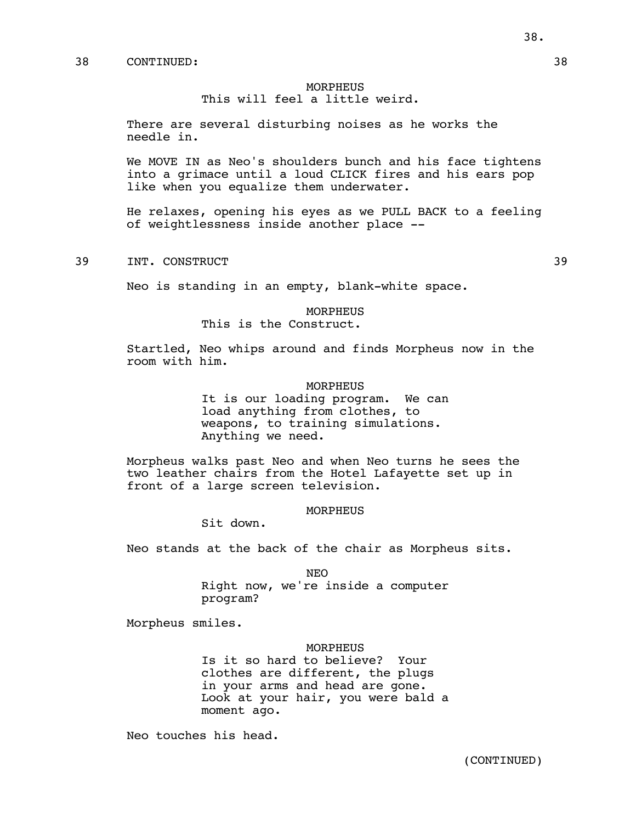### 38 CONTINUED: 38

### MORPHEUS

## This will feel a little weird.

There are several disturbing noises as he works the needle in.

We MOVE IN as Neo's shoulders bunch and his face tightens into a grimace until a loud CLICK fires and his ears pop like when you equalize them underwater.

He relaxes, opening his eyes as we PULL BACK to a feeling of weightlessness inside another place --

39 INT. CONSTRUCT 39

Neo is standing in an empty, blank-white space.

### **MORPHEUS**

This is the Construct.

Startled, Neo whips around and finds Morpheus now in the room with him.

### MORPHEUS

It is our loading program. We can load anything from clothes, to weapons, to training simulations. Anything we need.

Morpheus walks past Neo and when Neo turns he sees the two leather chairs from the Hotel Lafayette set up in front of a large screen television.

### MORPHEUS

Sit down.

Neo stands at the back of the chair as Morpheus sits.

NEO Right now, we're inside a computer program?

Morpheus smiles.

#### **MORPHEUS**

Is it so hard to believe? Your clothes are different, the plugs in your arms and head are gone. Look at your hair, you were bald a moment ago.

Neo touches his head.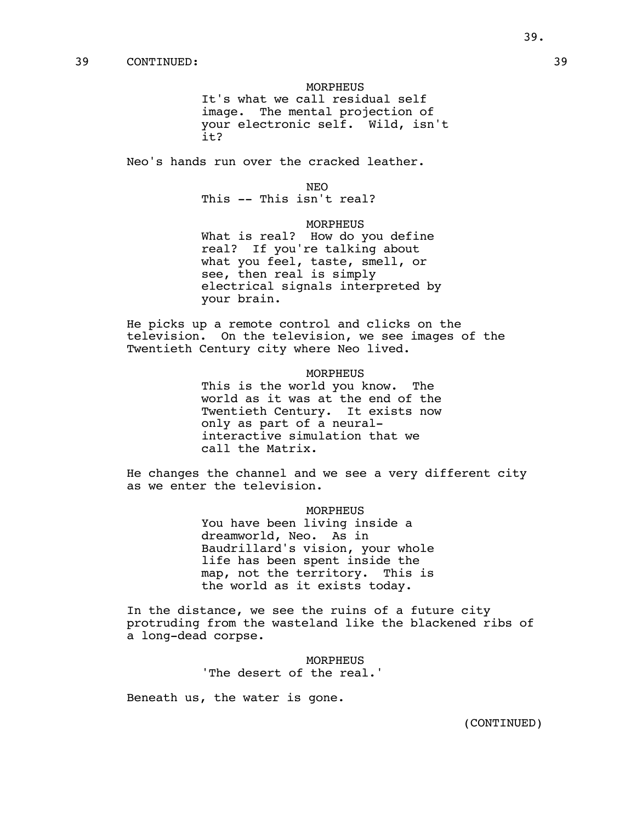It's what we call residual self image. The mental projection of your electronic self. Wild, isn't it?

Neo's hands run over the cracked leather.

NEO

This -- This isn't real?

#### MORPHEUS

What is real? How do you define real? If you're talking about what you feel, taste, smell, or see, then real is simply electrical signals interpreted by your brain.

He picks up a remote control and clicks on the television. On the television, we see images of the Twentieth Century city where Neo lived.

### **MORPHEUS**

This is the world you know. The world as it was at the end of the Twentieth Century. It exists now only as part of a neuralinteractive simulation that we call the Matrix.

He changes the channel and we see a very different city as we enter the television.

**MORPHEUS** 

You have been living inside a dreamworld, Neo. As in Baudrillard's vision, your whole life has been spent inside the map, not the territory. This is the world as it exists today.

In the distance, we see the ruins of a future city protruding from the wasteland like the blackened ribs of a long-dead corpse.

> **MORPHEUS** 'The desert of the real.'

Beneath us, the water is gone.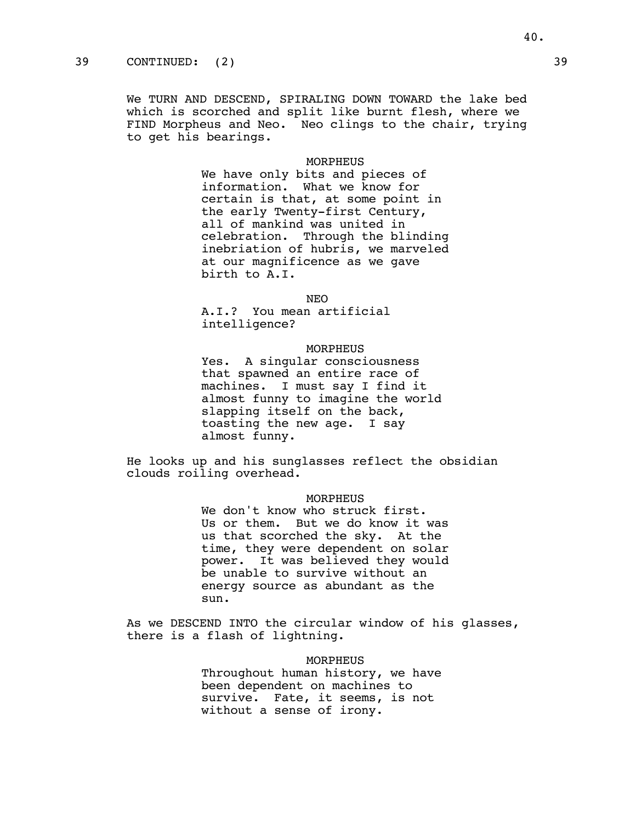We TURN AND DESCEND, SPIRALING DOWN TOWARD the lake bed which is scorched and split like burnt flesh, where we FIND Morpheus and Neo. Neo clings to the chair, trying to get his bearings.

#### MORPHEUS

We have only bits and pieces of information. What we know for certain is that, at some point in the early Twenty-first Century, all of mankind was united in celebration. Through the blinding inebriation of hubris, we marveled at our magnificence as we gave birth to A.I.

NEO

A.I.? You mean artificial intelligence?

## MORPHEUS

Yes. A singular consciousness that spawned an entire race of machines. I must say I find it almost funny to imagine the world slapping itself on the back, toasting the new age. I say almost funny.

He looks up and his sunglasses reflect the obsidian clouds roiling overhead.

#### **MORPHEUS**

We don't know who struck first. Us or them. But we do know it was us that scorched the sky. At the time, they were dependent on solar power. It was believed they would be unable to survive without an energy source as abundant as the sun.

As we DESCEND INTO the circular window of his glasses, there is a flash of lightning.

> MORPHEUS Throughout human history, we have been dependent on machines to survive. Fate, it seems, is not without a sense of irony.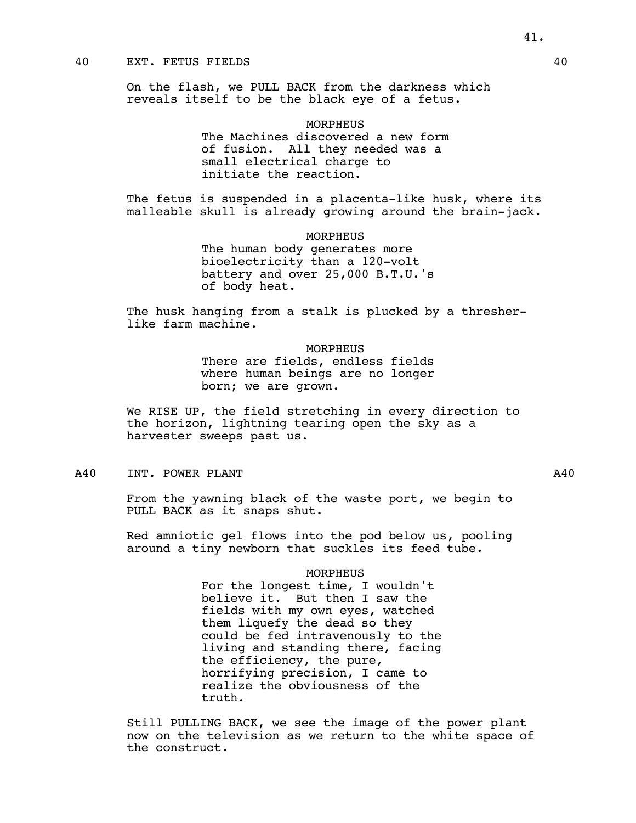### 40 EXT. FETUS FIELDS 40

On the flash, we PULL BACK from the darkness which reveals itself to be the black eye of a fetus.

> **MORPHEUS** The Machines discovered a new form of fusion. All they needed was a small electrical charge to initiate the reaction.

The fetus is suspended in a placenta-like husk, where its malleable skull is already growing around the brain-jack.

MORPHEUS

The human body generates more bioelectricity than a 120-volt battery and over 25,000 B.T.U.'s of body heat.

The husk hanging from a stalk is plucked by a thresherlike farm machine.

#### **MORPHEUS**

There are fields, endless fields where human beings are no longer born; we are grown.

We RISE UP, the field stretching in every direction to the horizon, lightning tearing open the sky as a harvester sweeps past us.

A40 INT. POWER PLANT And the state of the state of the state of the state of the state of the state of the state of the state of the state of the state of the state of the state of the state of the state of the state of th

From the yawning black of the waste port, we begin to PULL BACK as it snaps shut.

Red amniotic gel flows into the pod below us, pooling around a tiny newborn that suckles its feed tube.

### MORPHEUS

For the longest time, I wouldn't believe it. But then I saw the fields with my own eyes, watched them liquefy the dead so they could be fed intravenously to the living and standing there, facing the efficiency, the pure, horrifying precision, I came to realize the obviousness of the truth.

Still PULLING BACK, we see the image of the power plant now on the television as we return to the white space of the construct.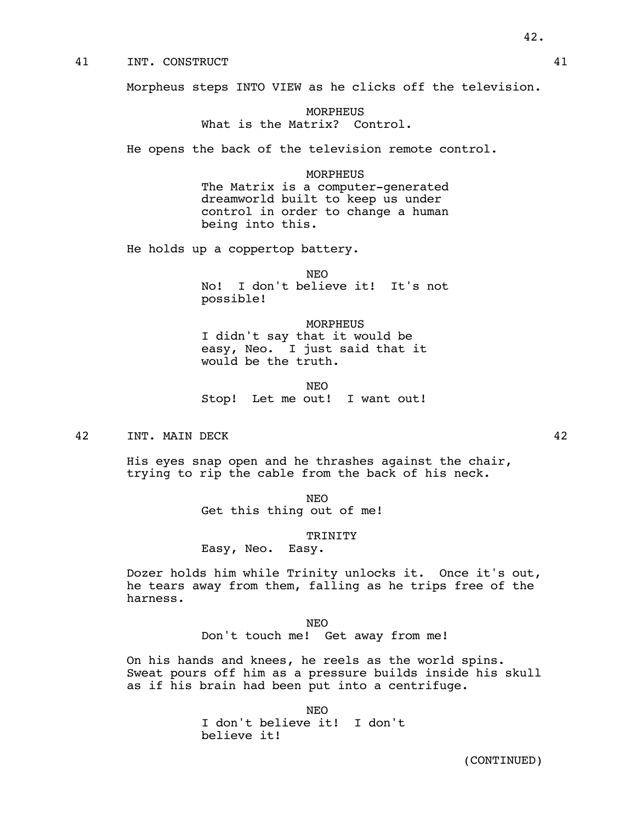### 41 INT. CONSTRUCT 41

Morpheus steps INTO VIEW as he clicks off the television.

MORPHEUS What is the Matrix? Control.

He opens the back of the television remote control.

### MORPHEUS

The Matrix is a computer-generated dreamworld built to keep us under control in order to change a human being into this.

He holds up a coppertop battery.

NEO No! I don't believe it! It's not possible!

MORPHEUS I didn't say that it would be easy, Neo. I just said that it would be the truth.

NEO Stop! Let me out! I want out!

## 42 INT. MAIN DECK 42

His eyes snap open and he thrashes against the chair, trying to rip the cable from the back of his neck.

> NEO Get this thing out of me!

#### **TRINITY**

Easy, Neo. Easy.

Dozer holds him while Trinity unlocks it. Once it's out, he tears away from them, falling as he trips free of the harness.

> NEO Don't touch me! Get away from me!

On his hands and knees, he reels as the world spins. Sweat pours off him as a pressure builds inside his skull as if his brain had been put into a centrifuge.

NEO

I don't believe it! I don't believe it!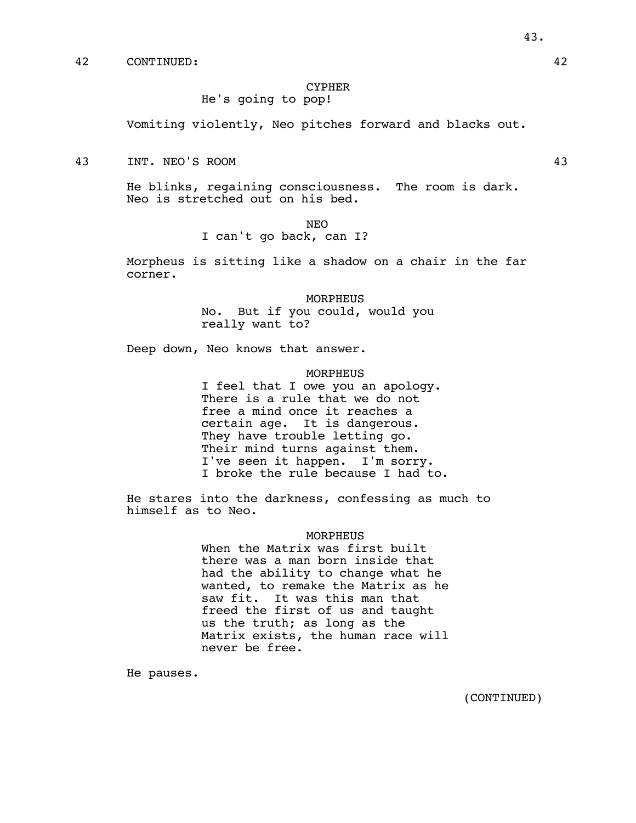## CYPHER

# He's going to pop!

Vomiting violently, Neo pitches forward and blacks out.

43 INT. NEO'S ROOM 43

He blinks, regaining consciousness. The room is dark. Neo is stretched out on his bed.

NEO

I can't go back, can I?

Morpheus is sitting like a shadow on a chair in the far corner.

**MORPHEUS** 

No. But if you could, would you really want to?

Deep down, Neo knows that answer.

#### **MORPHEUS**

I feel that I owe you an apology. There is a rule that we do not free a mind once it reaches a certain age. It is dangerous. They have trouble letting go. Their mind turns against them. I've seen it happen. I'm sorry. I broke the rule because I had to.

He stares into the darkness, confessing as much to himself as to Neo.

**MORPHEUS** 

When the Matrix was first built there was a man born inside that had the ability to change what he wanted, to remake the Matrix as he saw fit. It was this man that freed the first of us and taught us the truth; as long as the Matrix exists, the human race will never be free.

He pauses.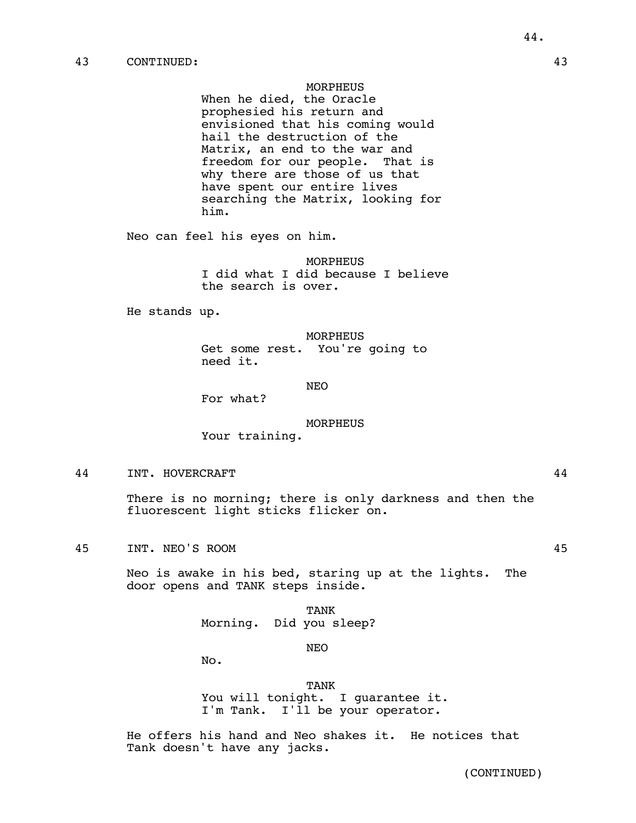When he died, the Oracle prophesied his return and envisioned that his coming would hail the destruction of the Matrix, an end to the war and freedom for our people. That is why there are those of us that have spent our entire lives searching the Matrix, looking for him.

Neo can feel his eyes on him.

**MORPHEUS** I did what I did because I believe the search is over.

He stands up.

MORPHEUS Get some rest. You're going to need it.

#### NEO

For what?

## MORPHEUS

Your training.

44 INT. HOVERCRAFT 44

There is no morning; there is only darkness and then the fluorescent light sticks flicker on.

45 INT. NEO'S ROOM 45

Neo is awake in his bed, staring up at the lights. The door opens and TANK steps inside.

> TANK Morning. Did you sleep?

> > NEO

No.

TANK You will tonight. I guarantee it. I'm Tank. I'll be your operator.

He offers his hand and Neo shakes it. He notices that Tank doesn't have any jacks.

44.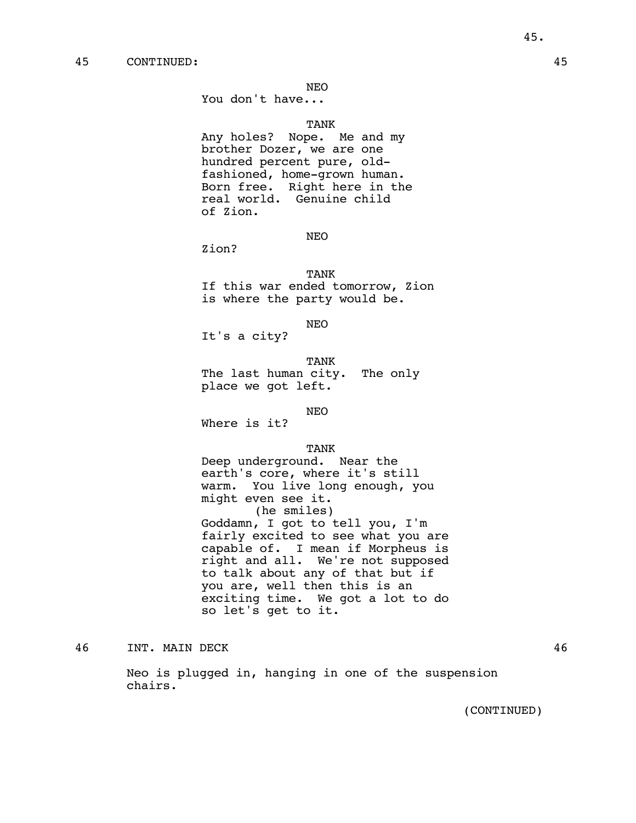You don't have...

### TANK

Any holes? Nope. Me and my brother Dozer, we are one hundred percent pure, oldfashioned, home-grown human. Born free. Right here in the real world. Genuine child of Zion.

## NEO

Zion?

## TANK If this war ended tomorrow, Zion

is where the party would be.

#### NEO

It's a city?

TANK The last human city. The only place we got left.

## NEO

Where is it?

## TANK

Deep underground. Near the earth's core, where it's still warm. You live long enough, you might even see it. (he smiles) Goddamn, I got to tell you, I'm fairly excited to see what you are capable of. I mean if Morpheus is right and all. We're not supposed to talk about any of that but if you are, well then this is an exciting time. We got a lot to do so let's get to it.

### 46 INT. MAIN DECK 46

Neo is plugged in, hanging in one of the suspension chairs.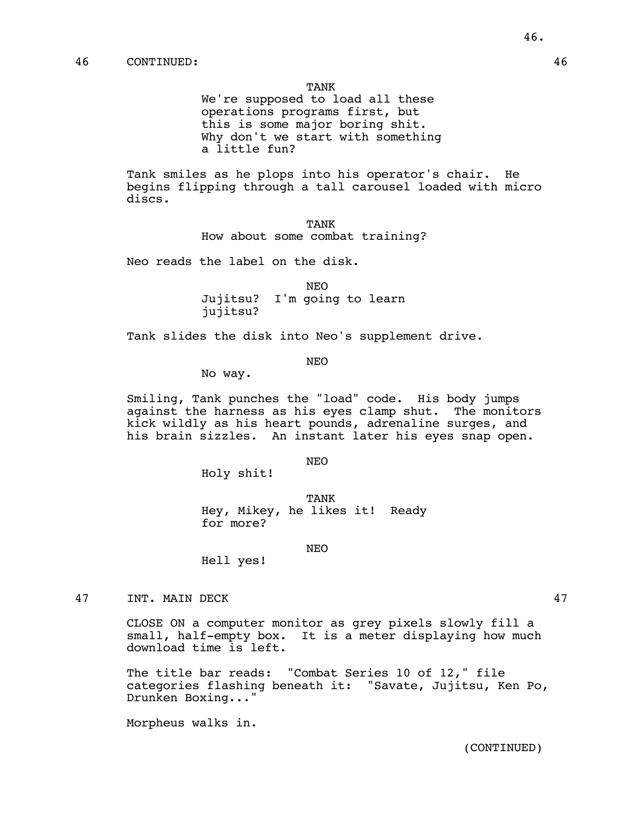#### TANK

We're supposed to load all these operations programs first, but this is some major boring shit. Why don't we start with something a little fun?

Tank smiles as he plops into his operator's chair. He begins flipping through a tall carousel loaded with micro discs.

> TANK How about some combat training?

Neo reads the label on the disk.

NEO Jujitsu? I'm going to learn jujitsu?

Tank slides the disk into Neo's supplement drive.

NEO

No way.

Smiling, Tank punches the "load" code. His body jumps against the harness as his eyes clamp shut. The monitors kick wildly as his heart pounds, adrenaline surges, and his brain sizzles. An instant later his eyes snap open.

NEO

Holy shit!

TANK Hey, Mikey, he likes it! Ready for more?

NEO

Hell yes!

# 47 INT. MAIN DECK 47

CLOSE ON a computer monitor as grey pixels slowly fill a small, half-empty box. It is a meter displaying how much download time is left.

The title bar reads: "Combat Series 10 of 12," file categories flashing beneath it: "Savate, Jujitsu, Ken Po, Drunken Boxing..."

Morpheus walks in.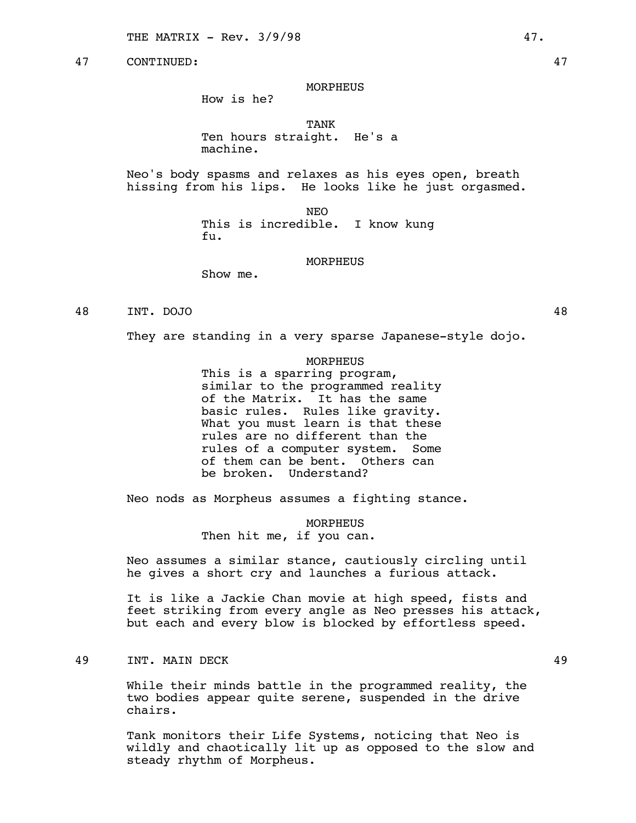47 CONTINUED: 47

### MORPHEUS

How is he?

TANK Ten hours straight. He's a machine.

Neo's body spasms and relaxes as his eyes open, breath hissing from his lips. He looks like he just orgasmed.

> NEO This is incredible. I know kung fu.

#### MORPHEUS

Show me.

48 INT. DOJO 48

They are standing in a very sparse Japanese-style dojo.

### MORPHEUS

This is a sparring program, similar to the programmed reality of the Matrix. It has the same basic rules. Rules like gravity. What you must learn is that these rules are no different than the rules of a computer system. Some of them can be bent. Others can be broken. Understand?

Neo nods as Morpheus assumes a fighting stance.

**MORPHEUS** Then hit me, if you can.

Neo assumes a similar stance, cautiously circling until he gives a short cry and launches a furious attack.

It is like a Jackie Chan movie at high speed, fists and feet striking from every angle as Neo presses his attack, but each and every blow is blocked by effortless speed.

# 49 INT. MAIN DECK 49

While their minds battle in the programmed reality, the two bodies appear quite serene, suspended in the drive chairs.

Tank monitors their Life Systems, noticing that Neo is wildly and chaotically lit up as opposed to the slow and steady rhythm of Morpheus.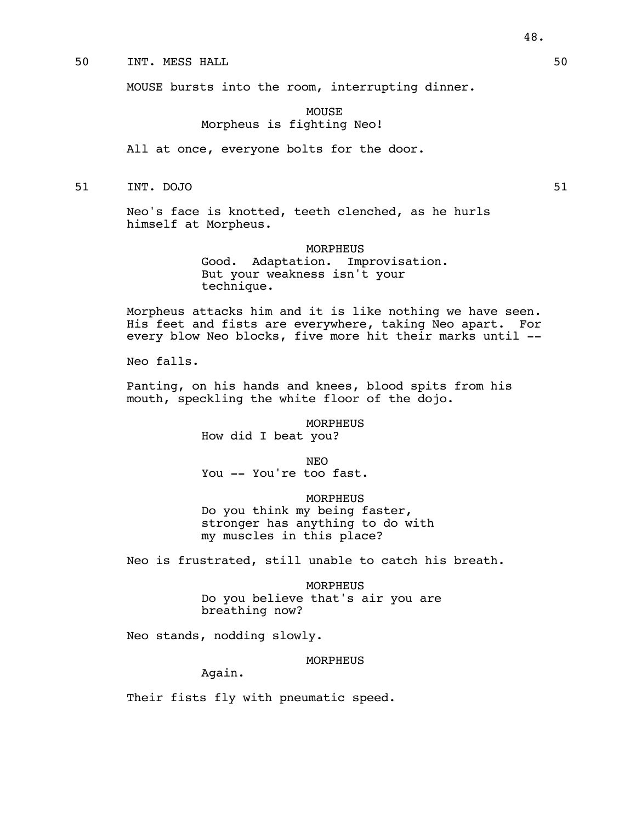## 50 INT. MESS HALL 50

MOUSE bursts into the room, interrupting dinner.

# MOUSE

# Morpheus is fighting Neo!

All at once, everyone bolts for the door.

51 INT. DOJO 51

Neo's face is knotted, teeth clenched, as he hurls himself at Morpheus.

**MORPHEUS** 

Good. Adaptation. Improvisation. But your weakness isn't your technique.

Morpheus attacks him and it is like nothing we have seen. His feet and fists are everywhere, taking Neo apart. For every blow Neo blocks, five more hit their marks until --

Neo falls.

Panting, on his hands and knees, blood spits from his mouth, speckling the white floor of the dojo.

MORPHEUS

How did I beat you?

NEO

You -- You're too fast.

MORPHEUS

Do you think my being faster, stronger has anything to do with my muscles in this place?

Neo is frustrated, still unable to catch his breath.

**MORPHEUS** Do you believe that's air you are breathing now?

Neo stands, nodding slowly.

MORPHEUS

Again.

Their fists fly with pneumatic speed.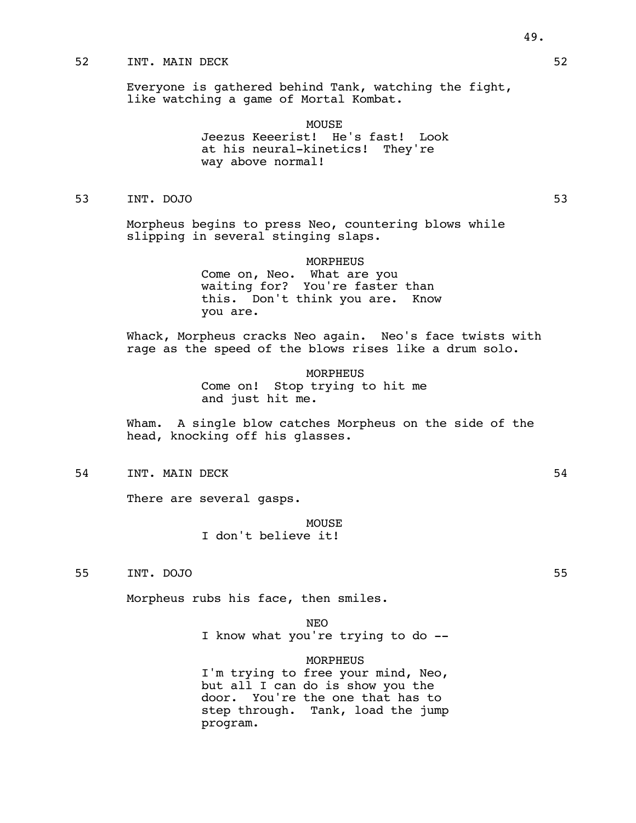#### 52 INT. MAIN DECK 52

Everyone is gathered behind Tank, watching the fight, like watching a game of Mortal Kombat.

> **MOUSE** Jeezus Keeerist! He's fast! Look at his neural-kinetics! They're way above normal!

53 INT. DOJO 53

Morpheus begins to press Neo, countering blows while slipping in several stinging slaps.

> MORPHEUS Come on, Neo. What are you waiting for? You're faster than this. Don't think you are. Know you are.

Whack, Morpheus cracks Neo again. Neo's face twists with rage as the speed of the blows rises like a drum solo.

> MORPHEUS Come on! Stop trying to hit me and just hit me.

Wham. A single blow catches Morpheus on the side of the head, knocking off his glasses.

54 INT. MAIN DECK 54

There are several gasps.

**MOUSE** 

I don't believe it!

55 INT. DOJO 55

Morpheus rubs his face, then smiles.

NEO

I know what you're trying to do --

#### MORPHEUS

I'm trying to free your mind, Neo, but all I can do is show you the door. You're the one that has to step through. Tank, load the jump program.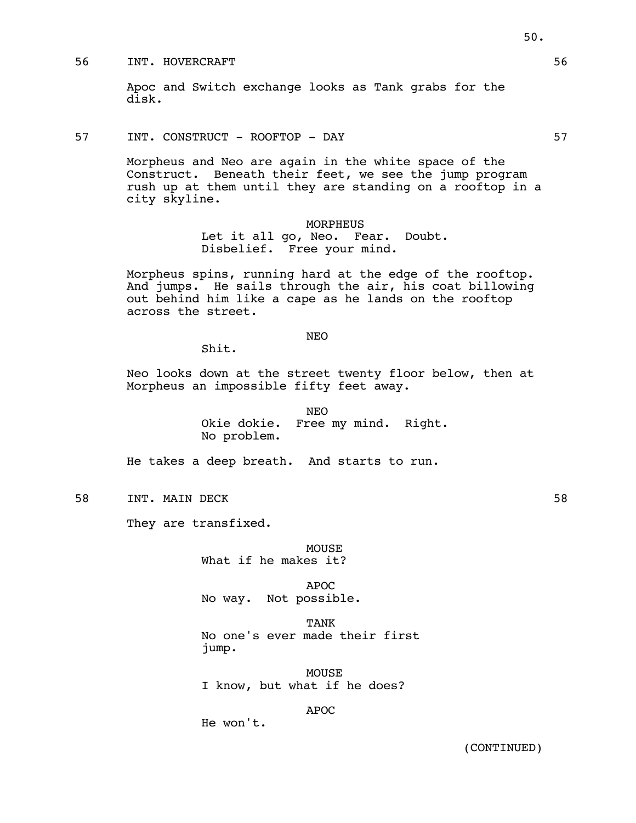### 56 INT. HOVERCRAFT 56

Apoc and Switch exchange looks as Tank grabs for the disk.

57 INT. CONSTRUCT - ROOFTOP - DAY 57

Morpheus and Neo are again in the white space of the Construct. Beneath their feet, we see the jump program rush up at them until they are standing on a rooftop in a city skyline.

## MORPHEUS

Let it all go, Neo. Fear. Doubt. Disbelief. Free your mind.

Morpheus spins, running hard at the edge of the rooftop. And jumps. He sails through the air, his coat billowing out behind him like a cape as he lands on the rooftop across the street.

### NEO

Shit.

Neo looks down at the street twenty floor below, then at Morpheus an impossible fifty feet away.

> NEO Okie dokie. Free my mind. Right. No problem.

He takes a deep breath. And starts to run.

58 INT. MAIN DECK 58 SERVER AND THE SERVER OF STREET STREET STREET IN THE SERVER OF STREET STREET STREET STREET

They are transfixed.

MOUSE What if he makes it?

APOC No way. Not possible.

TANK No one's ever made their first jump.

MOUSE I know, but what if he does?

APOC

He won't.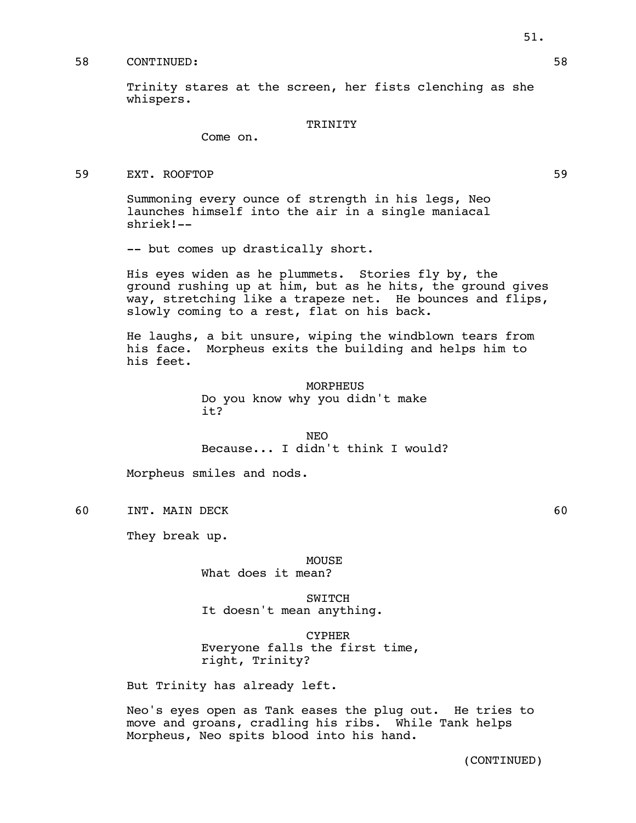### 58 CONTINUED: 58

Trinity stares at the screen, her fists clenching as she whispers.

#### TNITY

Come on.

59 EXT. ROOFTOP 59

Summoning every ounce of strength in his legs, Neo launches himself into the air in a single maniacal shriek!--

-- but comes up drastically short.

His eyes widen as he plummets. Stories fly by, the ground rushing up at him, but as he hits, the ground gives way, stretching like a trapeze net. He bounces and flips, slowly coming to a rest, flat on his back.

He laughs, a bit unsure, wiping the windblown tears from his face. Morpheus exits the building and helps him to his feet.

### MORPHEUS

Do you know why you didn't make it?

NEO Because... I didn't think I would?

Morpheus smiles and nods.

60 INT. MAIN DECK 60

They break up.

**MOUSE** What does it mean?

SWITCH It doesn't mean anything.

CYPHER Everyone falls the first time, right, Trinity?

But Trinity has already left.

Neo's eyes open as Tank eases the plug out. He tries to move and groans, cradling his ribs. While Tank helps Morpheus, Neo spits blood into his hand.

51.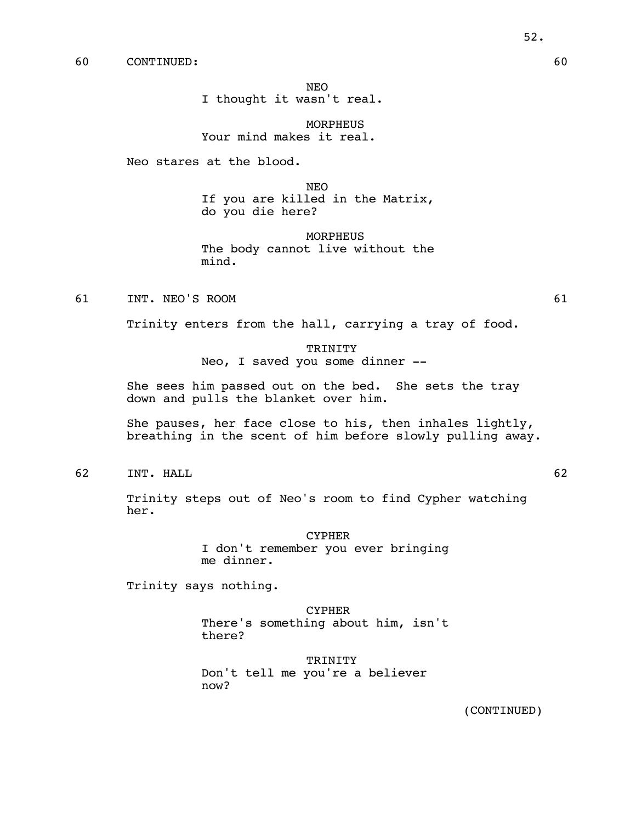I thought it wasn't real.

**MORPHEUS** Your mind makes it real.

Neo stares at the blood.

NEO If you are killed in the Matrix, do you die here?

MORPHEUS The body cannot live without the mind.

61 INT. NEO'S ROOM 61

Trinity enters from the hall, carrying a tray of food.

**TRINITY** Neo, I saved you some dinner --

She sees him passed out on the bed. She sets the tray down and pulls the blanket over him.

She pauses, her face close to his, then inhales lightly, breathing in the scent of him before slowly pulling away.

62 INT. HALL 62

Trinity steps out of Neo's room to find Cypher watching her.

> CYPHER I don't remember you ever bringing me dinner.

Trinity says nothing.

CYPHER There's something about him, isn't there?

**TRINITY** Don't tell me you're a believer now?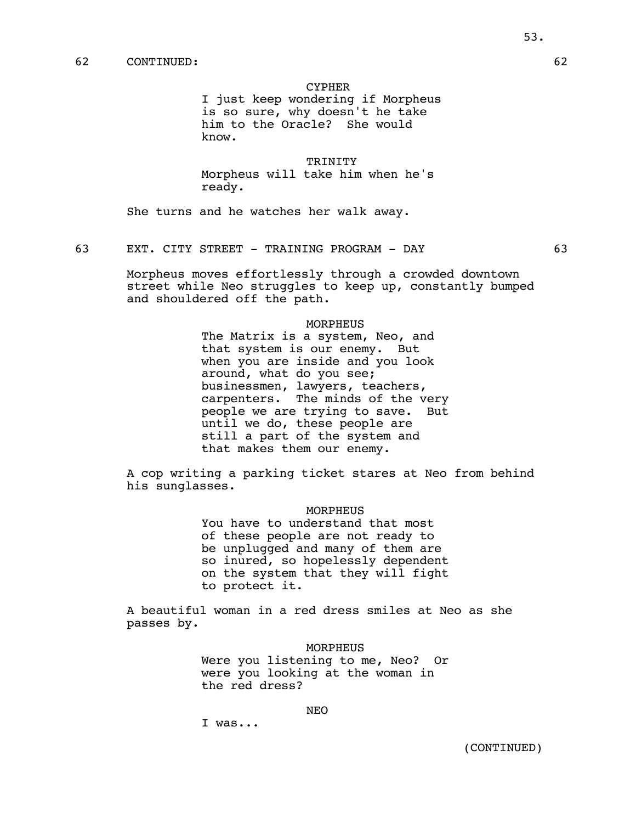#### CYPHER

I just keep wondering if Morpheus is so sure, why doesn't he take him to the Oracle? She would know.

### **TRINITY**

Morpheus will take him when he's ready.

She turns and he watches her walk away.

63 EXT. CITY STREET - TRAINING PROGRAM - DAY 63

Morpheus moves effortlessly through a crowded downtown street while Neo struggles to keep up, constantly bumped and shouldered off the path.

#### MORPHEUS

The Matrix is a system, Neo, and that system is our enemy. But when you are inside and you look around, what do you see; businessmen, lawyers, teachers, carpenters. The minds of the very people we are trying to save. But until we do, these people are still a part of the system and that makes them our enemy.

A cop writing a parking ticket stares at Neo from behind his sunglasses.

#### MORPHEUS

You have to understand that most of these people are not ready to be unplugged and many of them are so inured, so hopelessly dependent on the system that they will fight to protect it.

A beautiful woman in a red dress smiles at Neo as she passes by.

#### MORPHEUS

Were you listening to me, Neo? Or were you looking at the woman in the red dress?

#### NEO

I was...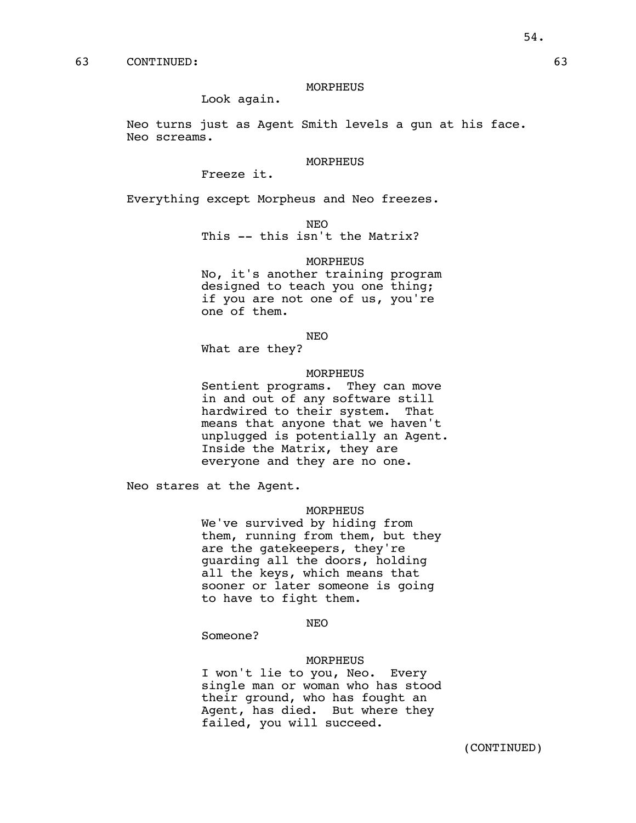Look again.

Neo turns just as Agent Smith levels a gun at his face. Neo screams.

### MORPHEUS

Freeze it.

Everything except Morpheus and Neo freezes.

NEO This -- this isn't the Matrix?

MORPHEUS No, it's another training program designed to teach you one thing; if you are not one of us, you're one of them.

NEO

What are they?

#### MORPHEUS

Sentient programs. They can move in and out of any software still hardwired to their system. That means that anyone that we haven't unplugged is potentially an Agent. Inside the Matrix, they are everyone and they are no one.

Neo stares at the Agent.

#### MORPHEUS

We've survived by hiding from them, running from them, but they are the gatekeepers, they're guarding all the doors, holding all the keys, which means that sooner or later someone is going to have to fight them.

NEO

Someone?

#### MORPHEUS

I won't lie to you, Neo. Every single man or woman who has stood their ground, who has fought an Agent, has died. But where they failed, you will succeed.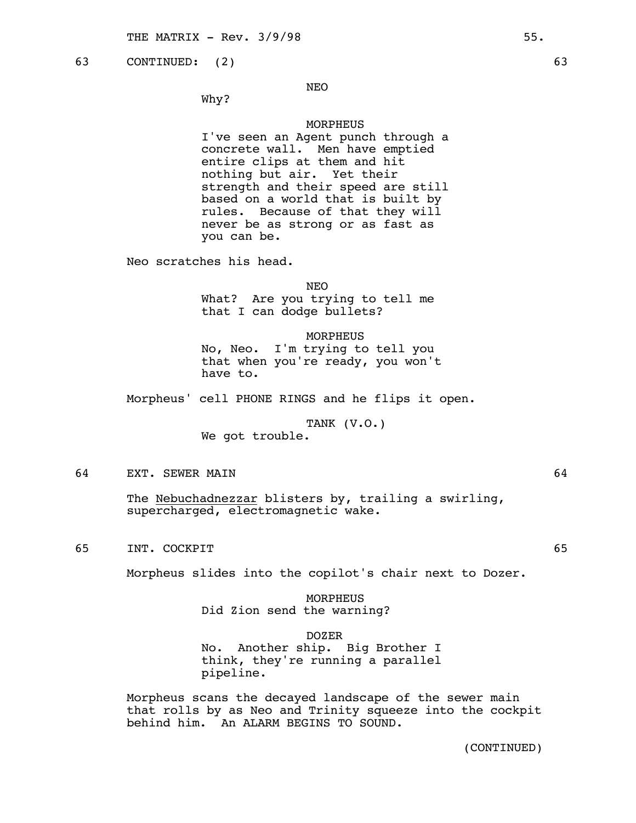THE MATRIX  $-$  Rev.  $3/9/98$  55.

63 CONTINUED: (2) 63

#### NEO

Why?

## MORPHEUS

I've seen an Agent punch through a concrete wall. Men have emptied entire clips at them and hit nothing but air. Yet their strength and their speed are still based on a world that is built by rules. Because of that they will never be as strong or as fast as you can be.

Neo scratches his head.

NEO

What? Are you trying to tell me that I can dodge bullets?

#### **MORPHEUS**

No, Neo. I'm trying to tell you that when you're ready, you won't have to.

Morpheus' cell PHONE RINGS and he flips it open.

TANK (V.O.) We got trouble.

64 EXT. SEWER MAIN 64

The Nebuchadnezzar blisters by, trailing a swirling, supercharged, electromagnetic wake.

65 INT. COCKPIT 65

Morpheus slides into the copilot's chair next to Dozer.

# MORPHEUS

Did Zion send the warning?

## DOZER

No. Another ship. Big Brother I think, they're running a parallel pipeline.

Morpheus scans the decayed landscape of the sewer main that rolls by as Neo and Trinity squeeze into the cockpit behind him. An ALARM BEGINS TO SOUND.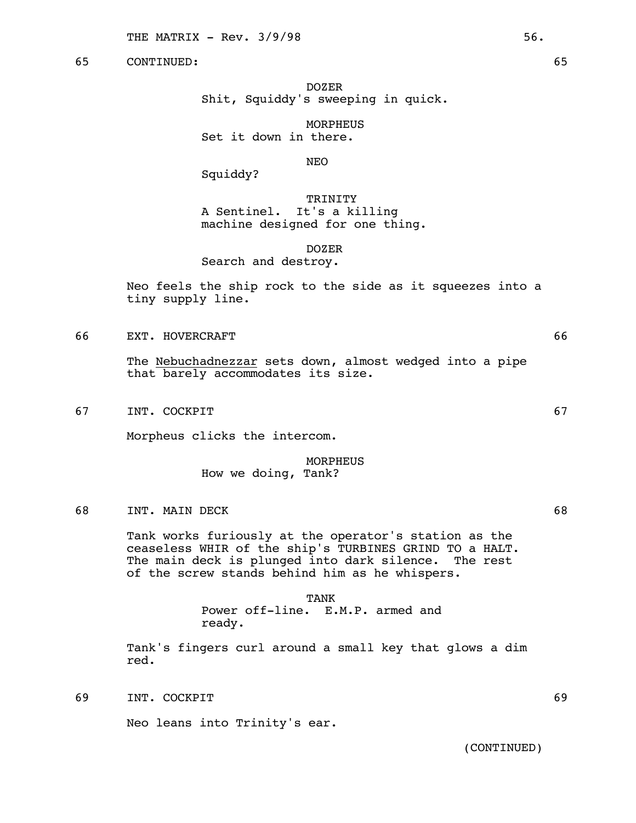65 CONTINUED: 65

DOZER Shit, Squiddy's sweeping in quick.

MORPHEUS Set it down in there.

NEO

Squiddy?

TRINITY A Sentinel. It's a killing machine designed for one thing.

DOZER

Search and destroy.

Neo feels the ship rock to the side as it squeezes into a tiny supply line.

66 EXT. HOVERCRAFT 66

The Nebuchadnezzar sets down, almost wedged into a pipe that barely accommodates its size.

67 INT. COCKPIT 67 67

Morpheus clicks the intercom.

## MORPHEUS How we doing, Tank?

68 INT. MAIN DECK 68

Tank works furiously at the operator's station as the ceaseless WHIR of the ship's TURBINES GRIND TO a HALT. The main deck is plunged into dark silence. The rest of the screw stands behind him as he whispers.

> TANK Power off-line. E.M.P. armed and ready.

Tank's fingers curl around a small key that glows a dim red.

69 INT. COCKPIT 69

Neo leans into Trinity's ear.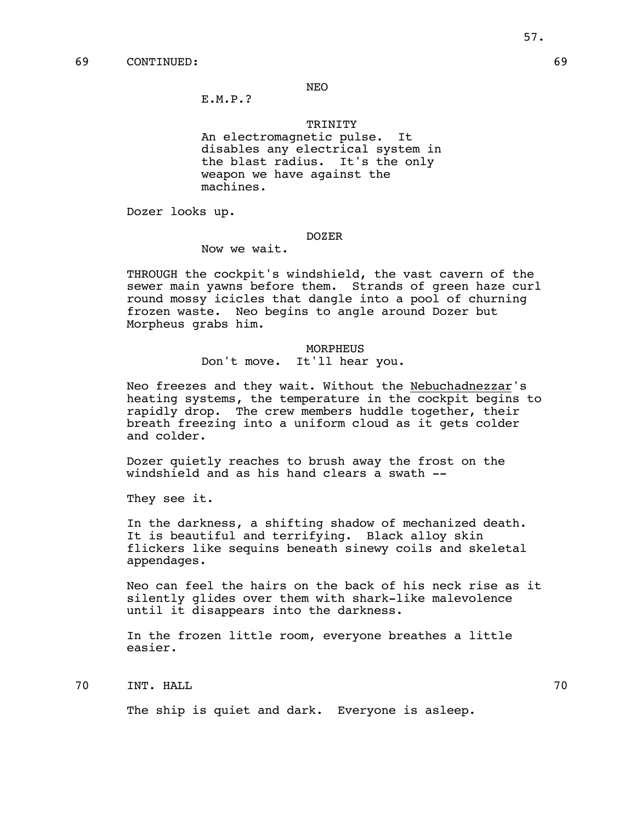E.M.P.?

### **TRINITY**

An electromagnetic pulse. It disables any electrical system in the blast radius. It's the only weapon we have against the machines.

Dozer looks up.

### DOZER

Now we wait.

THROUGH the cockpit's windshield, the vast cavern of the sewer main yawns before them. Strands of green haze curl round mossy icicles that dangle into a pool of churning frozen waste. Neo begins to angle around Dozer but Morpheus grabs him.

## **MORPHEUS** Don't move. It'll hear you.

Neo freezes and they wait. Without the Nebuchadnezzar's heating systems, the temperature in the cockpit begins to rapidly drop. The crew members huddle together, their breath freezing into a uniform cloud as it gets colder and colder.

Dozer quietly reaches to brush away the frost on the windshield and as his hand clears a swath --

They see it.

In the darkness, a shifting shadow of mechanized death. It is beautiful and terrifying. Black alloy skin flickers like sequins beneath sinewy coils and skeletal appendages.

Neo can feel the hairs on the back of his neck rise as it silently glides over them with shark-like malevolence until it disappears into the darkness.

In the frozen little room, everyone breathes a little easier.

70 INT. HALL 70

The ship is quiet and dark. Everyone is asleep.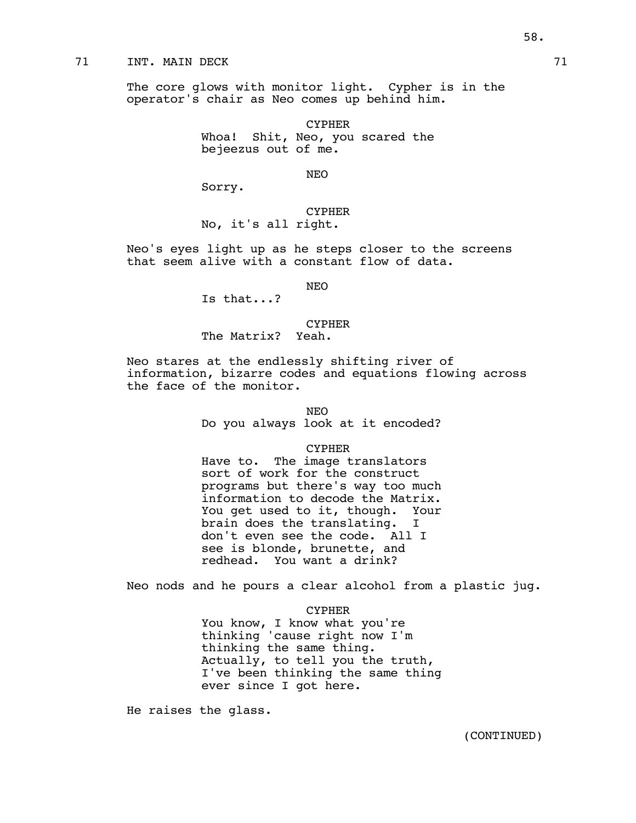### 71 INT. MAIN DECK 71

The core glows with monitor light. Cypher is in the operator's chair as Neo comes up behind him.

> CYPHER Whoa! Shit, Neo, you scared the bejeezus out of me.

> > NEO

Sorry.

CYPHER No, it's all right.

Neo's eyes light up as he steps closer to the screens that seem alive with a constant flow of data.

NEO

Is that...?

**CYPHER** The Matrix? Yeah.

Neo stares at the endlessly shifting river of information, bizarre codes and equations flowing across the face of the monitor.

> NEO Do you always look at it encoded?

> > CYPHER

Have to. The image translators sort of work for the construct programs but there's way too much information to decode the Matrix. You get used to it, though. Your brain does the translating. I don't even see the code. All I see is blonde, brunette, and redhead. You want a drink?

Neo nods and he pours a clear alcohol from a plastic jug.

CYPHER

You know, I know what you're thinking 'cause right now I'm thinking the same thing. Actually, to tell you the truth, I've been thinking the same thing ever since I got here.

He raises the glass.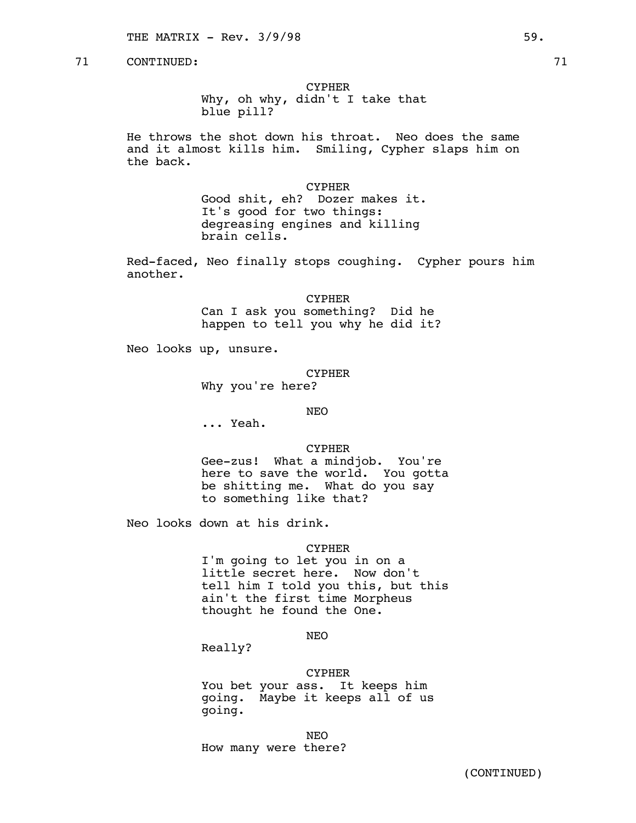71 CONTINUED: 71

### CYPHER

Why, oh why, didn't I take that blue pill?

He throws the shot down his throat. Neo does the same and it almost kills him. Smiling, Cypher slaps him on the back.

CYPHER

Good shit, eh? Dozer makes it. It's good for two things: degreasing engines and killing brain cells.

Red-faced, Neo finally stops coughing. Cypher pours him another.

> CYPHER Can I ask you something? Did he happen to tell you why he did it?

Neo looks up, unsure.

#### CYPHER

Why you're here?

# NEO

... Yeah.

### CYPHER

Gee-zus! What a mindjob. You're here to save the world. You gotta be shitting me. What do you say to something like that?

Neo looks down at his drink.

#### CYPHER

I'm going to let you in on a little secret here. Now don't tell him I told you this, but this ain't the first time Morpheus thought he found the One.

NEO

Really?

#### CYPHER

You bet your ass. It keeps him going. Maybe it keeps all of us going.

NEO How many were there?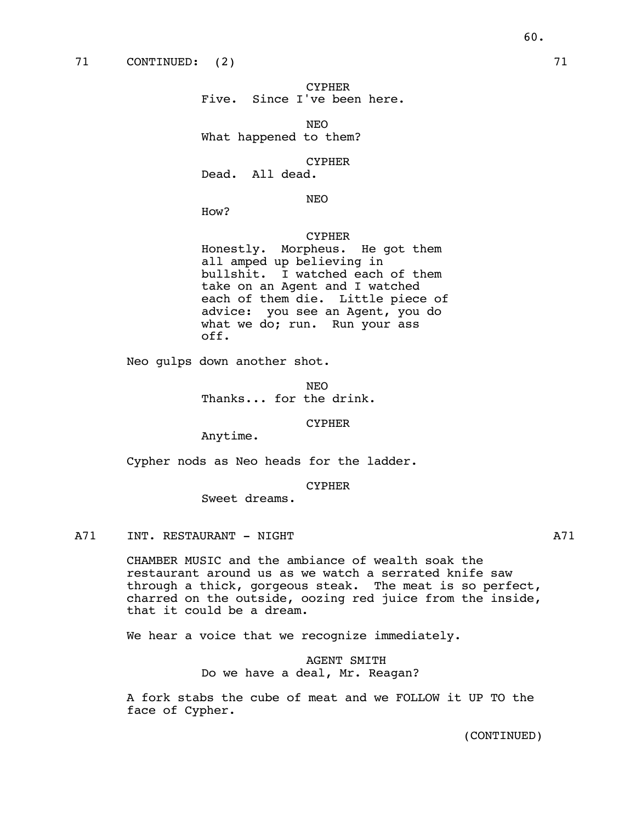# CYPHER Five. Since I've been here.

NEO What happened to them?

#### CYPHER

Dead. All dead.

NEO

How?

### CYPHER

Honestly. Morpheus. He got them all amped up believing in bullshit. I watched each of them take on an Agent and I watched each of them die. Little piece of advice: you see an Agent, you do what we do; run. Run your ass off.

Neo gulps down another shot.

NEO Thanks... for the drink.

## CYPHER

Anytime.

Cypher nods as Neo heads for the ladder.

### CYPHER

Sweet dreams.

## A71 INT. RESTAURANT - NIGHT A71

CHAMBER MUSIC and the ambiance of wealth soak the restaurant around us as we watch a serrated knife saw through a thick, gorgeous steak. The meat is so perfect, charred on the outside, oozing red juice from the inside, that it could be a dream.

We hear a voice that we recognize immediately.

AGENT SMITH Do we have a deal, Mr. Reagan?

A fork stabs the cube of meat and we FOLLOW it UP TO the face of Cypher.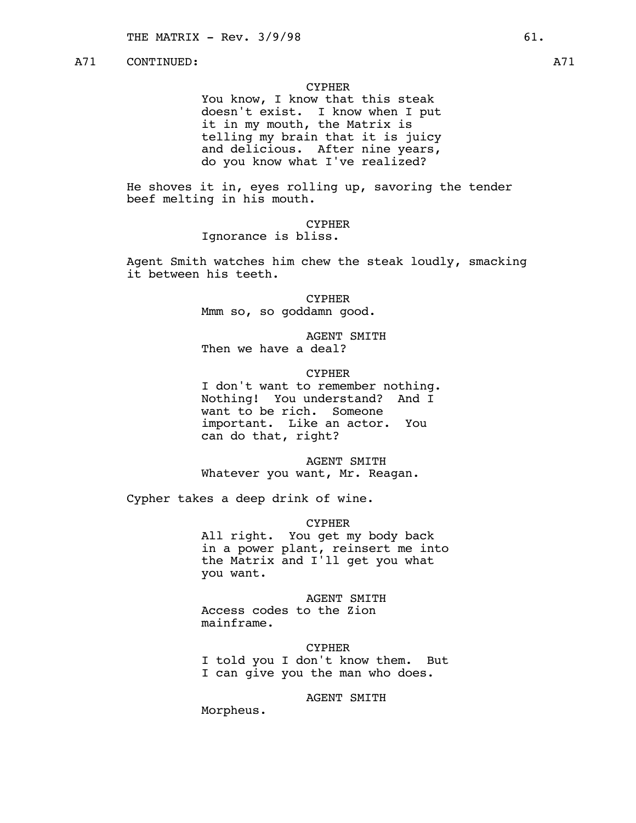A71 CONTINUED: A71

#### CYPHER

You know, I know that this steak doesn't exist. I know when I put it in my mouth, the Matrix is telling my brain that it is juicy and delicious. After nine years, do you know what I've realized?

He shoves it in, eyes rolling up, savoring the tender beef melting in his mouth.

#### CYPHER

Ignorance is bliss.

Agent Smith watches him chew the steak loudly, smacking it between his teeth.

> CYPHER Mmm so, so goddamn good.

> > AGENT SMITH

Then we have a deal?

### CYPHER

I don't want to remember nothing. Nothing! You understand? And I want to be rich. Someone important. Like an actor. You can do that, right?

AGENT SMITH Whatever you want, Mr. Reagan.

Cypher takes a deep drink of wine.

CYPHER All right. You get my body back in a power plant, reinsert me into the Matrix and I'll get you what you want.

AGENT SMITH Access codes to the Zion mainframe.

CYPHER I told you I don't know them. But I can give you the man who does.

AGENT SMITH

Morpheus.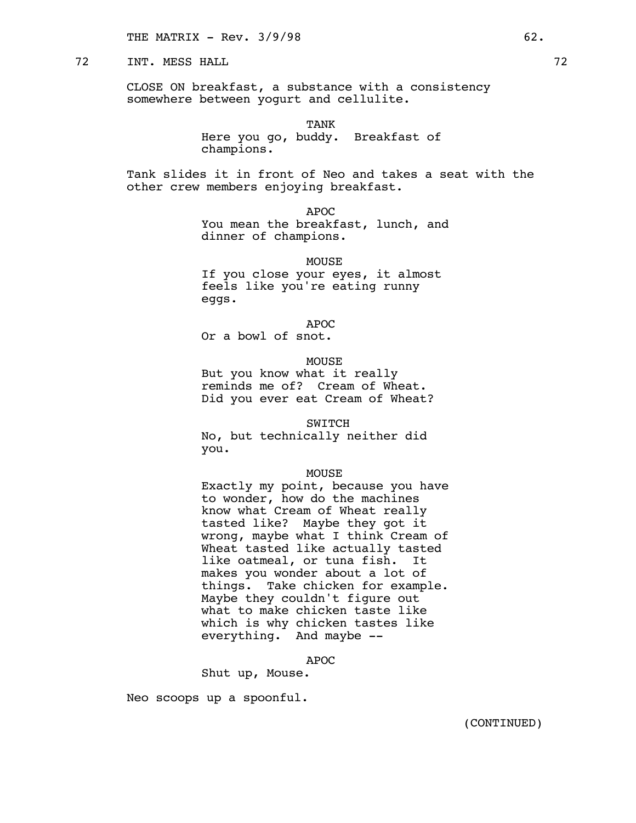72 INT. MESS HALL 2008 2012 12:30 12:30 12:30 12:30 12:30 12:30 12:30 12:30 12:30 12:30 12:30 12:30 12:30 12:30 12:30 12:30 12:30 12:30 12:30 12:30 12:30 12:30 12:30 12:30 12:30 12:30 12:30 12:30 12:30 12:30 12:30 12:30 12

CLOSE ON breakfast, a substance with a consistency somewhere between yogurt and cellulite.

> TANK Here you go, buddy. Breakfast of champions.

Tank slides it in front of Neo and takes a seat with the other crew members enjoying breakfast.

> APOC You mean the breakfast, lunch, and dinner of champions.

MOUSE If you close your eyes, it almost feels like you're eating runny eggs.

APOC

Or a bowl of snot.

MOUSE

But you know what it really reminds me of? Cream of Wheat. Did you ever eat Cream of Wheat?

SWITCH

No, but technically neither did you.

### MOUSE

Exactly my point, because you have to wonder, how do the machines know what Cream of Wheat really tasted like? Maybe they got it wrong, maybe what I think Cream of Wheat tasted like actually tasted like oatmeal, or tuna fish. It makes you wonder about a lot of things. Take chicken for example. Maybe they couldn't figure out what to make chicken taste like which is why chicken tastes like everything. And maybe --

APOC

Shut up, Mouse.

Neo scoops up a spoonful.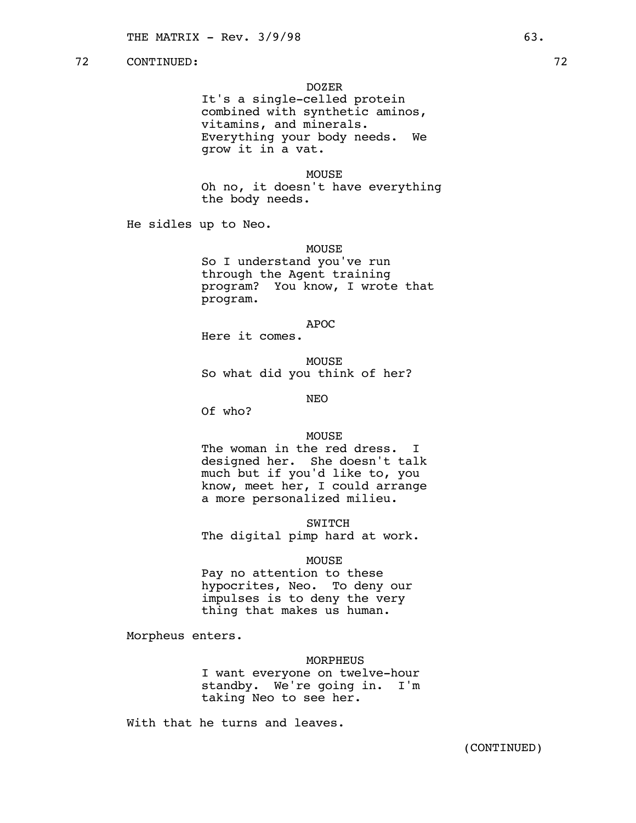## 72 CONTINUED: 72

#### DOZER

It's a single-celled protein combined with synthetic aminos, vitamins, and minerals. Everything your body needs. We grow it in a vat.

## MOUSE

Oh no, it doesn't have everything the body needs.

He sidles up to Neo.

MOUSE

So I understand you've run through the Agent training program? You know, I wrote that program.

APOC

Here it comes.

MOUSE So what did you think of her?

NEO

Of who?

### MOUSE

The woman in the red dress. I designed her. She doesn't talk much but if you'd like to, you know, meet her, I could arrange a more personalized milieu.

SWITCH

The digital pimp hard at work.

#### MOUSE

Pay no attention to these hypocrites, Neo. To deny our impulses is to deny the very thing that makes us human.

Morpheus enters.

#### MORPHEUS

I want everyone on twelve-hour standby. We're going in. I'm taking Neo to see her.

With that he turns and leaves.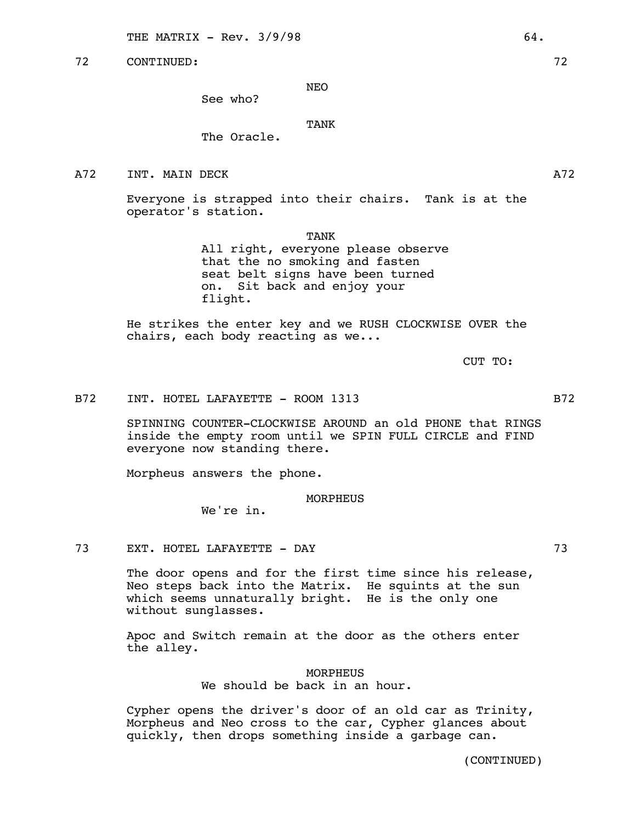THE MATRIX  $-$  Rev.  $3/9/98$  64.

72 CONTINUED: 72

NEO

See who?

#### TANK

The Oracle.

A72 INT. MAIN DECK A72

Everyone is strapped into their chairs. Tank is at the operator's station.

TANK

All right, everyone please observe that the no smoking and fasten seat belt signs have been turned on. Sit back and enjoy your flight.

He strikes the enter key and we RUSH CLOCKWISE OVER the chairs, each body reacting as we...

CUT TO:

B72 INT. HOTEL LAFAYETTE - ROOM 1313 B72

SPINNING COUNTER-CLOCKWISE AROUND an old PHONE that RINGS inside the empty room until we SPIN FULL CIRCLE and FIND everyone now standing there.

Morpheus answers the phone.

MORPHEUS

We're in.

73 EXT. HOTEL LAFAYETTE - DAY 73

The door opens and for the first time since his release, Neo steps back into the Matrix. He squints at the sun which seems unnaturally bright. He is the only one without sunglasses.

Apoc and Switch remain at the door as the others enter the alley.

> **MORPHEUS** We should be back in an hour.

Cypher opens the driver's door of an old car as Trinity, Morpheus and Neo cross to the car, Cypher glances about quickly, then drops something inside a garbage can.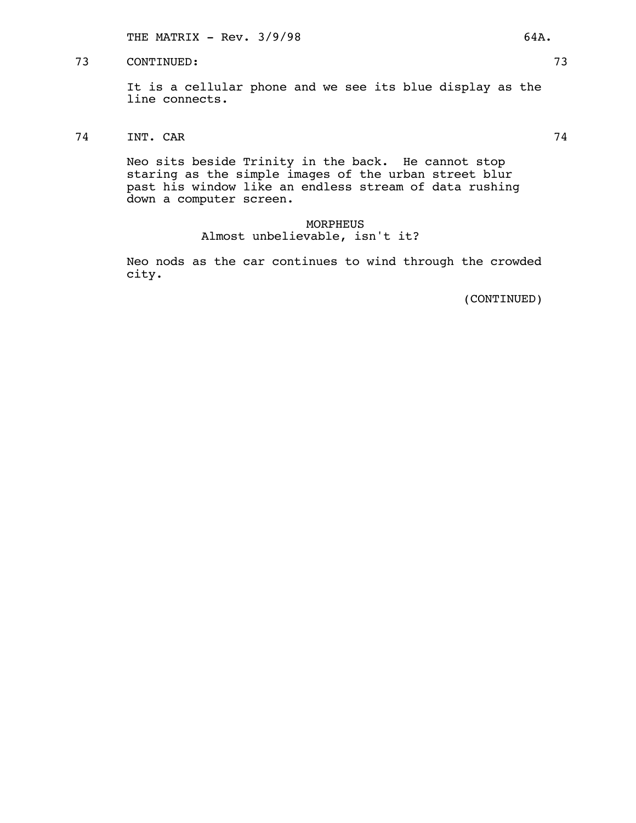THE MATRIX  $-$  Rev.  $3/9/98$  64A.

## 73 CONTINUED: 73

It is a cellular phone and we see its blue display as the line connects.

74 INT. CAR 74

Neo sits beside Trinity in the back. He cannot stop staring as the simple images of the urban street blur past his window like an endless stream of data rushing down a computer screen.

# MORPHEUS Almost unbelievable, isn't it?

Neo nods as the car continues to wind through the crowded city.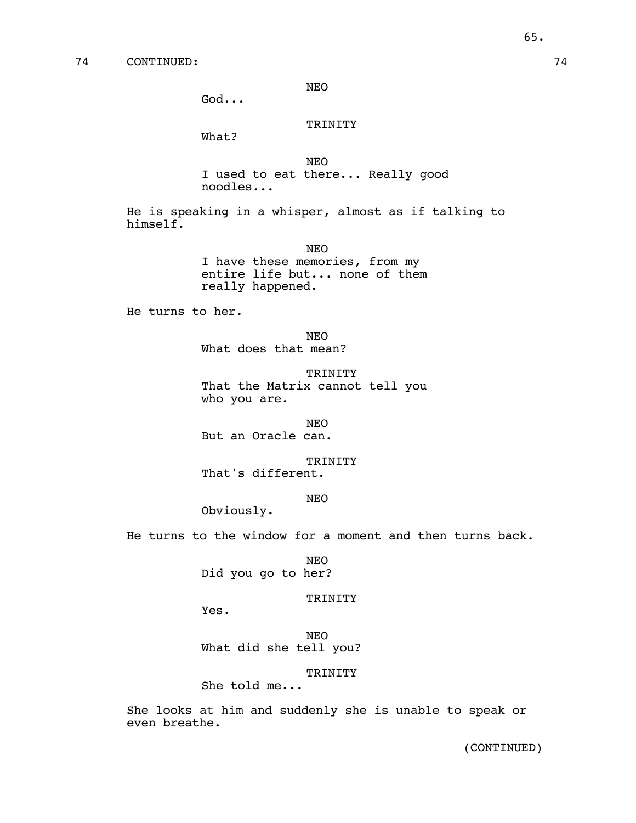God...

## TRINITY

What?

NEO I used to eat there... Really good noodles...

He is speaking in a whisper, almost as if talking to himself.

> NEO I have these memories, from my entire life but... none of them really happened.

He turns to her.

NEO

What does that mean?

**TRINITY** That the Matrix cannot tell you who you are.

NEO But an Oracle can.

**TRINITY** That's different.

NEO

Obviously.

He turns to the window for a moment and then turns back.

NEO Did you go to her?

**TRINITY** 

Yes.

NEO What did she tell you?

**TRINITY** 

She told me...

She looks at him and suddenly she is unable to speak or even breathe.

65.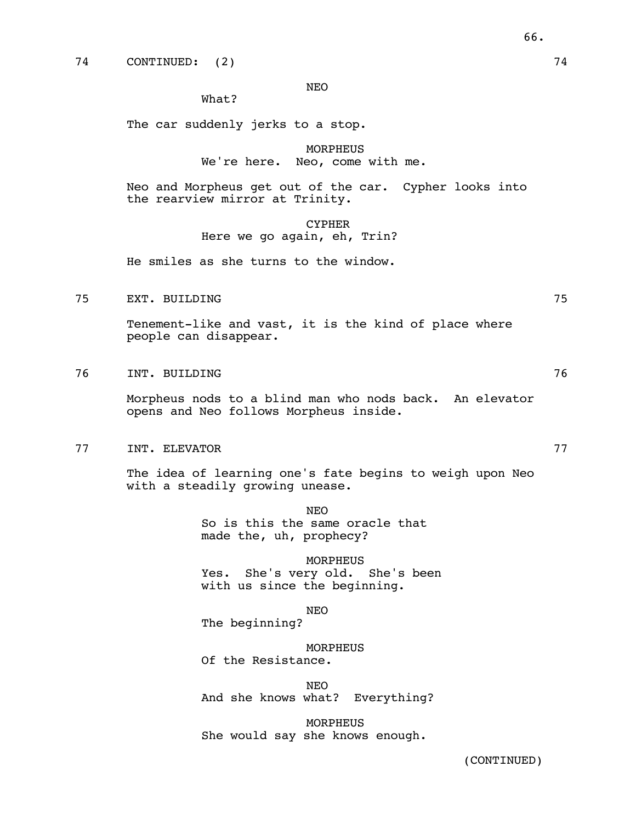What?

The car suddenly jerks to a stop.

MORPHEUS We're here. Neo, come with me.

Neo and Morpheus get out of the car. Cypher looks into the rearview mirror at Trinity.

# CYPHER Here we go again, eh, Trin?

He smiles as she turns to the window.

75 EXT. BUILDING 75

Tenement-like and vast, it is the kind of place where people can disappear.

76 INT. BUILDING 76

Morpheus nods to a blind man who nods back. An elevator opens and Neo follows Morpheus inside.

77 INT. ELEVATOR 77

The idea of learning one's fate begins to weigh upon Neo with a steadily growing unease.

> NEO So is this the same oracle that made the, uh, prophecy?

MORPHEUS Yes. She's very old. She's been with us since the beginning.

NEO

The beginning?

MORPHEUS Of the Resistance.

NEO And she knows what? Everything?

MORPHEUS She would say she knows enough.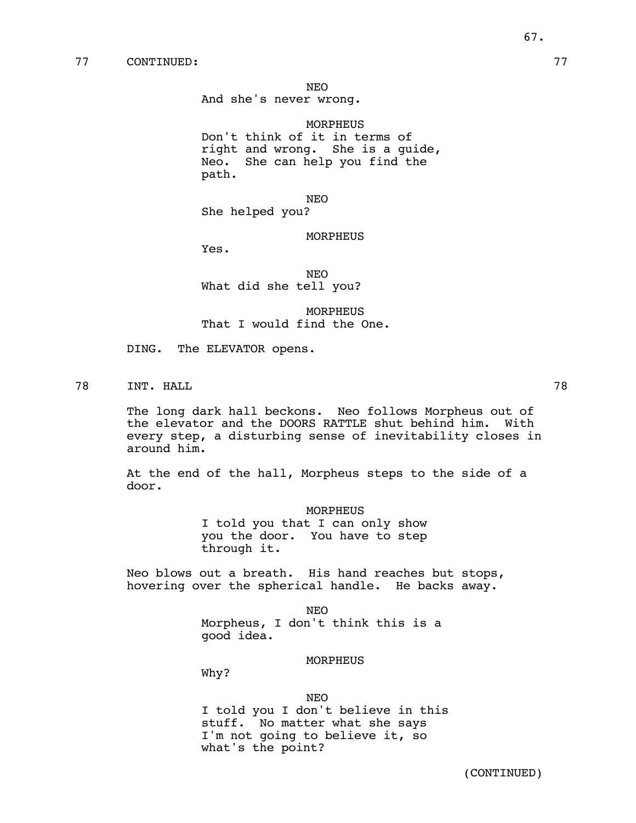And she's never wrong.

MORPHEUS Don't think of it in terms of right and wrong. She is a guide, Neo. She can help you find the path.

NEO

She helped you?

#### MORPHEUS

Yes.

NEO What did she tell you?

**MORPHEUS** That I would find the One.

DING. The ELEVATOR opens.

78 INT. HALL 78

The long dark hall beckons. Neo follows Morpheus out of the elevator and the DOORS RATTLE shut behind him. With every step, a disturbing sense of inevitability closes in around him.

At the end of the hall, Morpheus steps to the side of a door.

> MORPHEUS I told you that I can only show you the door. You have to step through it.

Neo blows out a breath. His hand reaches but stops, hovering over the spherical handle. He backs away.

NEO

Morpheus, I don't think this is a good idea.

#### MORPHEUS

Why?

NEO

I told you I don't believe in this stuff. No matter what she says I'm not going to believe it, so what's the point?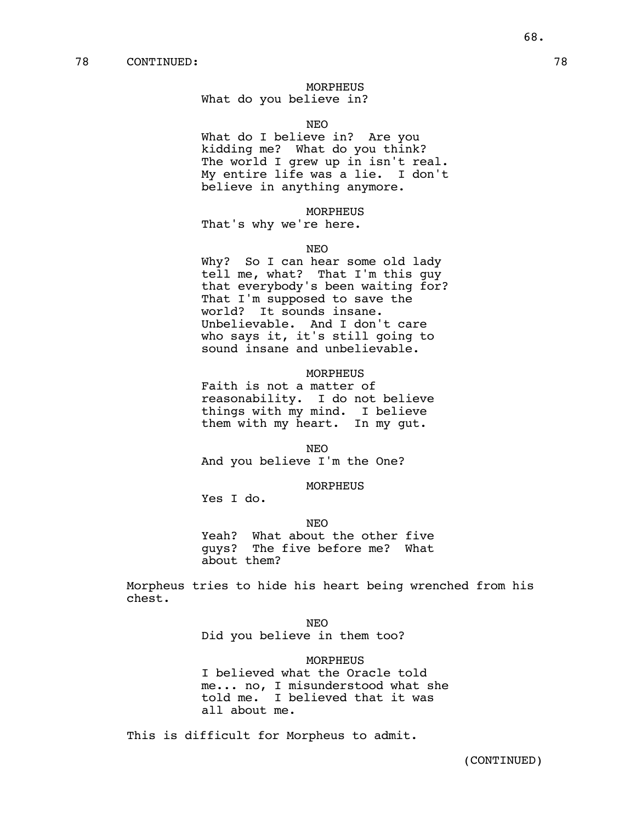What do you believe in?

#### NEO

What do I believe in? Are you kidding me? What do you think? The world I grew up in isn't real. My entire life was a lie. I don't believe in anything anymore.

#### MORPHEUS

That's why we're here.

NEO

Why? So I can hear some old lady tell me, what? That I'm this guy that everybody's been waiting for? That I'm supposed to save the world? It sounds insane. Unbelievable. And I don't care who says it, it's still going to sound insane and unbelievable.

### **MORPHEUS**

Faith is not a matter of reasonability. I do not believe things with my mind. I believe them with my heart. In my gut.

NEO And you believe I'm the One?

MORPHEUS

Yes I do.

NEO

Yeah? What about the other five<br>quys? The five before me? What The five before me? What about them?

Morpheus tries to hide his heart being wrenched from his chest.

NEO

Did you believe in them too?

MORPHEUS

I believed what the Oracle told me... no, I misunderstood what she told me. I believed that it was all about me.

This is difficult for Morpheus to admit.

68.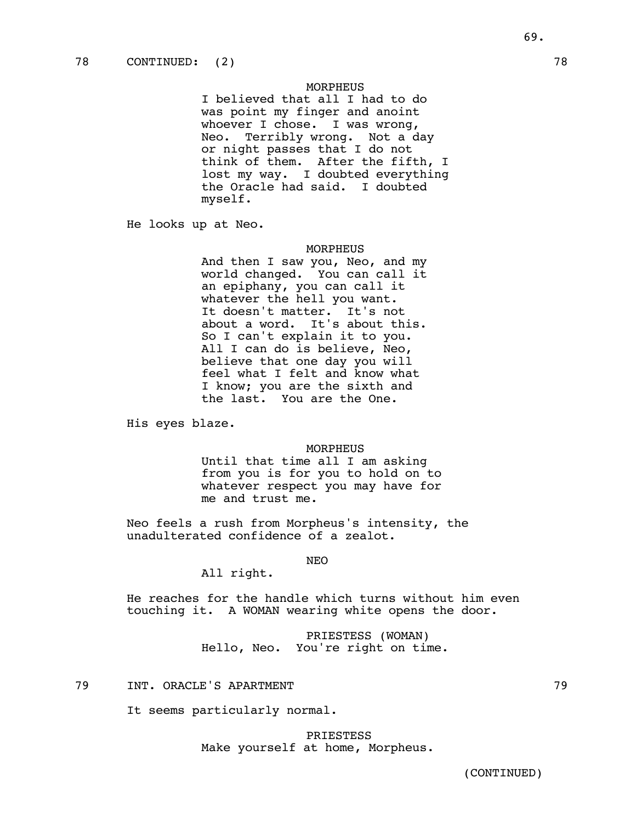I believed that all I had to do was point my finger and anoint whoever I chose. I was wrong, Neo. Terribly wrong. Not a day or night passes that I do not think of them. After the fifth, I lost my way. I doubted everything the Oracle had said. I doubted myself.

He looks up at Neo.

### MORPHEUS

And then I saw you, Neo, and my world changed. You can call it an epiphany, you can call it whatever the hell you want. It doesn't matter. It's not about a word. It's about this. So I can't explain it to you. All I can do is believe, Neo, believe that one day you will feel what I felt and know what I know; you are the sixth and the last. You are the One.

His eyes blaze.

#### MORPHEUS

Until that time all I am asking from you is for you to hold on to whatever respect you may have for me and trust me.

Neo feels a rush from Morpheus's intensity, the unadulterated confidence of a zealot.

## NEO

All right.

He reaches for the handle which turns without him even touching it. A WOMAN wearing white opens the door.

> PRIESTESS (WOMAN) Hello, Neo. You're right on time.

79 INT. ORACLE'S APARTMENT 79

It seems particularly normal.

## PRIESTESS Make yourself at home, Morpheus.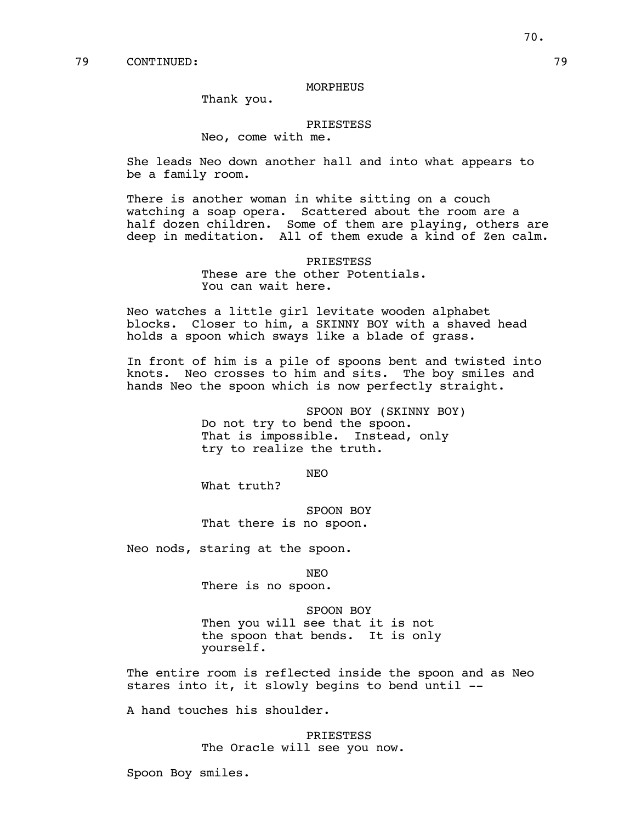Thank you.

# PRIESTESS

Neo, come with me.

She leads Neo down another hall and into what appears to be a family room.

There is another woman in white sitting on a couch watching a soap opera. Scattered about the room are a half dozen children. Some of them are playing, others are deep in meditation. All of them exude a kind of Zen calm.

## **PRIESTESS** These are the other Potentials. You can wait here.

Neo watches a little girl levitate wooden alphabet blocks. Closer to him, a SKINNY BOY with a shaved head holds a spoon which sways like a blade of grass.

In front of him is a pile of spoons bent and twisted into knots. Neo crosses to him and sits. The boy smiles and hands Neo the spoon which is now perfectly straight.

> SPOON BOY (SKINNY BOY) Do not try to bend the spoon. That is impossible. Instead, only try to realize the truth.

> > NEO

What truth?

SPOON BOY That there is no spoon.

Neo nods, staring at the spoon.

NEO

There is no spoon.

SPOON BOY Then you will see that it is not the spoon that bends. It is only yourself.

The entire room is reflected inside the spoon and as Neo stares into it, it slowly begins to bend until --

A hand touches his shoulder.

PRIESTESS The Oracle will see you now.

Spoon Boy smiles.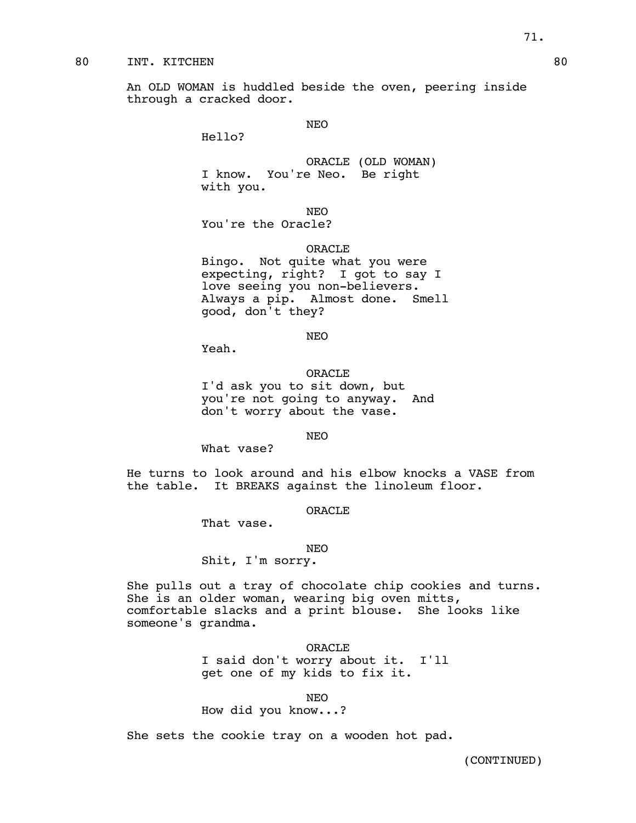# 80 INT. KITCHEN 80 80

An OLD WOMAN is huddled beside the oven, peering inside through a cracked door.

NEO

Hello?

ORACLE (OLD WOMAN) I know. You're Neo. Be right with you.

NEO

You're the Oracle?

ORACLE

Bingo. Not quite what you were expecting, right? I got to say I love seeing you non-believers. Always a pip. Almost done. Smell good, don't they?

NEO

Yeah.

#### ORACLE

I'd ask you to sit down, but you're not going to anyway. And don't worry about the vase.

NEO

What vase?

He turns to look around and his elbow knocks a VASE from the table. It BREAKS against the linoleum floor.

# ORACLE

That vase.

#### NEO

Shit, I'm sorry.

She pulls out a tray of chocolate chip cookies and turns. She is an older woman, wearing big oven mitts, comfortable slacks and a print blouse. She looks like someone's grandma.

ORACLE

I said don't worry about it. I'll get one of my kids to fix it.

NEO

How did you know...?

She sets the cookie tray on a wooden hot pad.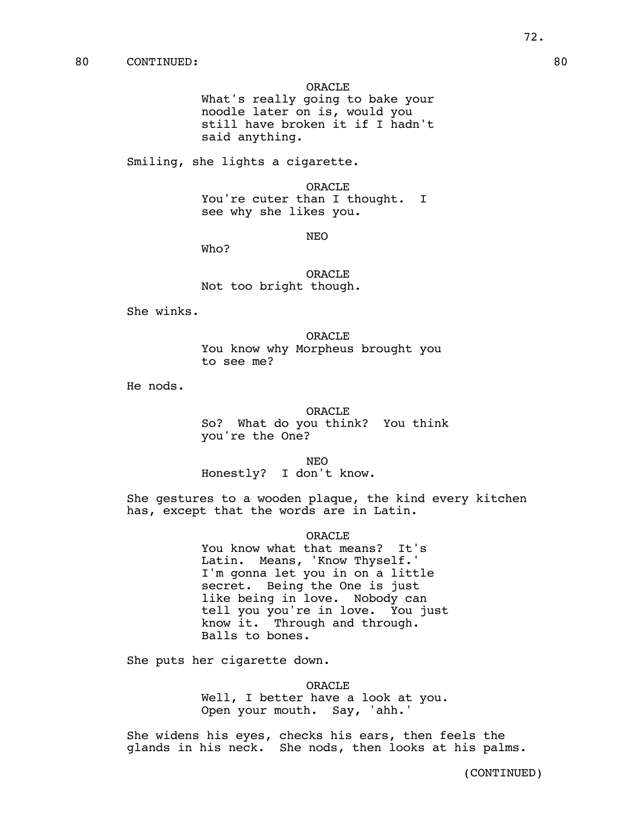#### ORACLE

What's really going to bake your noodle later on is, would you still have broken it if I hadn't said anything.

Smiling, she lights a cigarette.

ORACLE You're cuter than I thought. I see why she likes you.

NEO

Who?

ORACLE Not too bright though.

She winks.

ORACLE You know why Morpheus brought you to see me?

He nods.

**ORACLE** So? What do you think? You think you're the One?

NEO Honestly? I don't know.

She gestures to a wooden plaque, the kind every kitchen has, except that the words are in Latin.

**ORACLE** 

You know what that means? It's Latin. Means, 'Know Thyself.' I'm gonna let you in on a little secret. Being the One is just like being in love. Nobody can tell you you're in love. You just know it. Through and through. Balls to bones.

She puts her cigarette down.

ORACLE Well, I better have a look at you. Open your mouth. Say, 'ahh.'

She widens his eyes, checks his ears, then feels the glands in his neck. She nods, then looks at his palms.

72.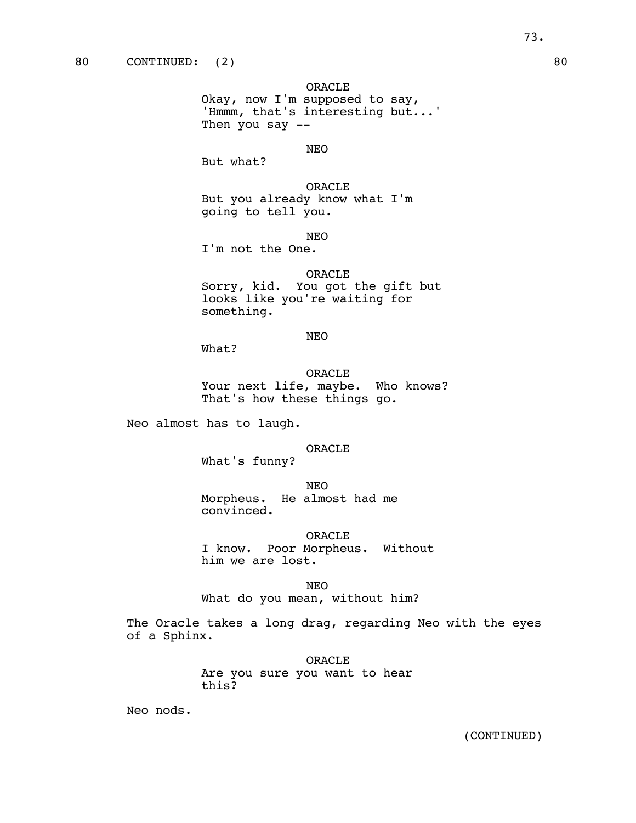#### ORACLE

Okay, now I'm supposed to say, 'Hmmm, that's interesting but...' Then you say --

# NEO

But what?

ORACLE But you already know what I'm going to tell you.

NEO

I'm not the One.

# ORACLE

Sorry, kid. You got the gift but looks like you're waiting for something.

# NEO

What?

**ORACLE** Your next life, maybe. Who knows? That's how these things go.

Neo almost has to laugh.

# ORACLE

What's funny?

NEO Morpheus. He almost had me convinced.

**ORACLE** I know. Poor Morpheus. Without him we are lost.

NEO

What do you mean, without him?

The Oracle takes a long drag, regarding Neo with the eyes of a Sphinx.

> **ORACLE** Are you sure you want to hear this?

Neo nods.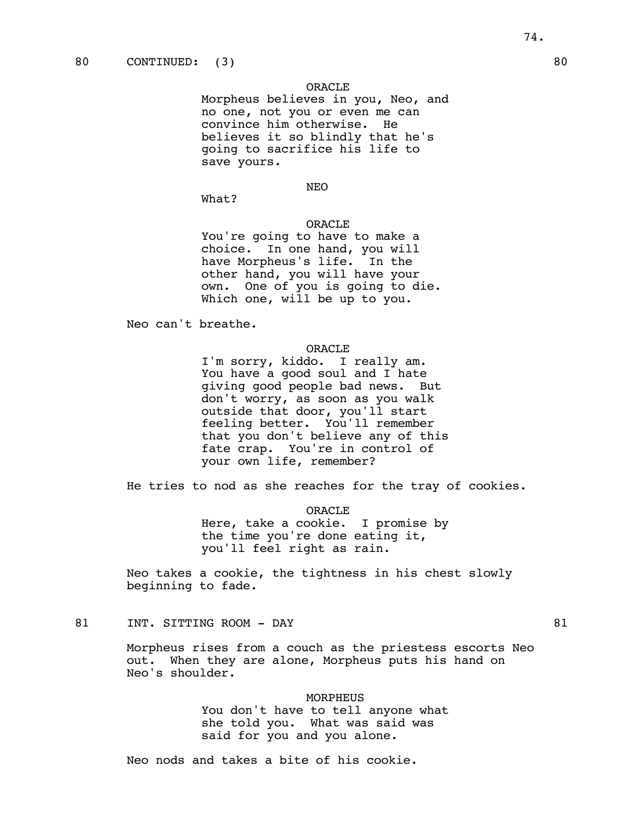#### ORACLE

Morpheus believes in you, Neo, and no one, not you or even me can convince him otherwise. He believes it so blindly that he's going to sacrifice his life to save yours.

NEO

# ORACLE

You're going to have to make a choice. In one hand, you will have Morpheus's life. In the other hand, you will have your own. One of you is going to die. Which one, will be up to you.

Neo can't breathe.

What?

#### ORACLE

I'm sorry, kiddo. I really am. You have a good soul and I hate giving good people bad news. But don't worry, as soon as you walk outside that door, you'll start feeling better. You'll remember that you don't believe any of this fate crap. You're in control of your own life, remember?

He tries to nod as she reaches for the tray of cookies.

**ORACLE** 

Here, take a cookie. I promise by the time you're done eating it, you'll feel right as rain.

Neo takes a cookie, the tightness in his chest slowly beginning to fade.

81 INT. SITTING ROOM - DAY 81

Morpheus rises from a couch as the priestess escorts Neo out. When they are alone, Morpheus puts his hand on Neo's shoulder.

> MORPHEUS You don't have to tell anyone what she told you. What was said was said for you and you alone.

Neo nods and takes a bite of his cookie.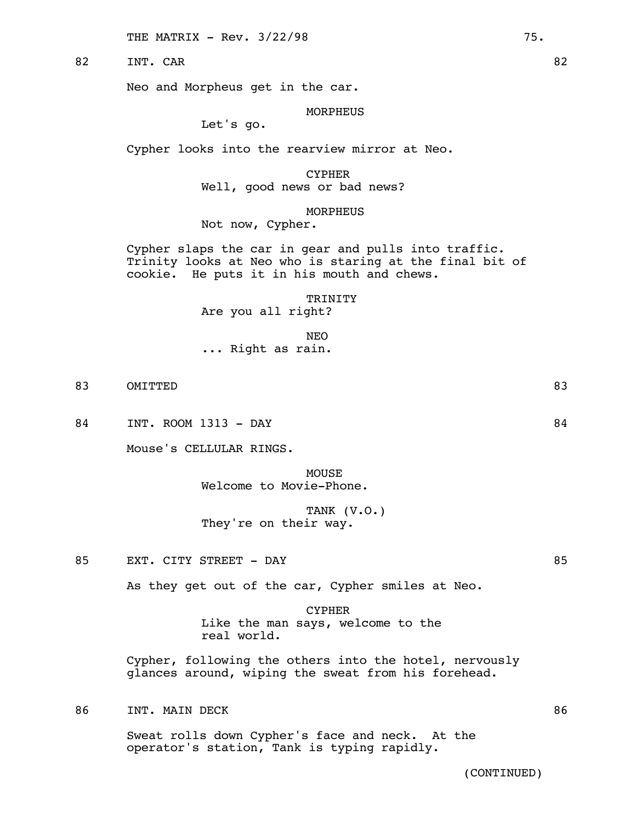THE MATRIX  $-$  Rev.  $3/22/98$  75.

82 INT. CAR 82

Neo and Morpheus get in the car.

#### MORPHEUS

Let's go.

Cypher looks into the rearview mirror at Neo.

CYPHER Well, good news or bad news?

# MORPHEUS

Not now, Cypher.

Cypher slaps the car in gear and pulls into traffic. Trinity looks at Neo who is staring at the final bit of cookie. He puts it in his mouth and chews.

#### TRINITY

Are you all right?

#### NEO

... Right as rain.

- 83 OMITTED 83
- 84 INT. ROOM 1313 DAY 84

Mouse's CELLULAR RINGS.

MOUSE Welcome to Movie-Phone.

TANK (V.O.) They're on their way.

85 EXT. CITY STREET - DAY 85

As they get out of the car, Cypher smiles at Neo.

CYPHER Like the man says, welcome to the real world.

Cypher, following the others into the hotel, nervously glances around, wiping the sweat from his forehead.

86 INT. MAIN DECK 86

Sweat rolls down Cypher's face and neck. At the operator's station, Tank is typing rapidly.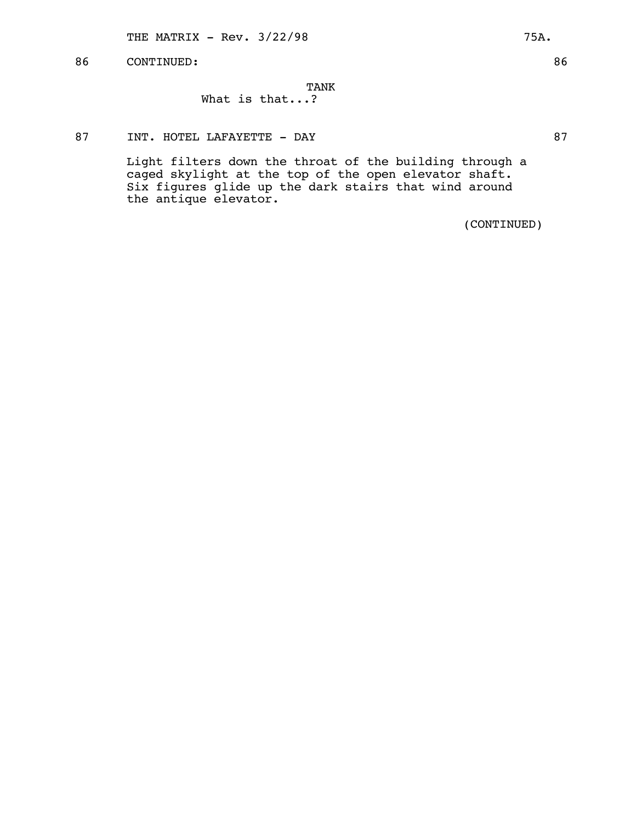THE MATRIX - Rev. 3/22/98 75A.

86 CONTINUED: 86

# TANK

What is that...?

87 INT. HOTEL LAFAYETTE - DAY 67

Light filters down the throat of the building through a caged skylight at the top of the open elevator shaft. Six figures glide up the dark stairs that wind around the antique elevator.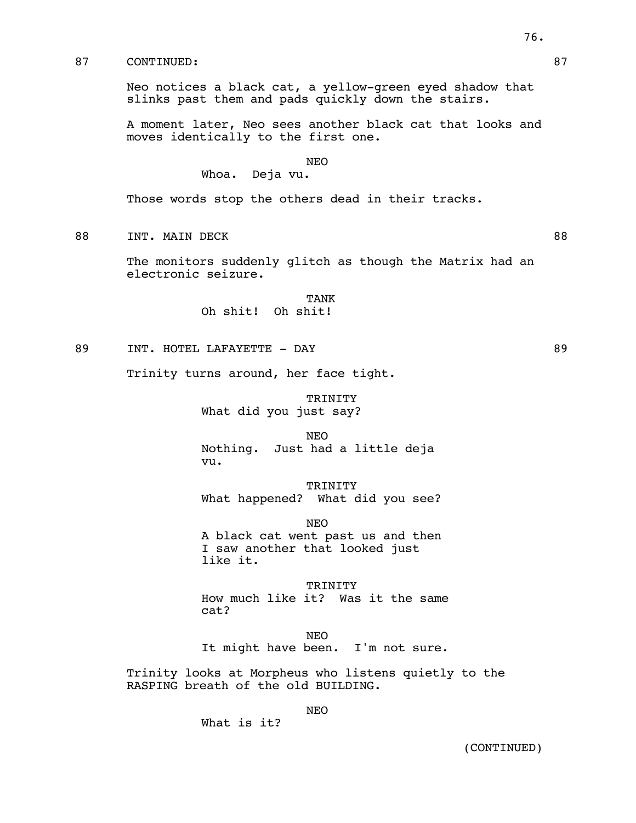# 87 CONTINUED: 87

Neo notices a black cat, a yellow-green eyed shadow that slinks past them and pads quickly down the stairs.

A moment later, Neo sees another black cat that looks and moves identically to the first one.

NEO

Whoa. Deja vu.

Those words stop the others dead in their tracks.

88 INT. MAIN DECK 88

The monitors suddenly glitch as though the Matrix had an electronic seizure.

> TANK Oh shit! Oh shit!

89 INT. HOTEL LAFAYETTE – DAY 89

Trinity turns around, her face tight.

**TRINITY** What did you just say?

NEO Nothing. Just had a little deja vu.

**TRINITY** What happened? What did you see?

NEO A black cat went past us and then I saw another that looked just like it.

**TRINITY** How much like it? Was it the same cat?

NEO It might have been. I'm not sure.

Trinity looks at Morpheus who listens quietly to the RASPING breath of the old BUILDING.

NEO

What is it?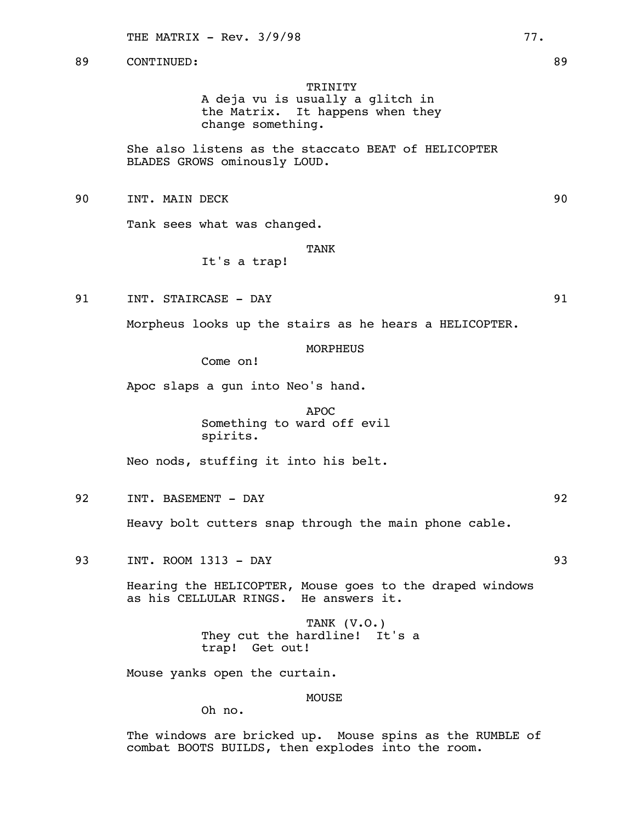89 CONTINUED: 89

# TRINITY

# A deja vu is usually a glitch in the Matrix. It happens when they change something.

She also listens as the staccato BEAT of HELICOPTER BLADES GROWS ominously LOUD.

90 INT. MAIN DECK 90

Tank sees what was changed.

# TANK

It's a trap!

91 INT. STAIRCASE – DAY 91

Morpheus looks up the stairs as he hears a HELICOPTER.

# **MORPHEUS**

Come on!

Apoc slaps a gun into Neo's hand.

APOC Something to ward off evil spirits.

Neo nods, stuffing it into his belt.

92 INT. BASEMENT - DAY 92

Heavy bolt cutters snap through the main phone cable.

93 INT. ROOM 1313 - DAY 93

Hearing the HELICOPTER, Mouse goes to the draped windows as his CELLULAR RINGS. He answers it.

> TANK (V.O.) They cut the hardline! It's a trap! Get out!

Mouse yanks open the curtain.

# MOUSE

Oh no.

The windows are bricked up. Mouse spins as the RUMBLE of combat BOOTS BUILDS, then explodes into the room.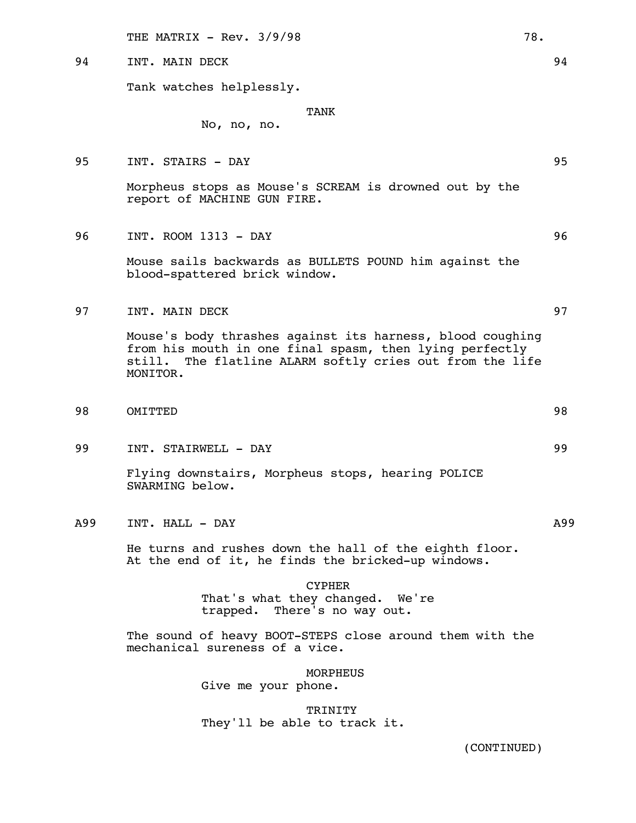THE MATRIX  $-$  Rev.  $3/9/98$  78.

94 INT. MAIN DECK 94

Tank watches helplessly.

TANK

No, no, no.

95 INT. STAIRS - DAY 95 Morpheus stops as Mouse's SCREAM is drowned out by the report of MACHINE GUN FIRE. 96 INT. ROOM 1313 - DAY 96 Mouse sails backwards as BULLETS POUND him against the blood-spattered brick window. 97 INT. MAIN DECK 97 Mouse's body thrashes against its harness, blood coughing from his mouth in one final spasm, then lying perfectly still. The flatline ALARM softly cries out from the life MONTTOR. 98 OMITTED 98 99 INT. STAIRWELL - DAY 99 Flying downstairs, Morpheus stops, hearing POLICE SWARMING below. A99 INT. HALL – DAY A99 He turns and rushes down the hall of the eighth floor. At the end of it, he finds the bricked-up windows. CYPHER That's what they changed. We're trapped. There's no way out. The sound of heavy BOOT-STEPS close around them with the mechanical sureness of a vice. MORPHEUS Give me your phone. TRINITY They'll be able to track it. (CONTINUED)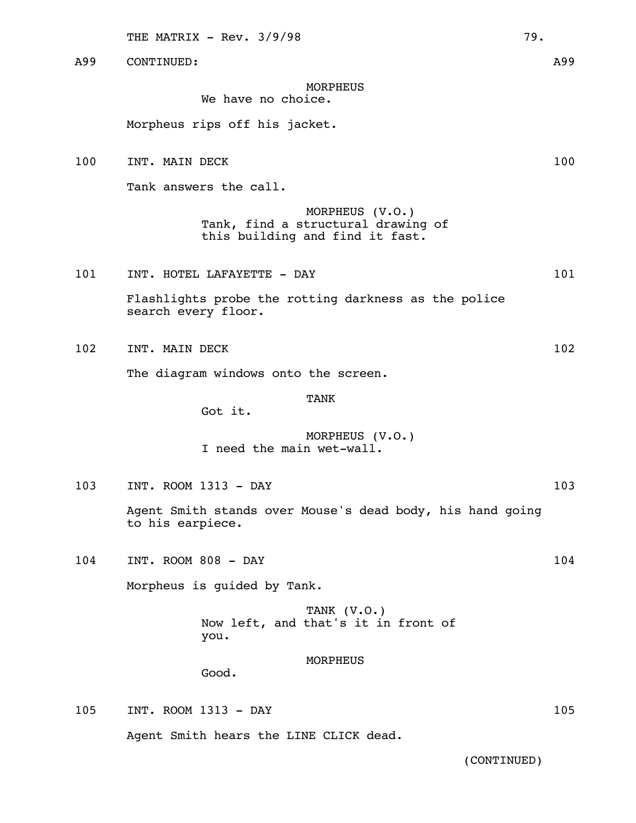THE MATRIX - Rev. 3/9/98 79.

A99 CONTINUED: And the control of the control of the control of the control of the control of the control of the control of the control of the control of the control of the control of the control of the control of the cont

MORPHEUS We have no choice.

Morpheus rips off his jacket.

100 INT. MAIN DECK 100

Tank answers the call.

MORPHEUS (V.O.) Tank, find a structural drawing of this building and find it fast.

101 INT. HOTEL LAFAYETTE - DAY 101

Flashlights probe the rotting darkness as the police search every floor.

102 INT. MAIN DECK 102

The diagram windows onto the screen.

TANK

Got it.

MORPHEUS (V.O.) I need the main wet-wall.

103 INT. ROOM 1313 - DAY 103

Agent Smith stands over Mouse's dead body, his hand going to his earpiece.

104 INT. ROOM 808 - DAY 104

Morpheus is guided by Tank.

TANK (V.O.) Now left, and that's it in front of you.

MORPHEUS

Good.

105 INT. ROOM 1313 - DAY 105 Agent Smith hears the LINE CLICK dead.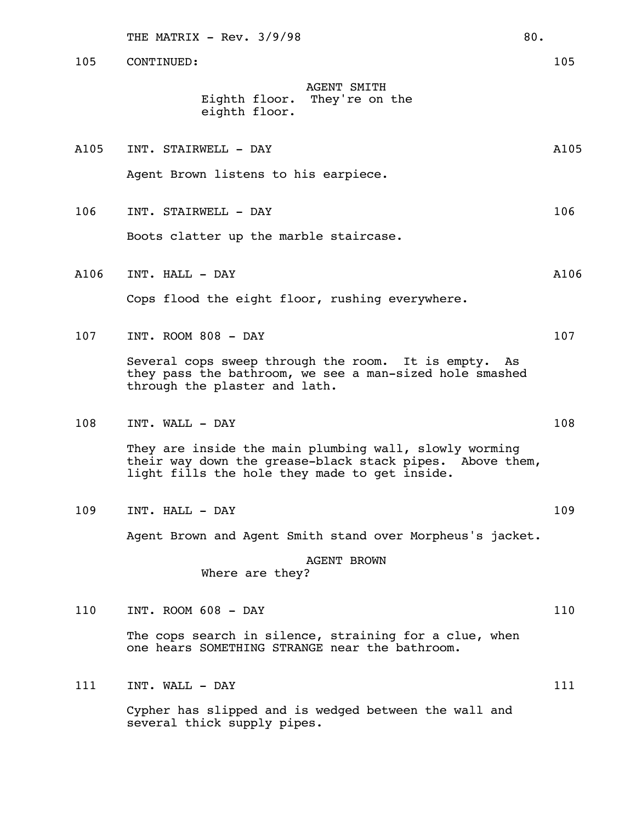THE MATRIX - Rev. 3/9/98 80. 105 CONTINUED: 105 AGENT SMITH Eighth floor. They're on the eighth floor. A105 INT. STAIRWELL - DAY A105 Agent Brown listens to his earpiece. 106 INT. STAIRWELL - DAY 106 Boots clatter up the marble staircase. A106 INT. HALL - DAY And Allow a state of the state of the state of the state of the state of the state of the state of the state of the state of the state of the state of the state of the state of the state of the state o Cops flood the eight floor, rushing everywhere. 107 INT. ROOM 808 - DAY 107 Several cops sweep through the room. It is empty. As they pass the bathroom, we see a man-sized hole smashed through the plaster and lath. 108 INT. WALL - DAY 108 They are inside the main plumbing wall, slowly worming their way down the grease-black stack pipes. Above them, light fills the hole they made to get inside. 109 INT. HALL - DAY 109 Agent Brown and Agent Smith stand over Morpheus's jacket. AGENT BROWN Where are they? 110 INT. ROOM 608 - DAY 110 The cops search in silence, straining for a clue, when

- one hears SOMETHING STRANGE near the bathroom.
- Cypher has slipped and is wedged between the wall and several thick supply pipes.

111 INT. WALL - DAY 111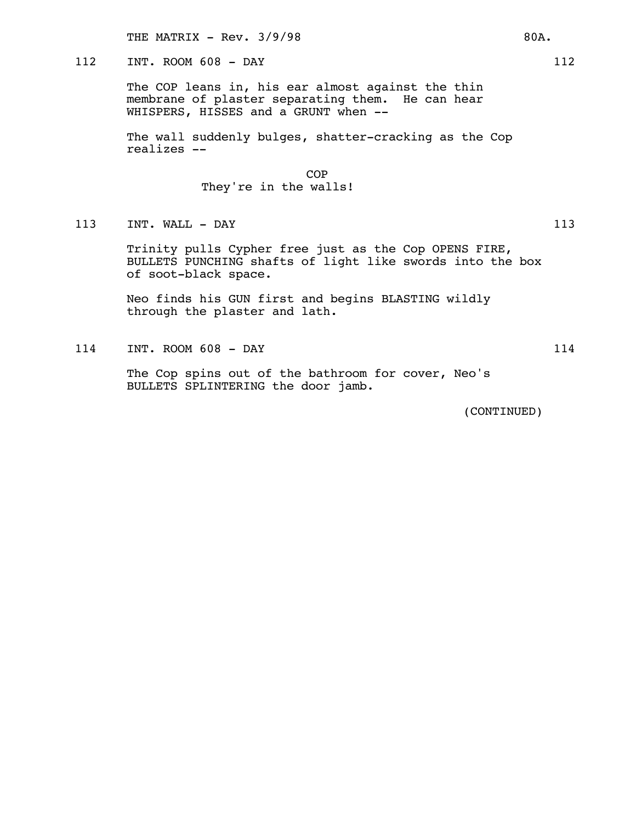THE MATRIX  $-$  Rev.  $3/9/98$  80A.

112 INT. ROOM 608 - DAY 112

The COP leans in, his ear almost against the thin membrane of plaster separating them. He can hear WHISPERS, HISSES and a GRUNT when --

The wall suddenly bulges, shatter-cracking as the Cop realizes --

> COP They're in the walls!

113 INT. WALL - DAY 113

Trinity pulls Cypher free just as the Cop OPENS FIRE, BULLETS PUNCHING shafts of light like swords into the box of soot-black space.

Neo finds his GUN first and begins BLASTING wildly through the plaster and lath.

114 INT. ROOM 608 - DAY 114

The Cop spins out of the bathroom for cover, Neo's BULLETS SPLINTERING the door jamb.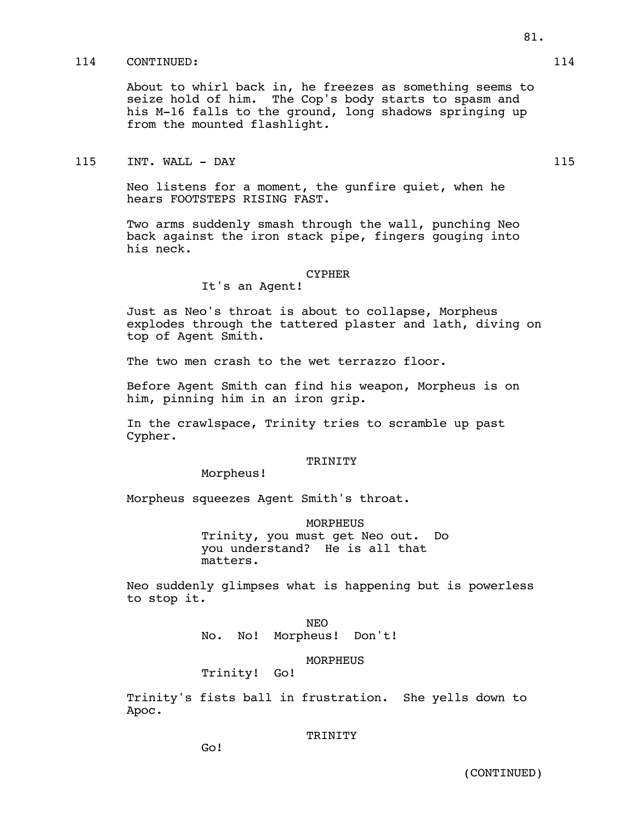## 114 CONTINUED: 114

About to whirl back in, he freezes as something seems to seize hold of him. The Cop's body starts to spasm and his M-16 falls to the ground, long shadows springing up from the mounted flashlight.

115 INT. WALL - DAY 115

Neo listens for a moment, the gunfire quiet, when he hears FOOTSTEPS RISING FAST.

Two arms suddenly smash through the wall, punching Neo back against the iron stack pipe, fingers gouging into his neck.

#### CYPHER

# It's an Agent!

Just as Neo's throat is about to collapse, Morpheus explodes through the tattered plaster and lath, diving on top of Agent Smith.

The two men crash to the wet terrazzo floor.

Before Agent Smith can find his weapon, Morpheus is on him, pinning him in an iron grip.

In the crawlspace, Trinity tries to scramble up past Cypher.

#### TRINITY

Morpheus!

Morpheus squeezes Agent Smith's throat.

MORPHEUS Trinity, you must get Neo out. Do you understand? He is all that matters.

Neo suddenly glimpses what is happening but is powerless to stop it.

> NEO No. No! Morpheus! Don't!

> > MORPHEUS

Trinity! Go!

Trinity's fists ball in frustration. She yells down to Apoc.

#### TRINITY

Go!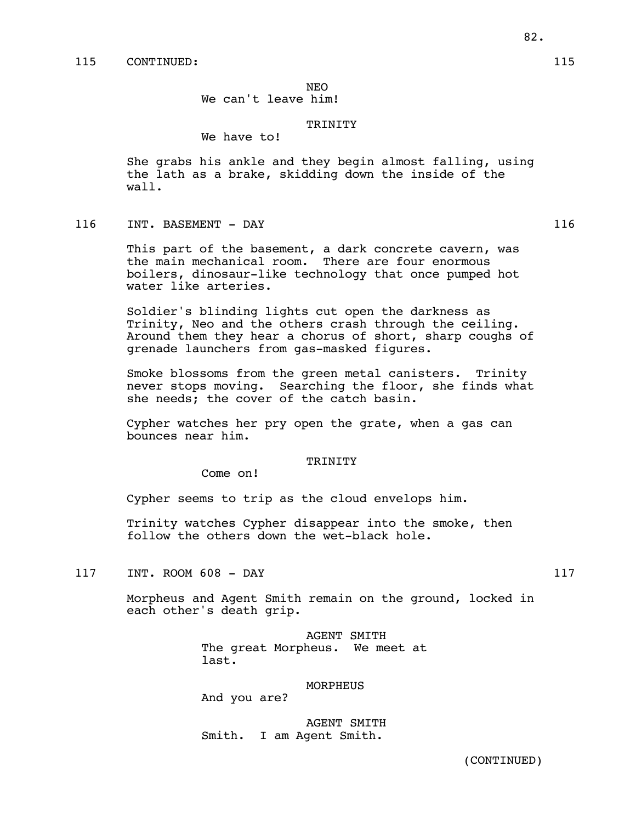NEO

# We can't leave him!

# **TRINITY**

We have to!

She grabs his ankle and they begin almost falling, using the lath as a brake, skidding down the inside of the wall.

116 INT. BASEMENT - DAY 116

This part of the basement, a dark concrete cavern, was the main mechanical room. There are four enormous boilers, dinosaur-like technology that once pumped hot water like arteries.

Soldier's blinding lights cut open the darkness as Trinity, Neo and the others crash through the ceiling. Around them they hear a chorus of short, sharp coughs of grenade launchers from gas-masked figures.

Smoke blossoms from the green metal canisters. Trinity never stops moving. Searching the floor, she finds what she needs; the cover of the catch basin.

Cypher watches her pry open the grate, when a gas can bounces near him.

#### TRINITY

Come on!

Cypher seems to trip as the cloud envelops him.

Trinity watches Cypher disappear into the smoke, then follow the others down the wet-black hole.

117 INT. ROOM 608 - DAY 117

Morpheus and Agent Smith remain on the ground, locked in each other's death grip.

> AGENT SMITH The great Morpheus. We meet at last.

#### MORPHEUS

And you are?

AGENT SMITH Smith. I am Agent Smith.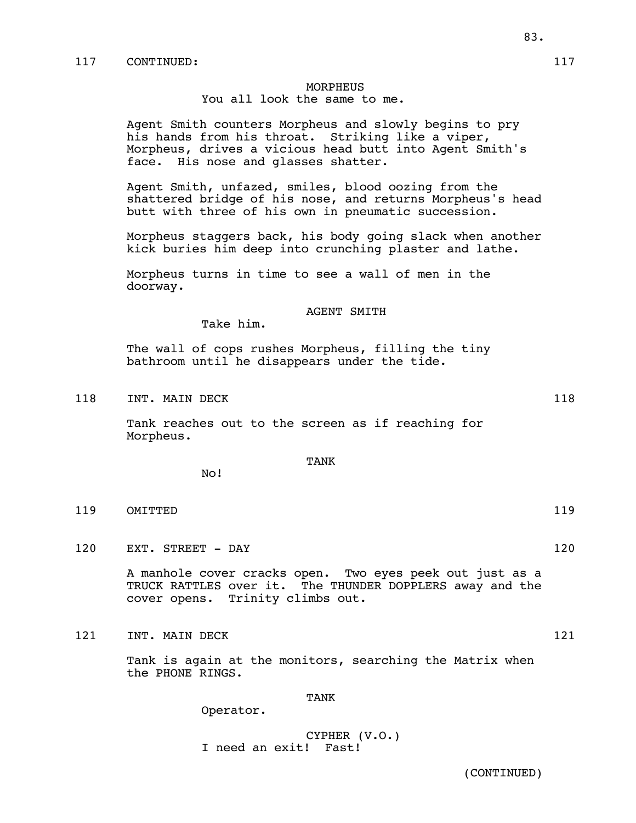# MORPHEUS

# You all look the same to me.

Agent Smith counters Morpheus and slowly begins to pry his hands from his throat. Striking like a viper, Morpheus, drives a vicious head butt into Agent Smith's face. His nose and glasses shatter.

Agent Smith, unfazed, smiles, blood oozing from the shattered bridge of his nose, and returns Morpheus's head butt with three of his own in pneumatic succession.

Morpheus staggers back, his body going slack when another kick buries him deep into crunching plaster and lathe.

Morpheus turns in time to see a wall of men in the doorway.

# AGENT SMITH

Take him.

The wall of cops rushes Morpheus, filling the tiny bathroom until he disappears under the tide.

118 INT. MAIN DECK 118

Tank reaches out to the screen as if reaching for Morpheus.

#### TANK

No!

# 119 OMITTED 119

120 EXT. STREET - DAY 120

A manhole cover cracks open. Two eyes peek out just as a TRUCK RATTLES over it. The THUNDER DOPPLERS away and the cover opens. Trinity climbs out.

121 INT. MAIN DECK 121

Tank is again at the monitors, searching the Matrix when the PHONE RINGS.

### TANK

Operator.

CYPHER (V.O.) I need an exit! Fast!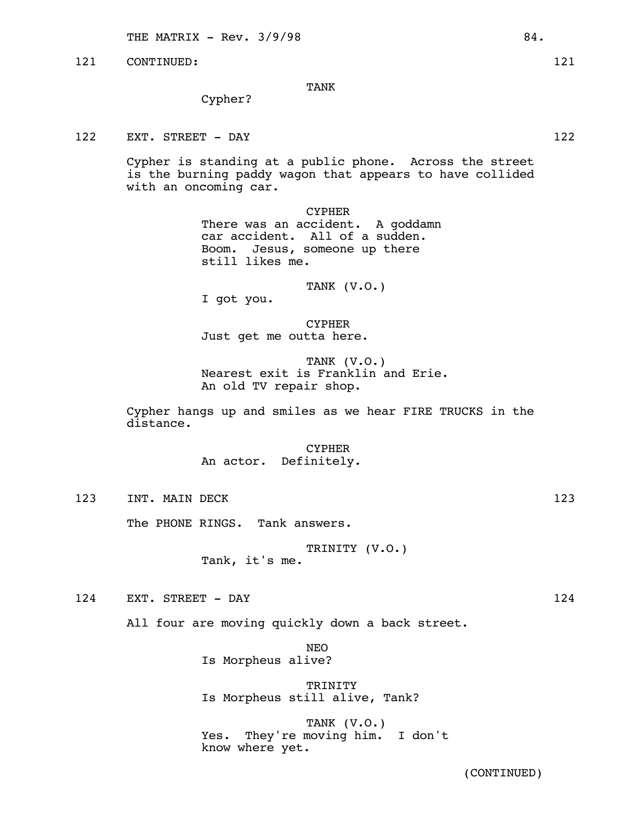THE MATRIX - Rev. 3/9/98 84.

121 CONTINUED: 121 121

TANK

Cypher?

122 EXT. STREET - DAY 122

Cypher is standing at a public phone. Across the street is the burning paddy wagon that appears to have collided with an oncoming car.

> CYPHER There was an accident. A goddamn car accident. All of a sudden. Boom. Jesus, someone up there still likes me.

> > TANK (V.O.)

I got you.

CYPHER Just get me outta here.

TANK (V.O.) Nearest exit is Franklin and Erie. An old TV repair shop.

Cypher hangs up and smiles as we hear FIRE TRUCKS in the distance.

> CYPHER An actor. Definitely.

123 INT. MAIN DECK 123

The PHONE RINGS. Tank answers.

TRINITY (V.O.) Tank, it's me.

124 EXT. STREET - DAY 124 124

All four are moving quickly down a back street.

NEO Is Morpheus alive?

TRINITY Is Morpheus still alive, Tank?

TANK (V.O.) Yes. They're moving him. I don't know where yet.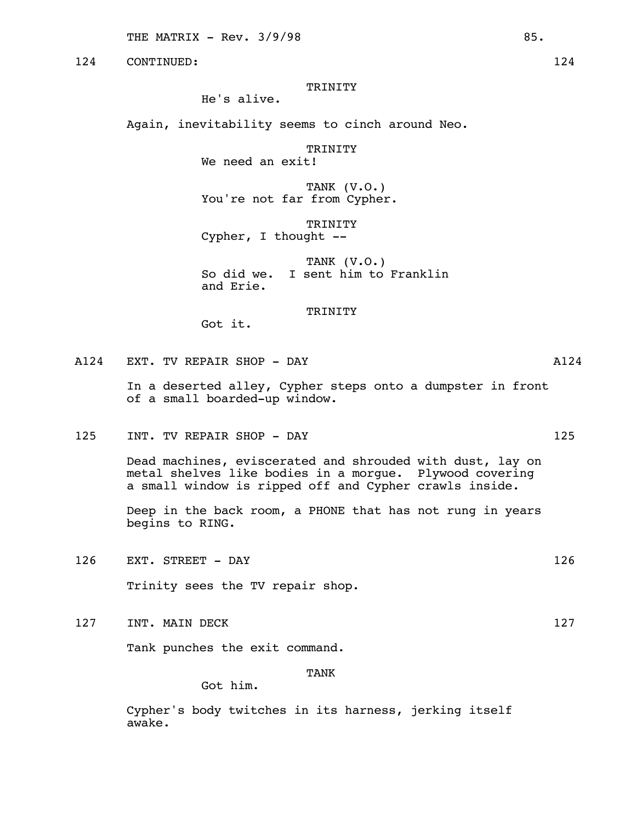THE MATRIX  $-$  Rev.  $3/9/98$  85.

124 CONTINUED: 124

# TRINITY

He's alive.

Again, inevitability seems to cinch around Neo.

**TRINITY** We need an exit!

TANK (V.O.) You're not far from Cypher.

TRINITY Cypher, I thought --

TANK (V.O.) So did we. I sent him to Franklin and Erie.

# **TRINITY**

Got it.

| A124 | EXT. | тv | REPAIR SHOP |  |  | DAY |  | λЛ. |
|------|------|----|-------------|--|--|-----|--|-----|
|------|------|----|-------------|--|--|-----|--|-----|

In a deserted alley, Cypher steps onto a dumpster in front of a small boarded-up window.

125 INT. TV REPAIR SHOP - DAY 125

Dead machines, eviscerated and shrouded with dust, lay on metal shelves like bodies in a morgue. Plywood covering a small window is ripped off and Cypher crawls inside.

Deep in the back room, a PHONE that has not rung in years begins to RING.

126 EXT. STREET - DAY 126

Trinity sees the TV repair shop.

127 INT. MAIN DECK 127

Tank punches the exit command.

# TANK

Got him.

Cypher's body twitches in its harness, jerking itself awake.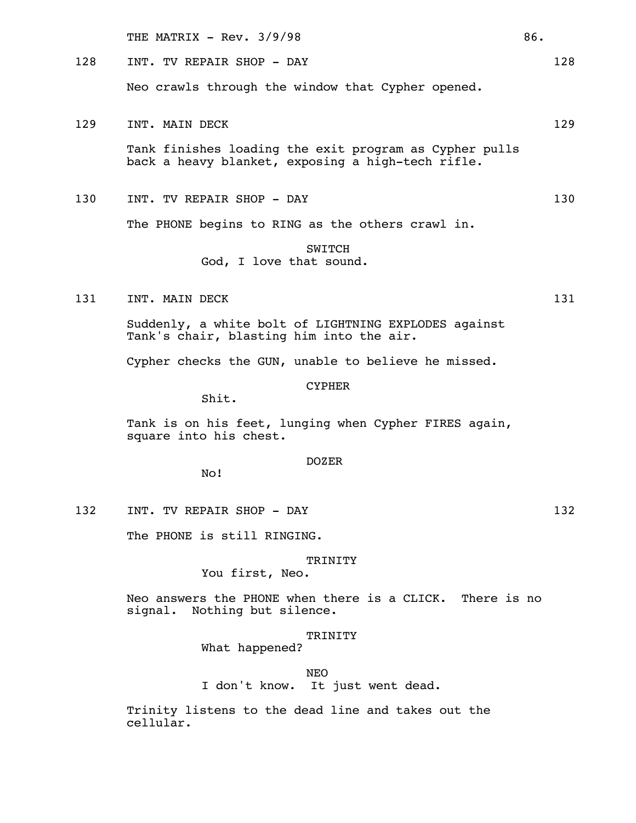THE MATRIX  $-$  Rev.  $3/9/98$  86.

- 128 INT. TV REPAIR SHOP DAY 128 Neo crawls through the window that Cypher opened.
- 129 INT. MAIN DECK 129 Tank finishes loading the exit program as Cypher pulls back a heavy blanket, exposing a high-tech rifle.
- 130 INT. TV REPAIR SHOP DAY 130

The PHONE begins to RING as the others crawl in.

SWITCH God, I love that sound.

131 INT. MAIN DECK 131

Suddenly, a white bolt of LIGHTNING EXPLODES against Tank's chair, blasting him into the air.

Cypher checks the GUN, unable to believe he missed.

# CYPHER

Shit.

Tank is on his feet, lunging when Cypher FIRES again, square into his chest.

#### DOZER

No!

132 INT. TV REPAIR SHOP - DAY 132

The PHONE is still RINGING.

# **TRINITY**

You first, Neo.

Neo answers the PHONE when there is a CLICK. There is no signal. Nothing but silence.

# TRINITY

What happened?

NEO

I don't know. It just went dead.

Trinity listens to the dead line and takes out the cellular.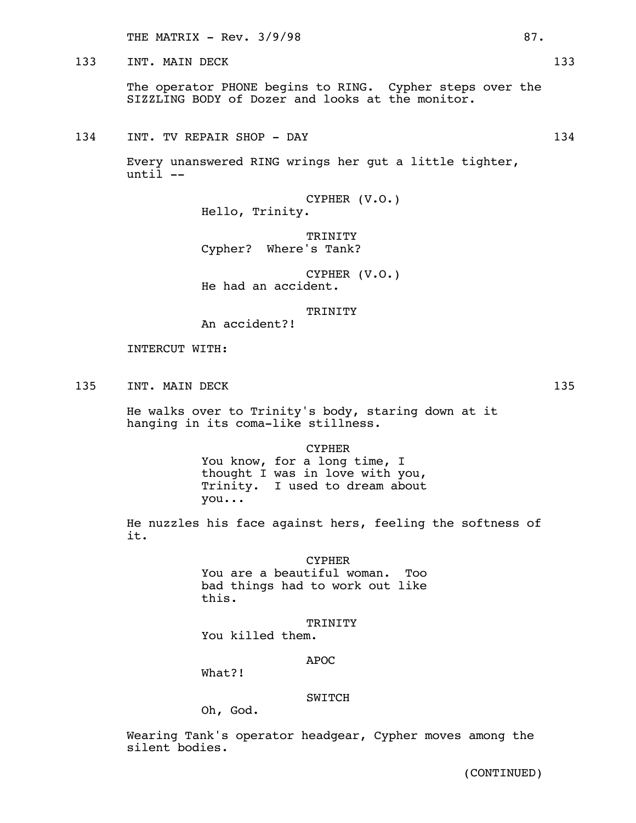133 INT. MAIN DECK 133

The operator PHONE begins to RING. Cypher steps over the SIZZLING BODY of Dozer and looks at the monitor.

134 INT. TV REPAIR SHOP - DAY 134

Every unanswered RING wrings her gut a little tighter,  $unti\bar{1}$  --

CYPHER (V.O.)

Hello, Trinity.

**TRINITY** Cypher? Where's Tank?

CYPHER (V.O.) He had an accident.

**TRINITY** 

An accident?!

INTERCUT WITH:

135 INT. MAIN DECK 135

He walks over to Trinity's body, staring down at it hanging in its coma-like stillness.

CYPHER

You know, for a long time, I thought I was in love with you, Trinity. I used to dream about you...

He nuzzles his face against hers, feeling the softness of it.

CYPHER

You are a beautiful woman. Too bad things had to work out like this.

# **TRINITY**

You killed them.

# APOC

What?!

# SWITCH

Oh, God.

Wearing Tank's operator headgear, Cypher moves among the silent bodies.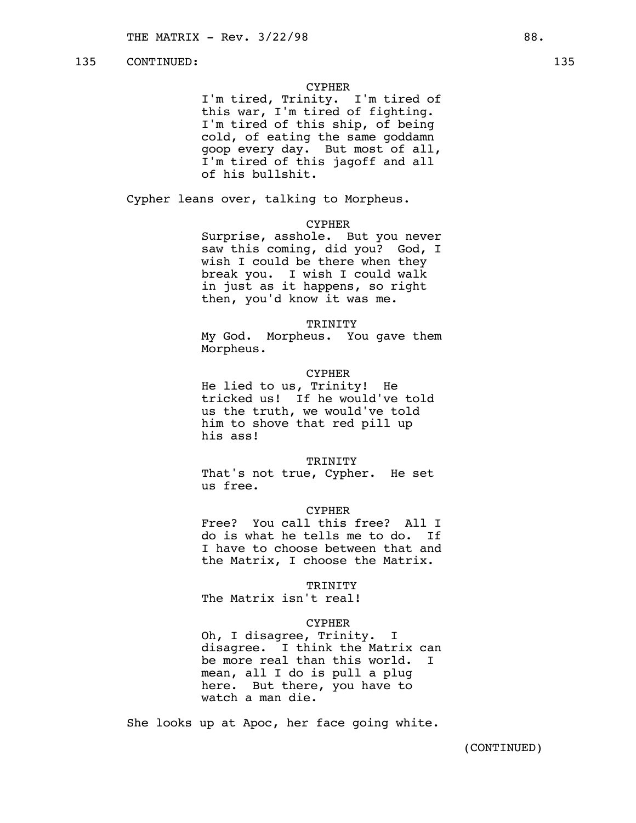#### CYPHER

I'm tired, Trinity. I'm tired of this war, I'm tired of fighting. I'm tired of this ship, of being cold, of eating the same goddamn goop every day. But most of all, I'm tired of this jagoff and all of his bullshit.

Cypher leans over, talking to Morpheus.

#### CYPHER

Surprise, asshole. But you never saw this coming, did you? God, I wish I could be there when they break you. I wish I could walk in just as it happens, so right then, you'd know it was me.

# TRINITY

My God. Morpheus. You gave them Morpheus.

#### CYPHER

He lied to us, Trinity! He tricked us! If he would've told us the truth, we would've told him to shove that red pill up his ass!

#### TRINITY

That's not true, Cypher. He set us free.

#### CYPHER

Free? You call this free? All I do is what he tells me to do. If I have to choose between that and the Matrix, I choose the Matrix.

#### **TRINITY**

The Matrix isn't real!

# CYPHER

Oh, I disagree, Trinity. I disagree. I think the Matrix can be more real than this world. I mean, all I do is pull a plug here. But there, you have to watch a man die.

She looks up at Apoc, her face going white.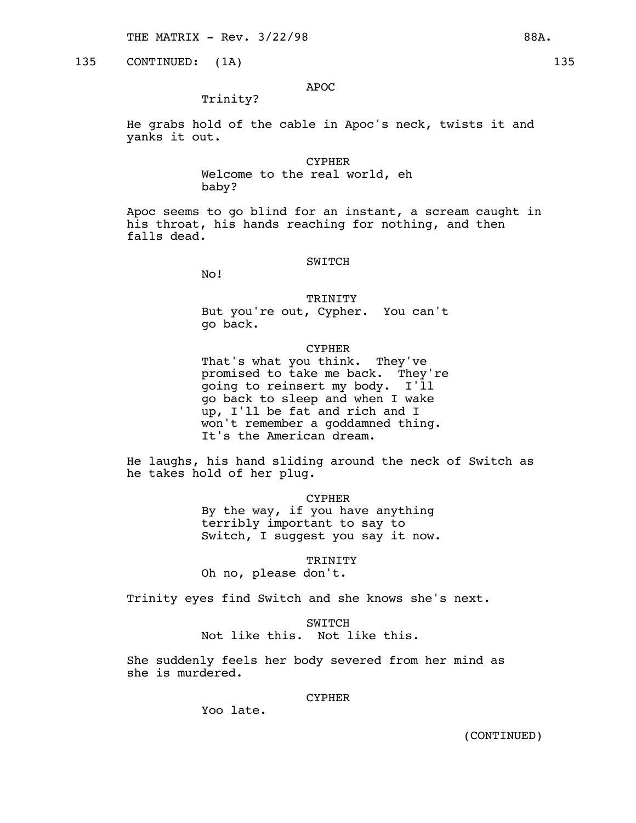THE MATRIX  $-$  Rev.  $3/22/98$  88A.

# APOC

Trinity?

He grabs hold of the cable in Apoc's neck, twists it and yanks it out.

# CYPHER

Welcome to the real world, eh baby?

Apoc seems to go blind for an instant, a scream caught in his throat, his hands reaching for nothing, and then falls dead.

#### SWITCH

No!

# **TRINITY**

But you're out, Cypher. You can't go back.

# CYPHER

That's what you think. They've promised to take me back. They're going to reinsert my body. I'll go back to sleep and when I wake up, I'll be fat and rich and I won't remember a goddamned thing. It's the American dream.

He laughs, his hand sliding around the neck of Switch as he takes hold of her plug.

#### CYPHER

By the way, if you have anything terribly important to say to Switch, I suggest you say it now.

TRINITY

Oh no, please don't.

Trinity eyes find Switch and she knows she's next.

SWITCH

Not like this. Not like this.

She suddenly feels her body severed from her mind as she is murdered.

#### CYPHER

Yoo late.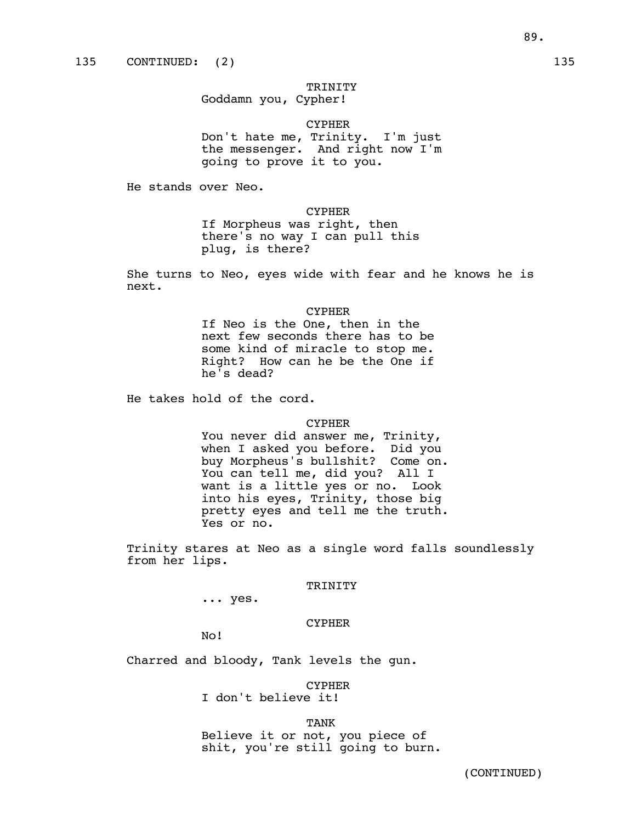#### TRINITY

Goddamn you, Cypher!

#### CYPHER

Don't hate me, Trinity. I'm just the messenger. And right now I'm going to prove it to you.

He stands over Neo.

CYPHER

If Morpheus was right, then there's no way I can pull this plug, is there?

She turns to Neo, eyes wide with fear and he knows he is next.

CYPHER

If Neo is the One, then in the next few seconds there has to be some kind of miracle to stop me. Right? How can he be the One if he's dead?

He takes hold of the cord.

#### CYPHER

You never did answer me, Trinity, when I asked you before. Did you buy Morpheus's bullshit? Come on. You can tell me, did you? All I want is a little yes or no. Look into his eyes, Trinity, those big pretty eyes and tell me the truth. Yes or no.

Trinity stares at Neo as a single word falls soundlessly from her lips.

# **TRINITY**

... yes.

# CYPHER

No!

Charred and bloody, Tank levels the gun.

CYPHER

I don't believe it!

TANK

Believe it or not, you piece of shit, you're still going to burn.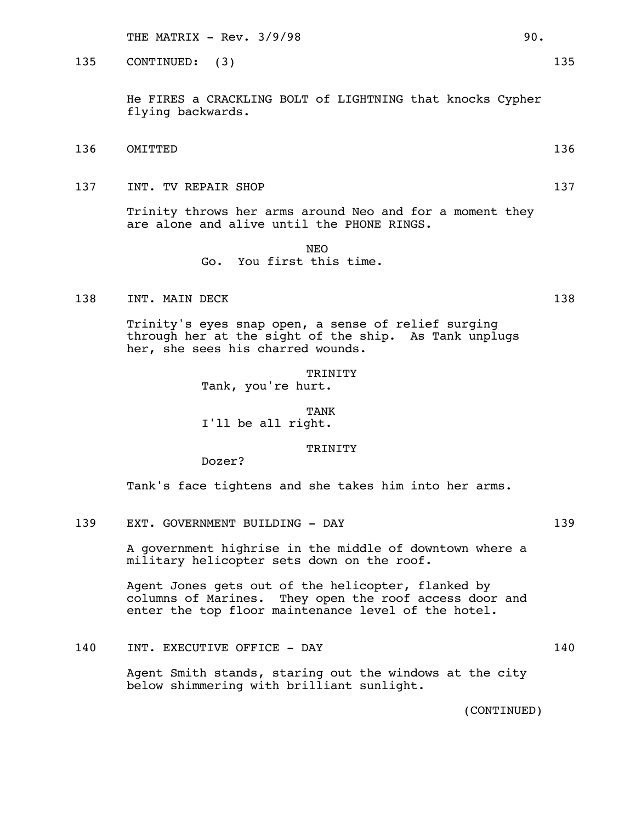THE MATRIX  $-$  Rev.  $3/9/98$  90.

135 CONTINUED: (3) 135

He FIRES a CRACKLING BOLT of LIGHTNING that knocks Cypher flying backwards.

- 136 OMITTED 136
- 137 INT. TV REPAIR SHOP 137 2001 137

Trinity throws her arms around Neo and for a moment they are alone and alive until the PHONE RINGS.

> NEO Go. You first this time.

138 INT. MAIN DECK 138 138

Trinity's eyes snap open, a sense of relief surging through her at the sight of the ship. As Tank unplugs her, she sees his charred wounds.

> TRINITY Tank, you're hurt.

TANK I'll be all right.

# **TRINITY**

Dozer?

Tank's face tightens and she takes him into her arms.

139 EXT. GOVERNMENT BUILDING - DAY 139

A government highrise in the middle of downtown where a military helicopter sets down on the roof.

Agent Jones gets out of the helicopter, flanked by columns of Marines. They open the roof access door and enter the top floor maintenance level of the hotel.

140 INT. EXECUTIVE OFFICE - DAY 140

Agent Smith stands, staring out the windows at the city below shimmering with brilliant sunlight.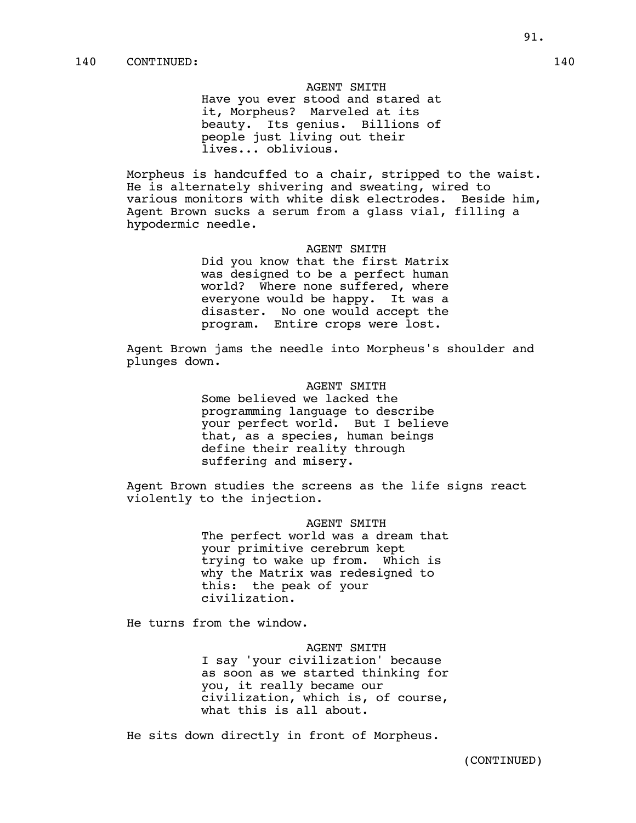AGENT SMITH Have you ever stood and stared at it, Morpheus? Marveled at its beauty. Its genius. Billions of people just living out their lives... oblivious.

Morpheus is handcuffed to a chair, stripped to the waist. He is alternately shivering and sweating, wired to various monitors with white disk electrodes. Beside him, Agent Brown sucks a serum from a glass vial, filling a hypodermic needle.

AGENT SMITH

Did you know that the first Matrix was designed to be a perfect human world? Where none suffered, where everyone would be happy. It was a disaster. No one would accept the program. Entire crops were lost.

Agent Brown jams the needle into Morpheus's shoulder and plunges down.

> AGENT SMITH Some believed we lacked the programming language to describe your perfect world. But I believe that, as a species, human beings define their reality through suffering and misery.

Agent Brown studies the screens as the life signs react violently to the injection.

> AGENT SMITH The perfect world was a dream that your primitive cerebrum kept trying to wake up from. Which is why the Matrix was redesigned to this: the peak of your civilization.

He turns from the window.

AGENT SMITH I say 'your civilization' because as soon as we started thinking for you, it really became our civilization, which is, of course, what this is all about.

He sits down directly in front of Morpheus.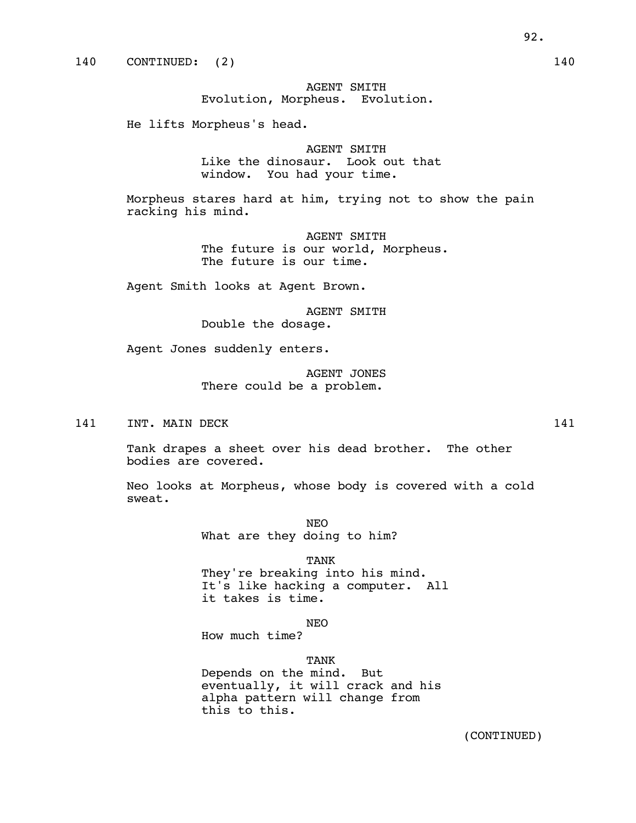AGENT SMITH Evolution, Morpheus. Evolution.

He lifts Morpheus's head.

AGENT SMITH Like the dinosaur. Look out that window. You had your time.

Morpheus stares hard at him, trying not to show the pain racking his mind.

> AGENT SMITH The future is our world, Morpheus. The future is our time.

Agent Smith looks at Agent Brown.

AGENT SMITH Double the dosage.

Agent Jones suddenly enters.

AGENT JONES There could be a problem.

141 INT. MAIN DECK 141

Tank drapes a sheet over his dead brother. The other bodies are covered.

Neo looks at Morpheus, whose body is covered with a cold sweat.

> NEO What are they doing to him?

> > TANK

They're breaking into his mind. It's like hacking a computer. All it takes is time.

NEO

How much time?

TANK

Depends on the mind. But eventually, it will crack and his alpha pattern will change from this to this.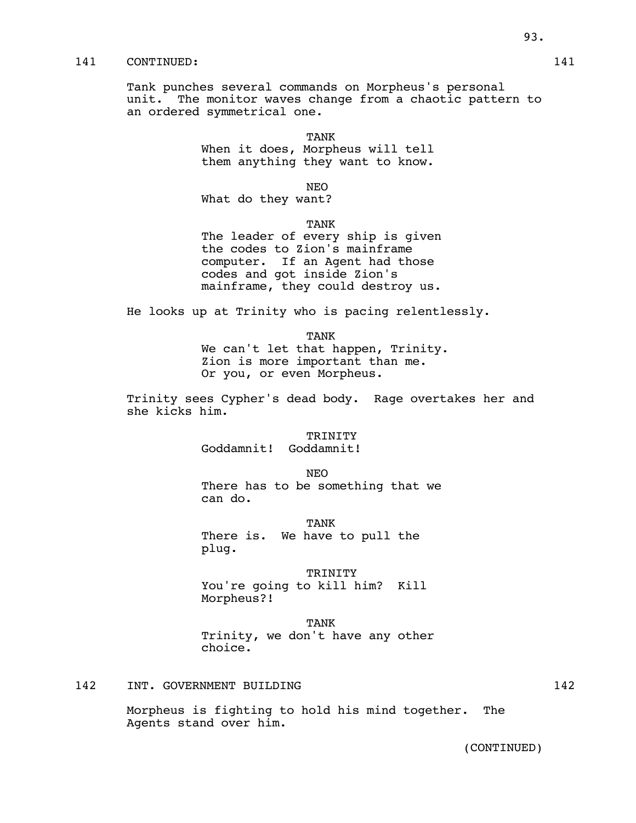# 141 CONTINUED: 141

Tank punches several commands on Morpheus's personal unit. The monitor waves change from a chaotic pattern to an ordered symmetrical one.

TANK

When it does, Morpheus will tell them anything they want to know.

NEO

What do they want?

TANK

The leader of every ship is given the codes to Zion's mainframe computer. If an Agent had those codes and got inside Zion's mainframe, they could destroy us.

He looks up at Trinity who is pacing relentlessly.

TANK

We can't let that happen, Trinity. Zion is more important than me. Or you, or even Morpheus.

Trinity sees Cypher's dead body. Rage overtakes her and she kicks him.

#### **TRINITY**

Goddamnit! Goddamnit!

NEO

There has to be something that we can do.

TANK

There is. We have to pull the plug.

# TRINITY

You're going to kill him? Kill Morpheus?!

TANK Trinity, we don't have any other choice.

142 INT. GOVERNMENT BUILDING 142

Morpheus is fighting to hold his mind together. The Agents stand over him.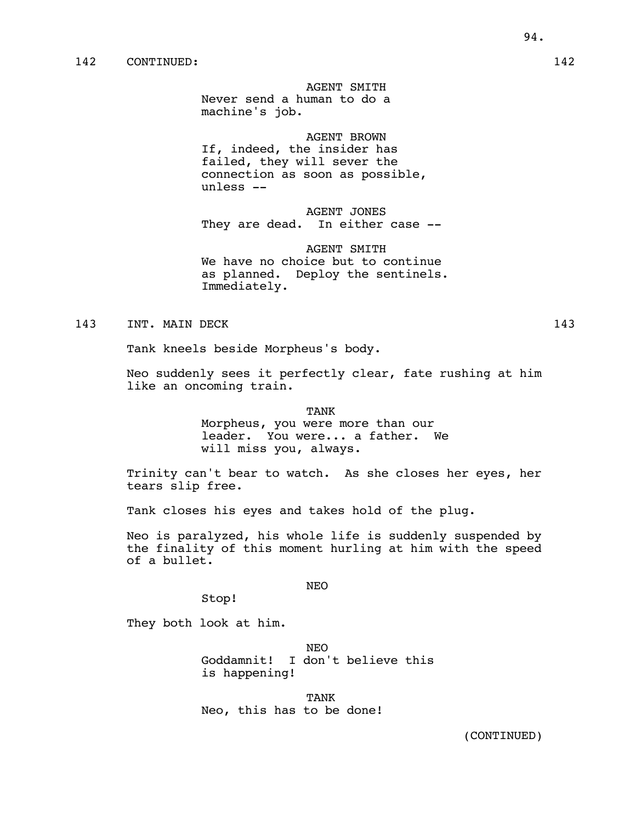AGENT SMITH Never send a human to do a machine's job. AGENT BROWN If, indeed, the insider has failed, they will sever the connection as soon as possible, unless --

AGENT JONES They are dead. In either case --

AGENT SMITH We have no choice but to continue as planned. Deploy the sentinels. Immediately.

143 INT. MAIN DECK 143

Tank kneels beside Morpheus's body.

Neo suddenly sees it perfectly clear, fate rushing at him like an oncoming train.

#### TANK

Morpheus, you were more than our leader. You were... a father. We will miss you, always.

Trinity can't bear to watch. As she closes her eyes, her tears slip free.

Tank closes his eyes and takes hold of the plug.

Neo is paralyzed, his whole life is suddenly suspended by the finality of this moment hurling at him with the speed of a bullet.

NEO

Stop!

They both look at him.

NEO Goddamnit! I don't believe this is happening!

TANK Neo, this has to be done!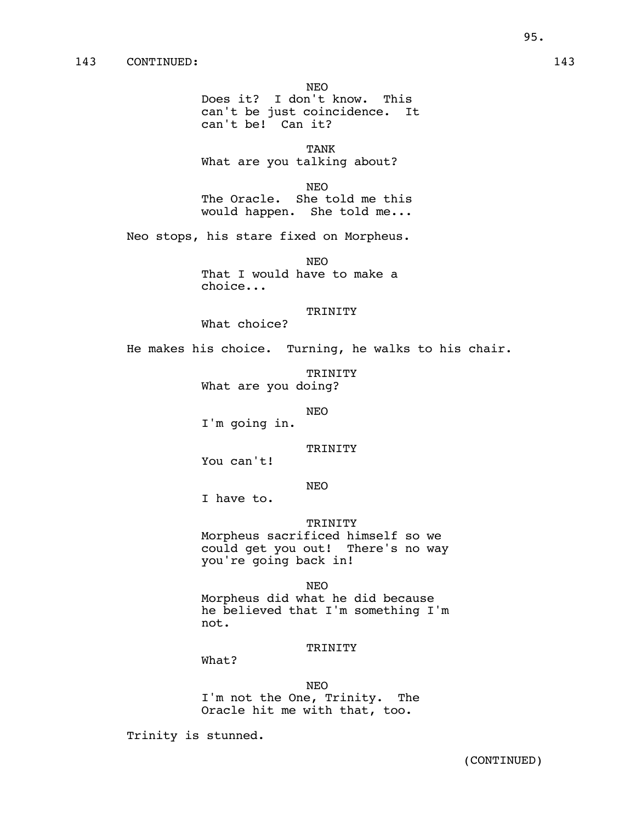NEO

Does it? I don't know. This can't be just coincidence. It can't be! Can it?

TANK

What are you talking about?

NEO

The Oracle. She told me this would happen. She told me...

Neo stops, his stare fixed on Morpheus.

NEO That I would have to make a choice...

**TRINITY** 

What choice?

He makes his choice. Turning, he walks to his chair.

**TRINITY** What are you doing?

NEO

I'm going in.

**TRINITY** 

You can't!

NEO

I have to.

TRINITY

Morpheus sacrificed himself so we could get you out! There's no way you're going back in!

NEO

Morpheus did what he did because he believed that I'm something I'm not.

# **TRINITY**

What?

NEO I'm not the One, Trinity. The Oracle hit me with that, too.

Trinity is stunned.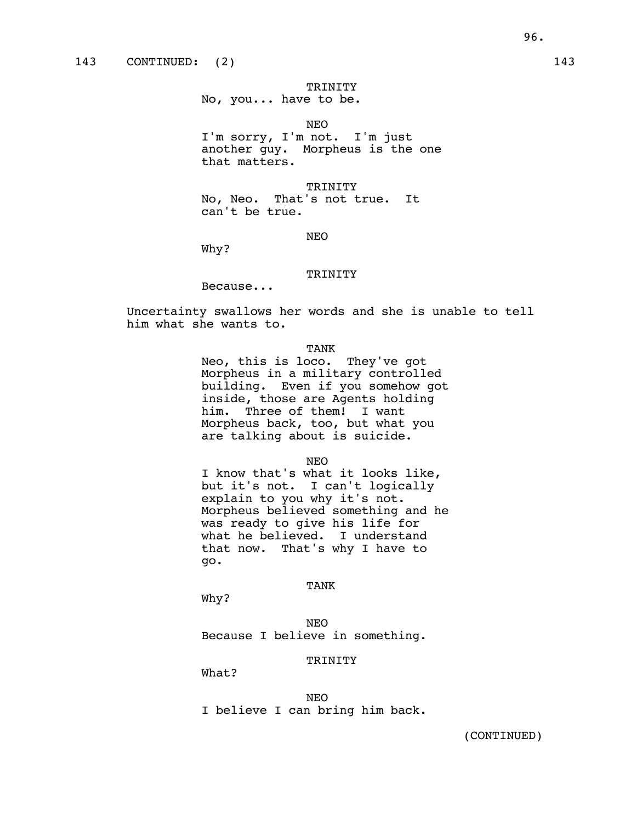#### TRINITY

No, you... have to be.

NEO

I'm sorry, I'm not. I'm just another guy. Morpheus is the one that matters.

TRINITY

No, Neo. That's not true. It can't be true.

NEO

Why?

# TRINITY

Because...

Uncertainty swallows her words and she is unable to tell him what she wants to.

#### TANK

Neo, this is loco. They've got Morpheus in a military controlled building. Even if you somehow got inside, those are Agents holding<br>him. Three of them! I want Three of them! I want Morpheus back, too, but what you are talking about is suicide.

NEO

I know that's what it looks like, but it's not. I can't logically explain to you why it's not. Morpheus believed something and he was ready to give his life for what he believed. I understand that now. That's why I have to go.

# TANK

Why?

NEO Because I believe in something.

#### TRINITY

What?

NEO I believe I can bring him back.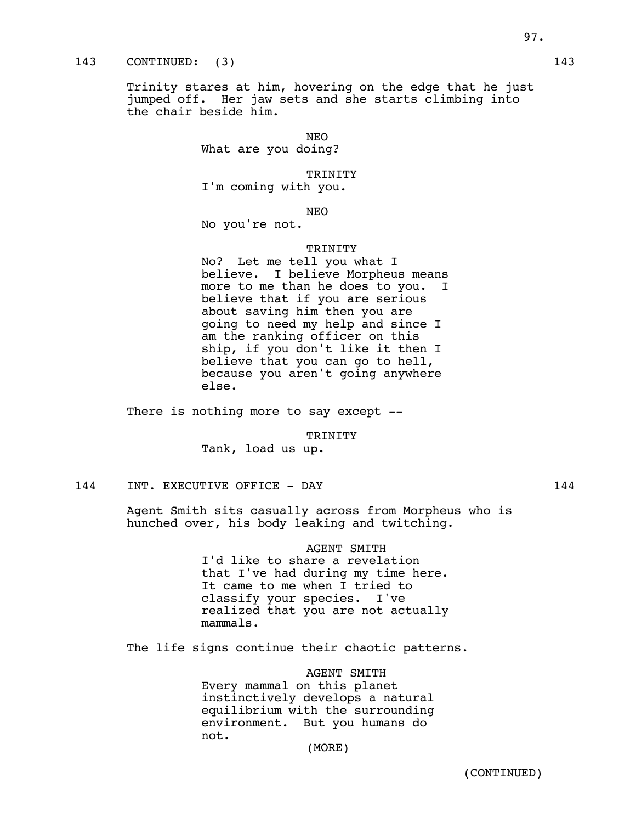Trinity stares at him, hovering on the edge that he just jumped off. Her jaw sets and she starts climbing into the chair beside him.

NEO

What are you doing?

**TRINITY** 

I'm coming with you.

NEO

No you're not.

# TRINITY

No? Let me tell you what I believe. I believe Morpheus means more to me than he does to you. I believe that if you are serious about saving him then you are going to need my help and since I am the ranking officer on this ship, if you don't like it then I believe that you can go to hell, because you aren't going anywhere else.

There is nothing more to say except --

#### **TRINITY**

Tank, load us up.

144 INT. EXECUTIVE OFFICE - DAY 144

Agent Smith sits casually across from Morpheus who is hunched over, his body leaking and twitching.

#### AGENT SMITH

I'd like to share a revelation that I've had during my time here. It came to me when I tried to classify your species. I've realized that you are not actually mammals.

The life signs continue their chaotic patterns.

#### AGENT SMITH

Every mammal on this planet instinctively develops a natural equilibrium with the surrounding environment. But you humans do not.

(MORE)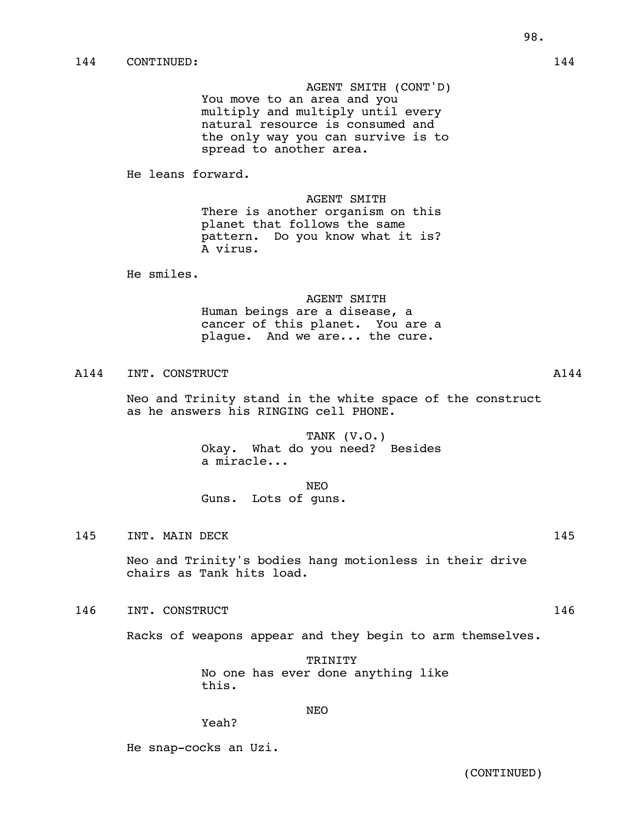AGENT SMITH (CONT'D) You move to an area and you multiply and multiply until every natural resource is consumed and the only way you can survive is to spread to another area.

He leans forward.

AGENT SMITH There is another organism on this planet that follows the same pattern. Do you know what it is? A virus.

He smiles.

AGENT SMITH Human beings are a disease, a cancer of this planet. You are a plague. And we are... the cure.

A144 INT. CONSTRUCT And Alternative Andrew Andrew A144

Neo and Trinity stand in the white space of the construct as he answers his RINGING cell PHONE.

> TANK (V.O.) Okay. What do you need? Besides a miracle...

NEO Guns. Lots of guns.

145 INT. MAIN DECK 145

Neo and Trinity's bodies hang motionless in their drive chairs as Tank hits load.

146 INT. CONSTRUCT 146 2008 12:00 12:00 12:00 12:00 12:00 12:00 12:00 12:00 12:00 12:00 12:00 12:00 12:00 12:0

Racks of weapons appear and they begin to arm themselves.

TRINITY No one has ever done anything like this.

NEO

Yeah?

He snap-cocks an Uzi.

98.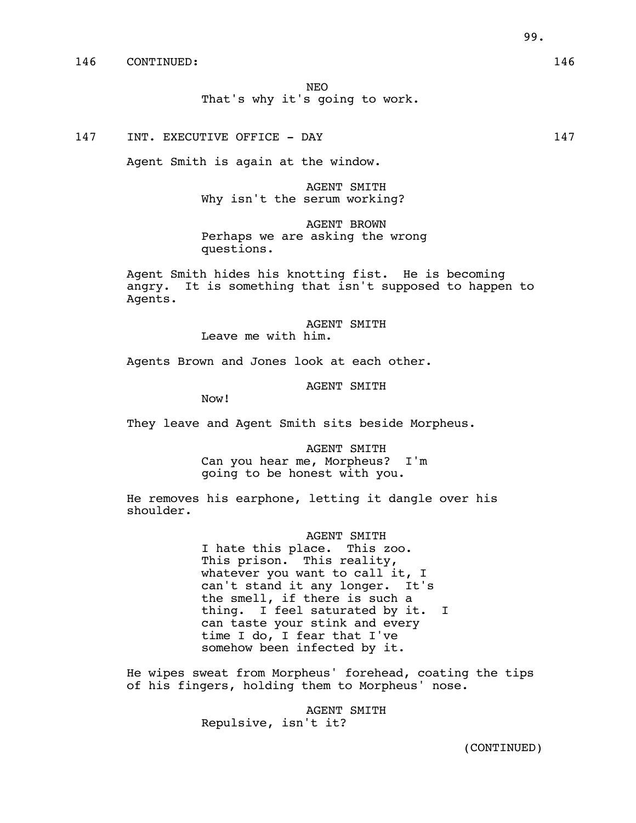That's why it's going to work.

147 INT. EXECUTIVE OFFICE - DAY 147

Agent Smith is again at the window.

AGENT SMITH Why isn't the serum working?

AGENT BROWN Perhaps we are asking the wrong questions.

Agent Smith hides his knotting fist. He is becoming angry. It is something that isn't supposed to happen to Agents.

> AGENT SMITH Leave me with him.

Agents Brown and Jones look at each other.

AGENT SMITH

Now!

They leave and Agent Smith sits beside Morpheus.

AGENT SMITH Can you hear me, Morpheus? I'm going to be honest with you.

He removes his earphone, letting it dangle over his shoulder.

> AGENT SMITH I hate this place. This zoo. This prison. This reality, whatever you want to call it, I can't stand it any longer. It's the smell, if there is such a thing. I feel saturated by it. I can taste your stink and every time I do, I fear that I've somehow been infected by it.

He wipes sweat from Morpheus' forehead, coating the tips of his fingers, holding them to Morpheus' nose.

> AGENT SMITH Repulsive, isn't it?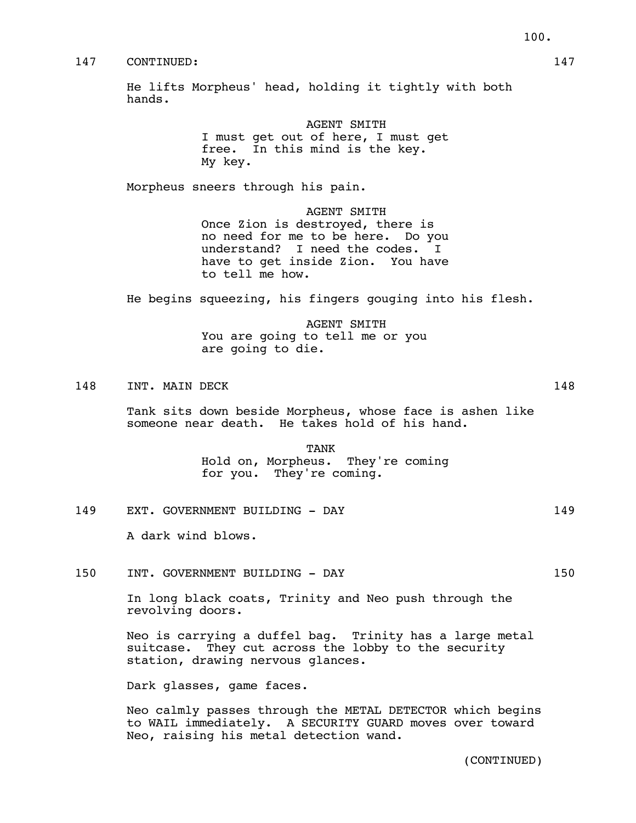## 147 CONTINUED: 147

He lifts Morpheus' head, holding it tightly with both hands.

> AGENT SMITH I must get out of here, I must get free. In this mind is the key. My key.

Morpheus sneers through his pain.

AGENT SMITH Once Zion is destroyed, there is no need for me to be here. Do you understand? I need the codes. I have to get inside Zion. You have to tell me how.

He begins squeezing, his fingers gouging into his flesh.

AGENT SMITH You are going to tell me or you are going to die.

148 INT. MAIN DECK 148

Tank sits down beside Morpheus, whose face is ashen like someone near death. He takes hold of his hand.

> TANK Hold on, Morpheus. They're coming for you. They're coming.

149 EXT. GOVERNMENT BUILDING - DAY 149

A dark wind blows.

150 INT. GOVERNMENT BUILDING - DAY 150

In long black coats, Trinity and Neo push through the revolving doors.

Neo is carrying a duffel bag. Trinity has a large metal suitcase. They cut across the lobby to the security station, drawing nervous glances.

Dark glasses, game faces.

Neo calmly passes through the METAL DETECTOR which begins to WAIL immediately. A SECURITY GUARD moves over toward Neo, raising his metal detection wand.

100.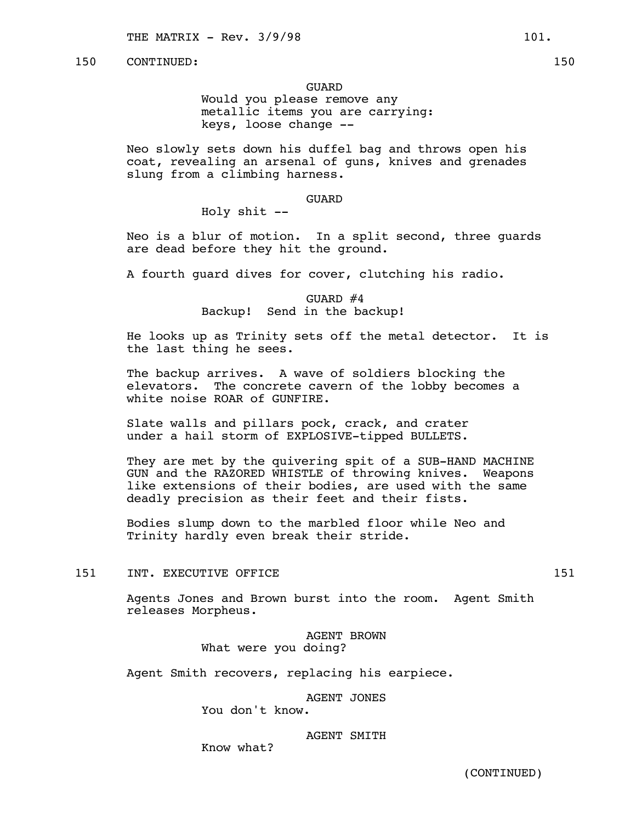150 CONTINUED: 150

#### GUARD

Would you please remove any metallic items you are carrying: keys, loose change --

Neo slowly sets down his duffel bag and throws open his coat, revealing an arsenal of guns, knives and grenades slung from a climbing harness.

#### GUARD

Holy shit --

Neo is a blur of motion. In a split second, three guards are dead before they hit the ground.

A fourth guard dives for cover, clutching his radio.

GUARD #4 Backup! Send in the backup!

He looks up as Trinity sets off the metal detector. It is the last thing he sees.

The backup arrives. A wave of soldiers blocking the elevators. The concrete cavern of the lobby becomes a white noise ROAR of GUNFIRE.

Slate walls and pillars pock, crack, and crater under a hail storm of EXPLOSIVE-tipped BULLETS.

They are met by the quivering spit of a SUB-HAND MACHINE GUN and the RAZORED WHISTLE of throwing knives. Weapons like extensions of their bodies, are used with the same deadly precision as their feet and their fists.

Bodies slump down to the marbled floor while Neo and Trinity hardly even break their stride.

151 INT. EXECUTIVE OFFICE 151

Agents Jones and Brown burst into the room. Agent Smith releases Morpheus.

> AGENT BROWN What were you doing?

Agent Smith recovers, replacing his earpiece.

AGENT JONES

You don't know.

AGENT SMITH

Know what?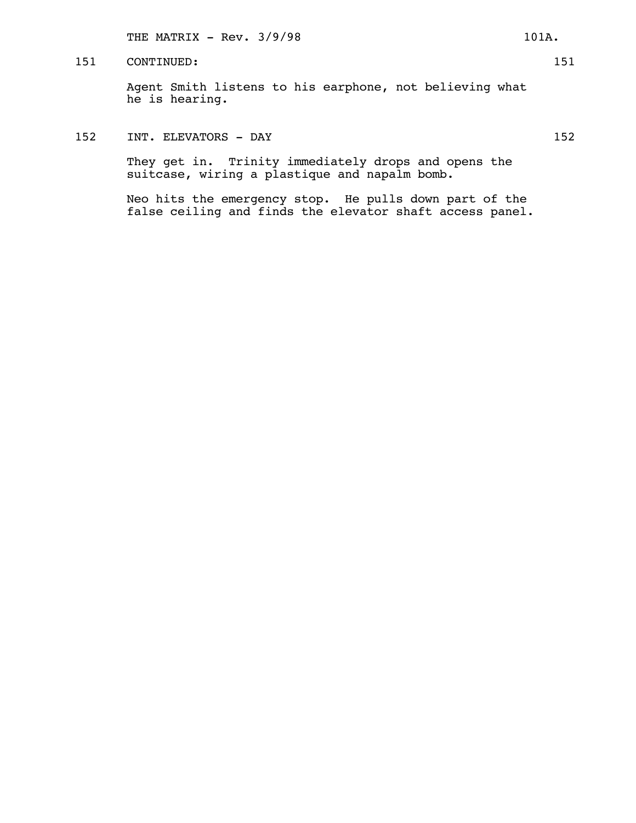THE MATRIX - Rev. 3/9/98 101A.

151 CONTINUED: 151

Agent Smith listens to his earphone, not believing what he is hearing.

152 INT. ELEVATORS - DAY 152

They get in. Trinity immediately drops and opens the suitcase, wiring a plastique and napalm bomb.

Neo hits the emergency stop. He pulls down part of the false ceiling and finds the elevator shaft access panel.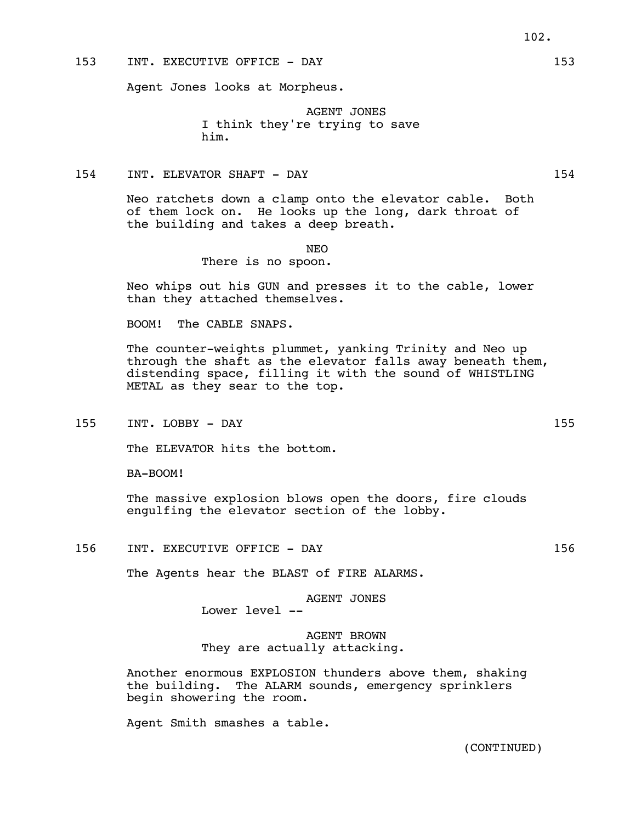# 153 INT. EXECUTIVE OFFICE - DAY 153

Agent Jones looks at Morpheus.

AGENT JONES I think they're trying to save him.

# 154 INT. ELEVATOR SHAFT - DAY 154

Neo ratchets down a clamp onto the elevator cable. Both of them lock on. He looks up the long, dark throat of the building and takes a deep breath.

NEO

There is no spoon.

Neo whips out his GUN and presses it to the cable, lower than they attached themselves.

BOOM! The CABLE SNAPS.

The counter-weights plummet, yanking Trinity and Neo up through the shaft as the elevator falls away beneath them, distending space, filling it with the sound of WHISTLING METAL as they sear to the top.

155 INT. LOBBY - DAY 155

The ELEVATOR hits the bottom.

BA-BOOM!

The massive explosion blows open the doors, fire clouds engulfing the elevator section of the lobby.

156 INT. EXECUTIVE OFFICE - DAY 156

The Agents hear the BLAST of FIRE ALARMS.

AGENT JONES

Lower level --

# AGENT BROWN They are actually attacking.

Another enormous EXPLOSION thunders above them, shaking the building. The ALARM sounds, emergency sprinklers begin showering the room.

Agent Smith smashes a table.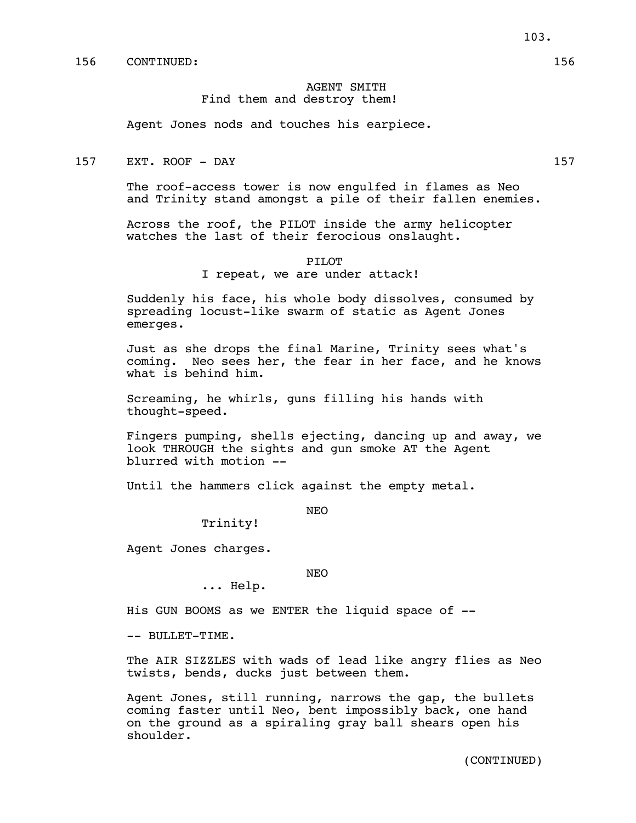## AGENT SMITH Find them and destroy them!

Agent Jones nods and touches his earpiece.

157 EXT. ROOF - DAY 157

The roof-access tower is now engulfed in flames as Neo and Trinity stand amongst a pile of their fallen enemies.

Across the roof, the PILOT inside the army helicopter watches the last of their ferocious onslaught.

#### PILOT

I repeat, we are under attack!

Suddenly his face, his whole body dissolves, consumed by spreading locust-like swarm of static as Agent Jones emerges.

Just as she drops the final Marine, Trinity sees what's coming. Neo sees her, the fear in her face, and he knows what is behind him.

Screaming, he whirls, guns filling his hands with thought-speed.

Fingers pumping, shells ejecting, dancing up and away, we look THROUGH the sights and gun smoke AT the Agent blurred with motion --

Until the hammers click against the empty metal.

NEO

Trinity!

Agent Jones charges.

## NEO

... Help.

His GUN BOOMS as we ENTER the liquid space of --

-- BULLET-TIME.

The AIR SIZZLES with wads of lead like angry flies as Neo twists, bends, ducks just between them.

Agent Jones, still running, narrows the gap, the bullets coming faster until Neo, bent impossibly back, one hand on the ground as a spiraling gray ball shears open his shoulder.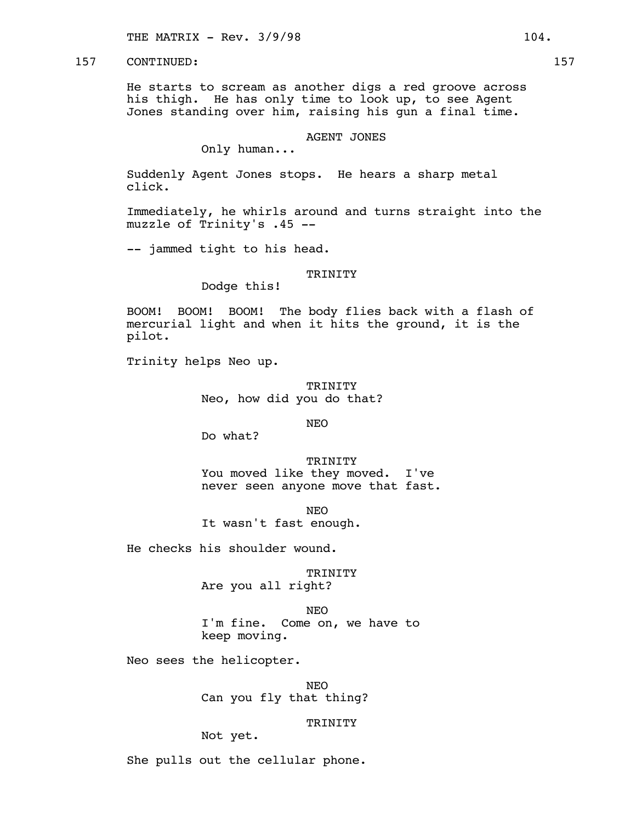He starts to scream as another digs a red groove across his thigh. He has only time to look up, to see Agent Jones standing over him, raising his gun a final time.

# AGENT JONES

Only human...

Suddenly Agent Jones stops. He hears a sharp metal click.

Immediately, he whirls around and turns straight into the muzzle of Trinity's .45 --

-- jammed tight to his head.

# TRINITY

Dodge this!

BOOM! BOOM! BOOM! The body flies back with a flash of mercurial light and when it hits the ground, it is the pilot.

Trinity helps Neo up.

## **TRINITY**

Neo, how did you do that?

NEO

Do what?

**TRINITY** You moved like they moved. I've never seen anyone move that fast.

NEO It wasn't fast enough.

He checks his shoulder wound.

TRINITY Are you all right?

NEO

I'm fine. Come on, we have to keep moving.

Neo sees the helicopter.

NEO Can you fly that thing?

# **TRINITY**

Not yet.

She pulls out the cellular phone.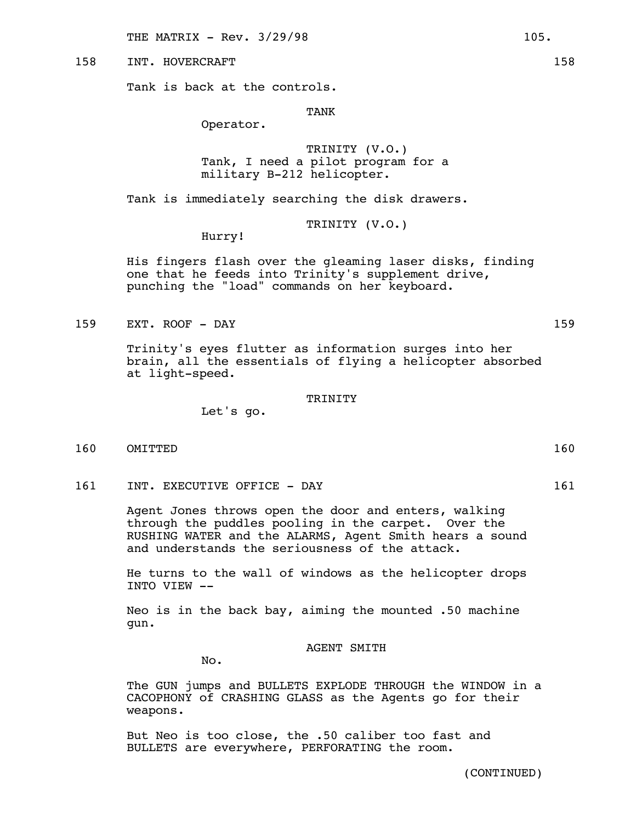THE MATRIX  $-$  Rev.  $3/29/98$  105.

158 INT. HOVERCRAFT 158 158

Tank is back at the controls.

#### TANK

Operator.

TRINITY (V.O.) Tank, I need a pilot program for a military B-212 helicopter.

Tank is immediately searching the disk drawers.

TRINITY (V.O.)

Hurry!

His fingers flash over the gleaming laser disks, finding one that he feeds into Trinity's supplement drive, punching the "load" commands on her keyboard.

159 EXT. ROOF - DAY 159

Trinity's eyes flutter as information surges into her brain, all the essentials of flying a helicopter absorbed at light-speed.

## **TRINITY**

Let's go.

- 160 OMITTED 160
- 161 INT. EXECUTIVE OFFICE DAY 161

Agent Jones throws open the door and enters, walking through the puddles pooling in the carpet. Over the RUSHING WATER and the ALARMS, Agent Smith hears a sound and understands the seriousness of the attack.

He turns to the wall of windows as the helicopter drops INTO VIEW --

Neo is in the back bay, aiming the mounted .50 machine gun.

AGENT SMITH

No.

The GUN jumps and BULLETS EXPLODE THROUGH the WINDOW in a CACOPHONY of CRASHING GLASS as the Agents go for their weapons.

But Neo is too close, the .50 caliber too fast and BULLETS are everywhere, PERFORATING the room.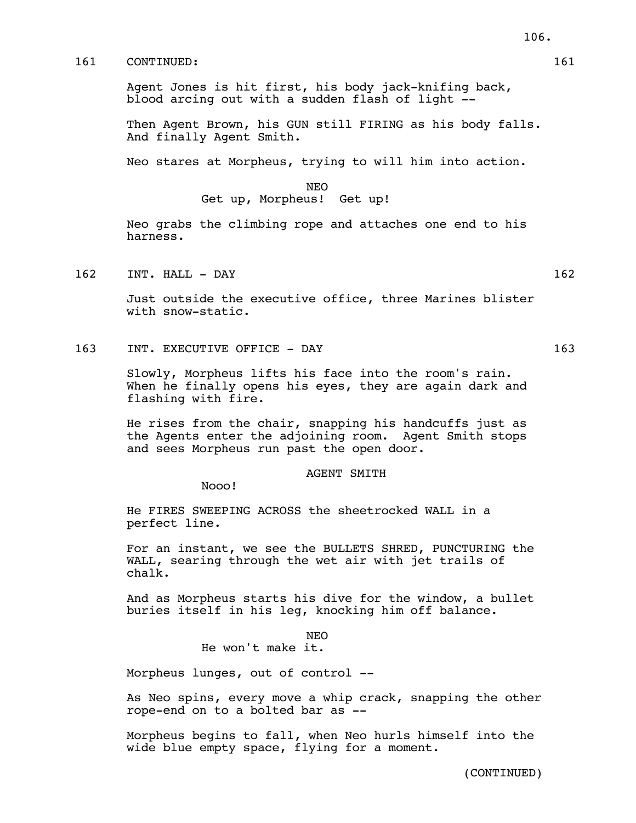Agent Jones is hit first, his body jack-knifing back, blood arcing out with a sudden flash of light --

Then Agent Brown, his GUN still FIRING as his body falls. And finally Agent Smith.

Neo stares at Morpheus, trying to will him into action.

NEO Get up, Morpheus! Get up!

Neo grabs the climbing rope and attaches one end to his harness.

162 INT. HALL – DAY 162

Just outside the executive office, three Marines blister with snow-static.

163 INT. EXECUTIVE OFFICE - DAY 163

Slowly, Morpheus lifts his face into the room's rain. When he finally opens his eyes, they are again dark and flashing with fire.

He rises from the chair, snapping his handcuffs just as the Agents enter the adjoining room. Agent Smith stops and sees Morpheus run past the open door.

## AGENT SMITH

Nooo!

He FIRES SWEEPING ACROSS the sheetrocked WALL in a perfect line.

For an instant, we see the BULLETS SHRED, PUNCTURING the WALL, searing through the wet air with jet trails of chalk.

And as Morpheus starts his dive for the window, a bullet buries itself in his leg, knocking him off balance.

#### NEO

He won't make it.

Morpheus lunges, out of control --

As Neo spins, every move a whip crack, snapping the other rope-end on to a bolted bar as --

Morpheus begins to fall, when Neo hurls himself into the wide blue empty space, flying for a moment.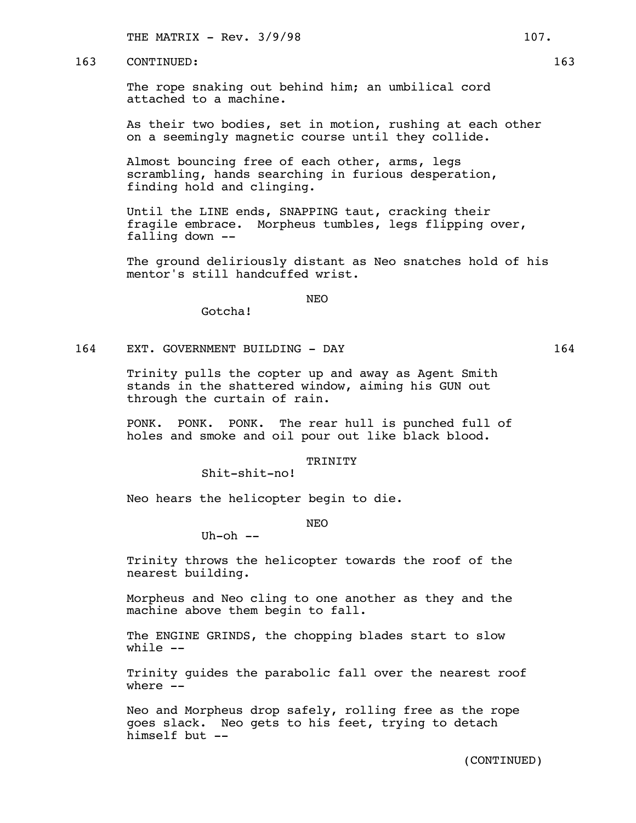THE MATRIX  $-$  Rev.  $3/9/98$  107.

163 CONTINUED: 163

The rope snaking out behind him; an umbilical cord attached to a machine.

As their two bodies, set in motion, rushing at each other on a seemingly magnetic course until they collide.

Almost bouncing free of each other, arms, legs scrambling, hands searching in furious desperation, finding hold and clinging.

Until the LINE ends, SNAPPING taut, cracking their fragile embrace. Morpheus tumbles, legs flipping over, falling down --

The ground deliriously distant as Neo snatches hold of his mentor's still handcuffed wrist.

NEO

Gotcha!

## 164 EXT. GOVERNMENT BUILDING - DAY 164

Trinity pulls the copter up and away as Agent Smith stands in the shattered window, aiming his GUN out through the curtain of rain.

PONK. PONK. PONK. The rear hull is punched full of holes and smoke and oil pour out like black blood.

TRINITY

Shit-shit-no!

Neo hears the helicopter begin to die.

NEO

 $Uh$ -oh --

Trinity throws the helicopter towards the roof of the nearest building.

Morpheus and Neo cling to one another as they and the machine above them begin to fall.

The ENGINE GRINDS, the chopping blades start to slow while --

Trinity guides the parabolic fall over the nearest roof where  $--$ 

Neo and Morpheus drop safely, rolling free as the rope goes slack. Neo gets to his feet, trying to detach himself but --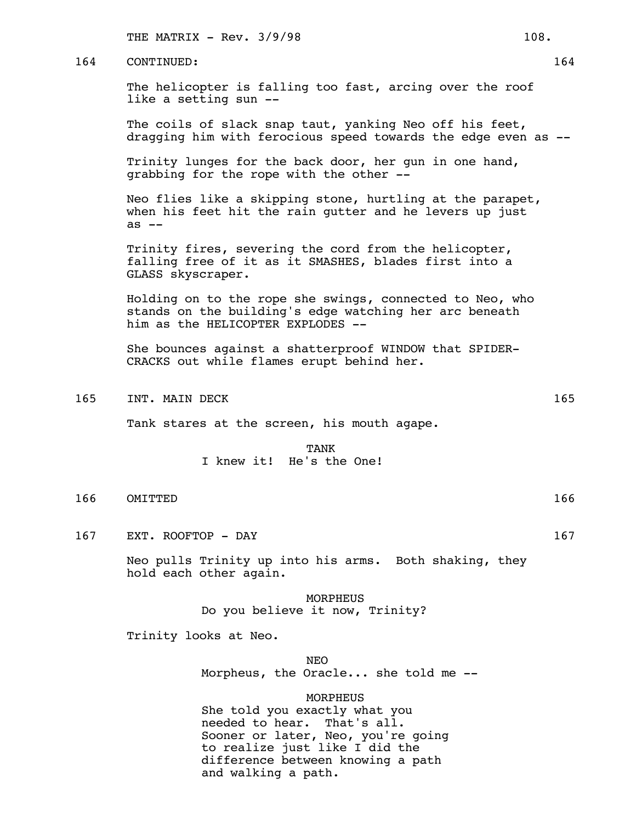THE MATRIX  $-$  Rev.  $3/9/98$  108.

164 CONTINUED: 164

The helicopter is falling too fast, arcing over the roof like a setting sun --

The coils of slack snap taut, yanking Neo off his feet, dragging him with ferocious speed towards the edge even as --

Trinity lunges for the back door, her gun in one hand, grabbing for the rope with the other --

Neo flies like a skipping stone, hurtling at the parapet, when his feet hit the rain gutter and he levers up just as  $-$ 

Trinity fires, severing the cord from the helicopter, falling free of it as it SMASHES, blades first into a GLASS skyscraper.

Holding on to the rope she swings, connected to Neo, who stands on the building's edge watching her arc beneath him as the HELICOPTER EXPLODES --

She bounces against a shatterproof WINDOW that SPIDER-CRACKS out while flames erupt behind her.

165 INT. MAIN DECK 165

Tank stares at the screen, his mouth agape.

TANK I knew it! He's the One!

- 166 OMITTED 166
- 167 EXT. ROOFTOP DAY 167

Neo pulls Trinity up into his arms. Both shaking, they hold each other again.

> MORPHEUS Do you believe it now, Trinity?

Trinity looks at Neo.

NEO Morpheus, the Oracle... she told me --

#### MORPHEUS

She told you exactly what you needed to hear. That's all. Sooner or later, Neo, you're going to realize just like I did the difference between knowing a path and walking a path.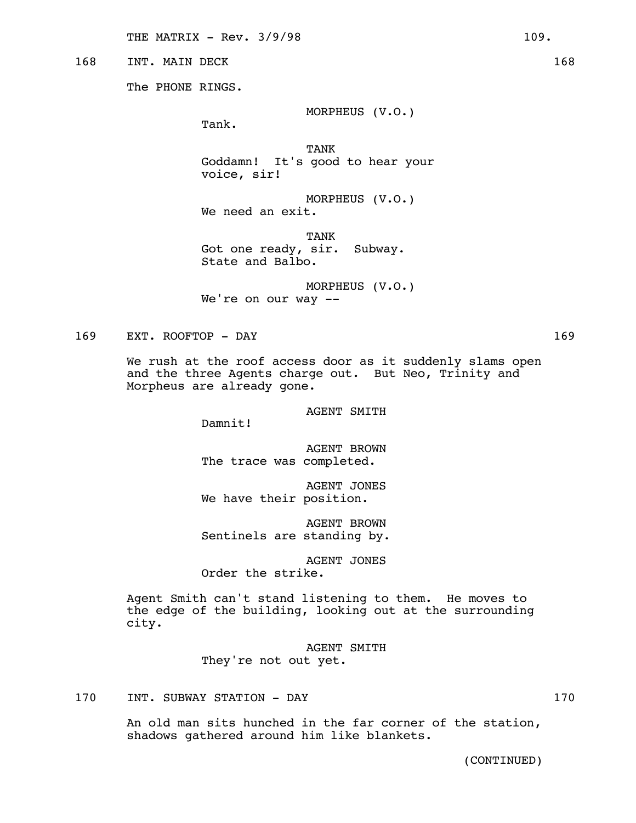THE MATRIX  $-$  Rev.  $3/9/98$  109.

168 INT. MAIN DECK 168

The PHONE RINGS.

MORPHEUS (V.O.)

Tank.

TANK Goddamn! It's good to hear your voice, sir!

MORPHEUS (V.O.) We need an exit.

TANK Got one ready, sir. Subway. State and Balbo.

MORPHEUS (V.O.) We're on our way --

169 EXT. ROOFTOP - DAY 169

We rush at the roof access door as it suddenly slams open and the three Agents charge out. But Neo, Trinity and Morpheus are already gone.

AGENT SMITH

Damnit!

AGENT BROWN The trace was completed.

AGENT JONES We have their position.

AGENT BROWN Sentinels are standing by.

AGENT JONES Order the strike.

Agent Smith can't stand listening to them. He moves to the edge of the building, looking out at the surrounding city.

> AGENT SMITH They're not out yet.

170 INT. SUBWAY STATION - DAY 170

An old man sits hunched in the far corner of the station, shadows gathered around him like blankets.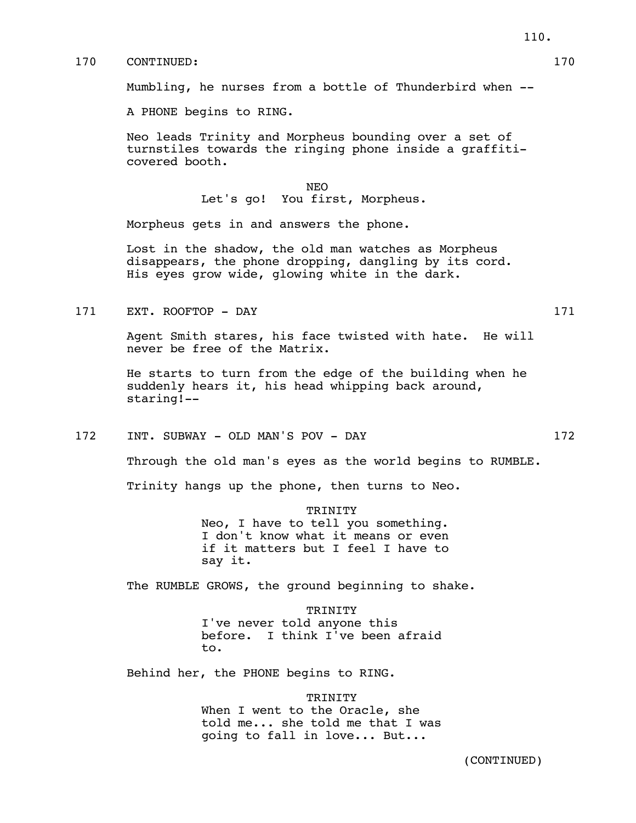Mumbling, he nurses from a bottle of Thunderbird when --

A PHONE begins to RING.

Neo leads Trinity and Morpheus bounding over a set of turnstiles towards the ringing phone inside a graffiticovered booth.

> NEO Let's go! You first, Morpheus.

Morpheus gets in and answers the phone.

Lost in the shadow, the old man watches as Morpheus disappears, the phone dropping, dangling by its cord. His eyes grow wide, glowing white in the dark.

171 EXT. ROOFTOP – DAY 171

Agent Smith stares, his face twisted with hate. He will never be free of the Matrix.

He starts to turn from the edge of the building when he suddenly hears it, his head whipping back around, staring!--

172 INT. SUBWAY - OLD MAN'S POV - DAY 172

Through the old man's eyes as the world begins to RUMBLE.

Trinity hangs up the phone, then turns to Neo.

TRINITY Neo, I have to tell you something. I don't know what it means or even if it matters but I feel I have to say it.

The RUMBLE GROWS, the ground beginning to shake.

TRINITY I've never told anyone this before. I think I've been afraid to.

Behind her, the PHONE begins to RING.

TRINITY When I went to the Oracle, she told me... she told me that I was going to fall in love... But...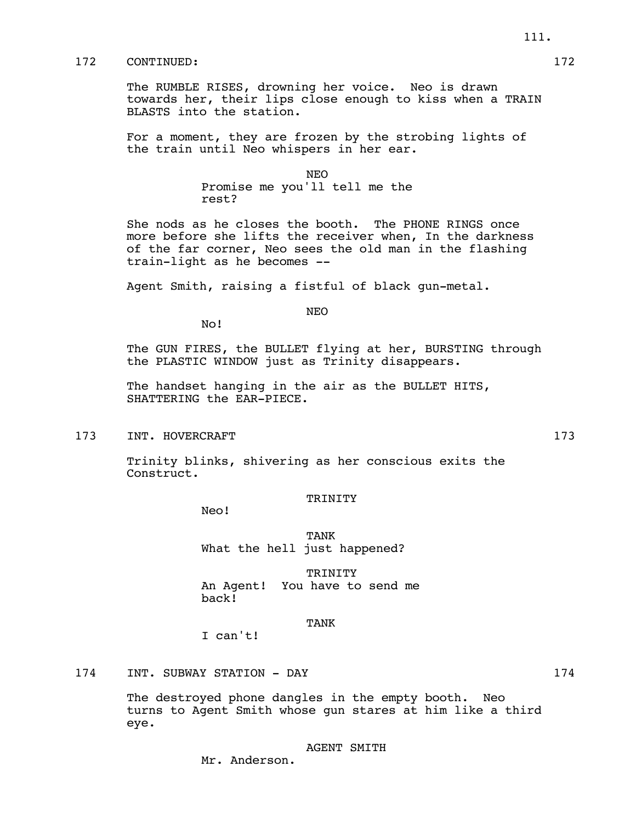The RUMBLE RISES, drowning her voice. Neo is drawn towards her, their lips close enough to kiss when a TRAIN BLASTS into the station.

For a moment, they are frozen by the strobing lights of the train until Neo whispers in her ear.

> NEO Promise me you'll tell me the rest?

She nods as he closes the booth. The PHONE RINGS once more before she lifts the receiver when, In the darkness of the far corner, Neo sees the old man in the flashing train-light as he becomes --

Agent Smith, raising a fistful of black gun-metal.

## NEO

The GUN FIRES, the BULLET flying at her, BURSTING through the PLASTIC WINDOW just as Trinity disappears.

The handset hanging in the air as the BULLET HITS, SHATTERING the EAR-PIECE.

173 INT. HOVERCRAFT 173 173

Trinity blinks, shivering as her conscious exits the Construct.

## TRINITY

Neo!

No!

TANK What the hell just happened?

TRINITY An Agent! You have to send me back!

## TANK

I can't!

The destroyed phone dangles in the empty booth. Neo turns to Agent Smith whose gun stares at him like a third eye.

AGENT SMITH

Mr. Anderson.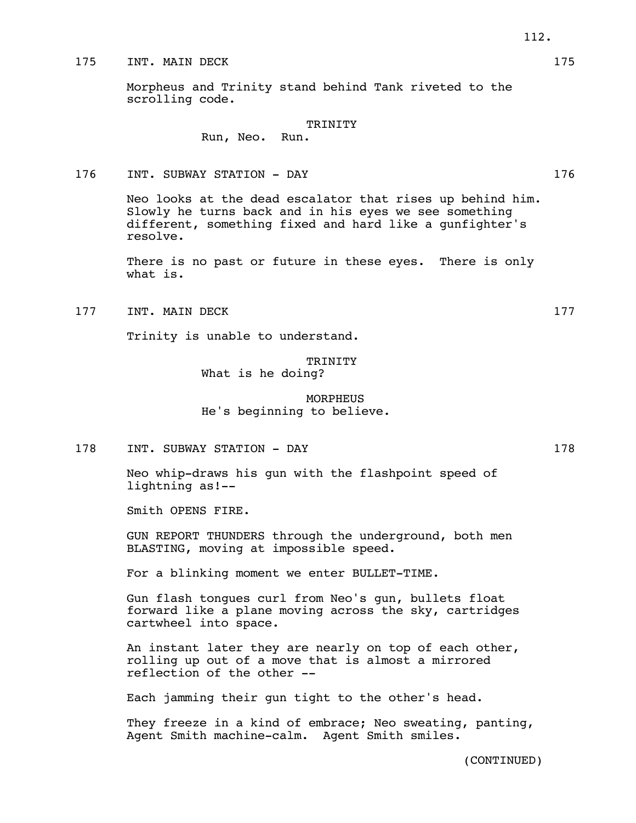#### 175 INT. MAIN DECK 2008 175

Morpheus and Trinity stand behind Tank riveted to the scrolling code.

#### **TRINITY**

Run, Neo. Run.

176 INT. SUBWAY STATION - DAY 176

Neo looks at the dead escalator that rises up behind him. Slowly he turns back and in his eyes we see something different, something fixed and hard like a gunfighter's resolve.

There is no past or future in these eyes. There is only what is.

177 INT. MAIN DECK 177

Trinity is unable to understand.

# TRINITY What is he doing?

**MORPHEUS** He's beginning to believe.

178 TNT. SUBWAY STATION - DAY 178

Neo whip-draws his gun with the flashpoint speed of lightning as!--

Smith OPENS FIRE.

GUN REPORT THUNDERS through the underground, both men BLASTING, moving at impossible speed.

For a blinking moment we enter BULLET-TIME.

Gun flash tongues curl from Neo's gun, bullets float forward like a plane moving across the sky, cartridges cartwheel into space.

An instant later they are nearly on top of each other, rolling up out of a move that is almost a mirrored reflection of the other --

Each jamming their gun tight to the other's head.

They freeze in a kind of embrace; Neo sweating, panting, Agent Smith machine-calm. Agent Smith smiles.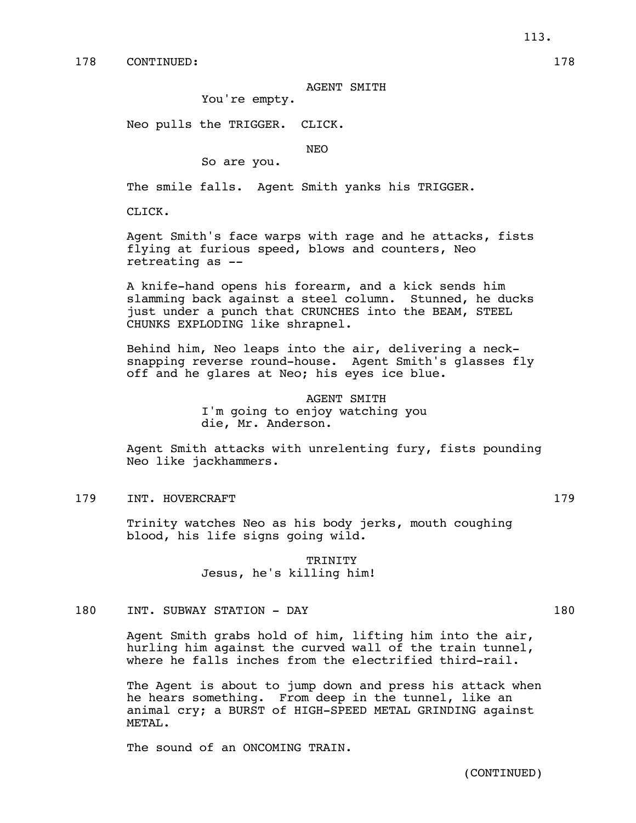## AGENT SMITH

You're empty.

Neo pulls the TRIGGER. CLICK.

NEO

So are you.

The smile falls. Agent Smith yanks his TRIGGER.

CLICK.

Agent Smith's face warps with rage and he attacks, fists flying at furious speed, blows and counters, Neo retreating as --

A knife-hand opens his forearm, and a kick sends him slamming back against a steel column. Stunned, he ducks just under a punch that CRUNCHES into the BEAM, STEEL CHUNKS EXPLODING like shrapnel.

Behind him, Neo leaps into the air, delivering a necksnapping reverse round-house. Agent Smith's glasses fly off and he glares at Neo; his eyes ice blue.

> AGENT SMITH I'm going to enjoy watching you die, Mr. Anderson.

Agent Smith attacks with unrelenting fury, fists pounding Neo like jackhammers.

## 179 INT. HOVERCRAFT 179 179

Trinity watches Neo as his body jerks, mouth coughing blood, his life signs going wild.

> **TRINITY** Jesus, he's killing him!

## 180 INT. SUBWAY STATION - DAY 180

Agent Smith grabs hold of him, lifting him into the air, hurling him against the curved wall of the train tunnel, where he falls inches from the electrified third-rail.

The Agent is about to jump down and press his attack when he hears something. From deep in the tunnel, like an animal cry; a BURST of HIGH-SPEED METAL GRINDING against METAL.

The sound of an ONCOMING TRAIN.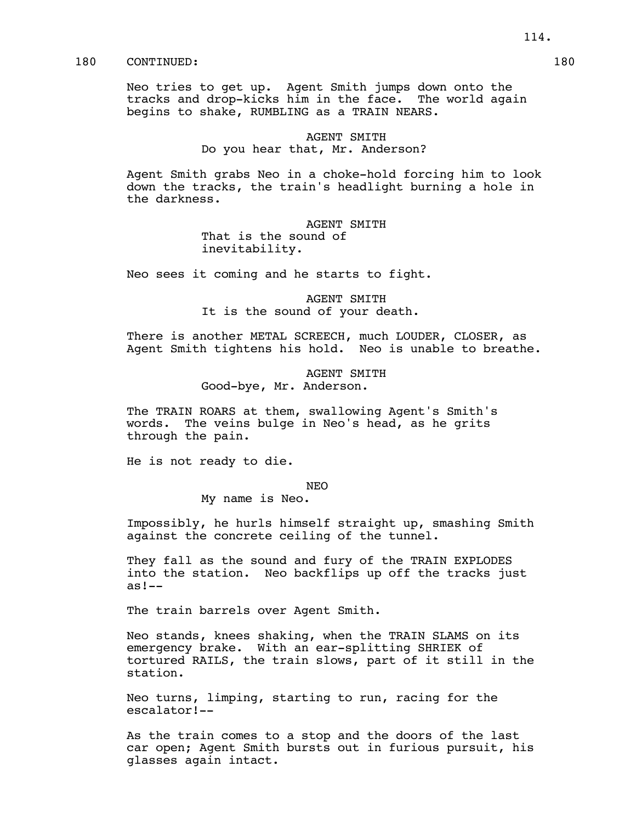Neo tries to get up. Agent Smith jumps down onto the tracks and drop-kicks him in the face. The world again begins to shake, RUMBLING as a TRAIN NEARS.

## AGENT SMITH Do you hear that, Mr. Anderson?

Agent Smith grabs Neo in a choke-hold forcing him to look down the tracks, the train's headlight burning a hole in the darkness.

> AGENT SMITH That is the sound of inevitability.

Neo sees it coming and he starts to fight.

AGENT SMITH It is the sound of your death.

There is another METAL SCREECH, much LOUDER, CLOSER, as Agent Smith tightens his hold. Neo is unable to breathe.

> AGENT SMITH Good-bye, Mr. Anderson.

The TRAIN ROARS at them, swallowing Agent's Smith's words. The veins bulge in Neo's head, as he grits through the pain.

He is not ready to die.

## NEO

My name is Neo.

Impossibly, he hurls himself straight up, smashing Smith against the concrete ceiling of the tunnel.

They fall as the sound and fury of the TRAIN EXPLODES into the station. Neo backflips up off the tracks just  $as! --$ 

The train barrels over Agent Smith.

Neo stands, knees shaking, when the TRAIN SLAMS on its emergency brake. With an ear-splitting SHRIEK of tortured RAILS, the train slows, part of it still in the station.

Neo turns, limping, starting to run, racing for the escalator!--

As the train comes to a stop and the doors of the last car open; Agent Smith bursts out in furious pursuit, his glasses again intact.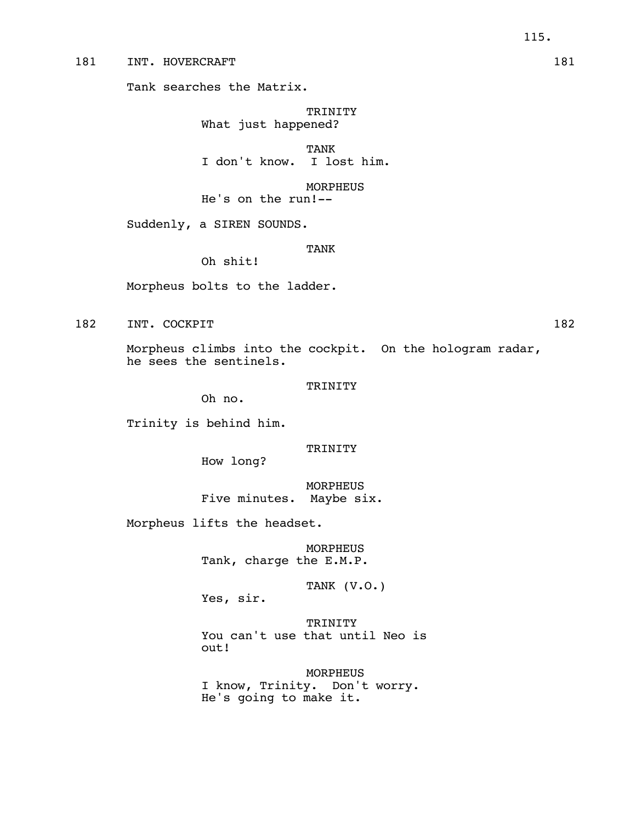## 181 INT. HOVERCRAFT 181

Tank searches the Matrix.

**TRINITY** What just happened?

TANK I don't know. I lost him.

MORPHEUS

He's on the run!--

Suddenly, a SIREN SOUNDS.

TANK

Oh shit!

Morpheus bolts to the ladder.

182 INT. COCKPIT 182 182

Morpheus climbs into the cockpit. On the hologram radar, he sees the sentinels.

TRINITY

Oh no.

Trinity is behind him.

TRINITY

How long?

MORPHEUS Five minutes. Maybe six.

Morpheus lifts the headset.

MORPHEUS Tank, charge the E.M.P.

TANK (V.O.)

Yes, sir.

TRINITY You can't use that until Neo is out!

**MORPHEUS** I know, Trinity. Don't worry. He's going to make it.

115.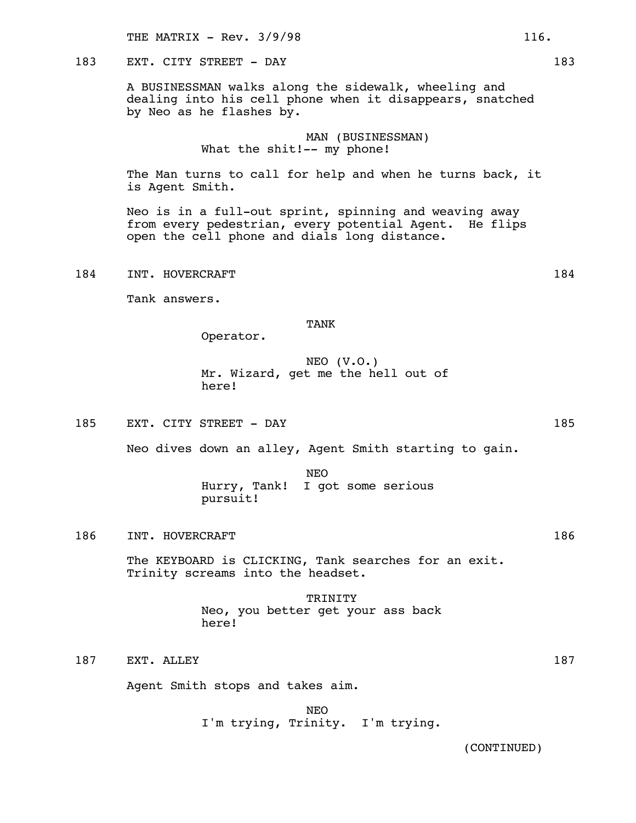THE MATRIX  $-$  Rev.  $3/9/98$  116.

#### 183 EXT. CITY STREET - DAY 183

A BUSINESSMAN walks along the sidewalk, wheeling and dealing into his cell phone when it disappears, snatched by Neo<sup>as</sup> he flashes by.

# MAN (BUSINESSMAN) What the shit! -- my phone!

The Man turns to call for help and when he turns back, it is Agent Smith.

Neo is in a full-out sprint, spinning and weaving away from every pedestrian, every potential Agent. He flips open the cell phone and dials long distance.

184 INT. HOVERCRAFT 184 184

Tank answers.

TANK

Operator.

## NEO (V.O.) Mr. Wizard, get me the hell out of here!

185 EXT. CITY STREET - DAY 185

Neo dives down an alley, Agent Smith starting to gain.

NEO Hurry, Tank! I got some serious pursuit!

186 INT. HOVERCRAFT 186 186

The KEYBOARD is CLICKING, Tank searches for an exit. Trinity screams into the headset.

> TRINITY Neo, you better get your ass back here!

187 EXT. ALLEY 187 2001 187

Agent Smith stops and takes aim.

NEO I'm trying, Trinity. I'm trying.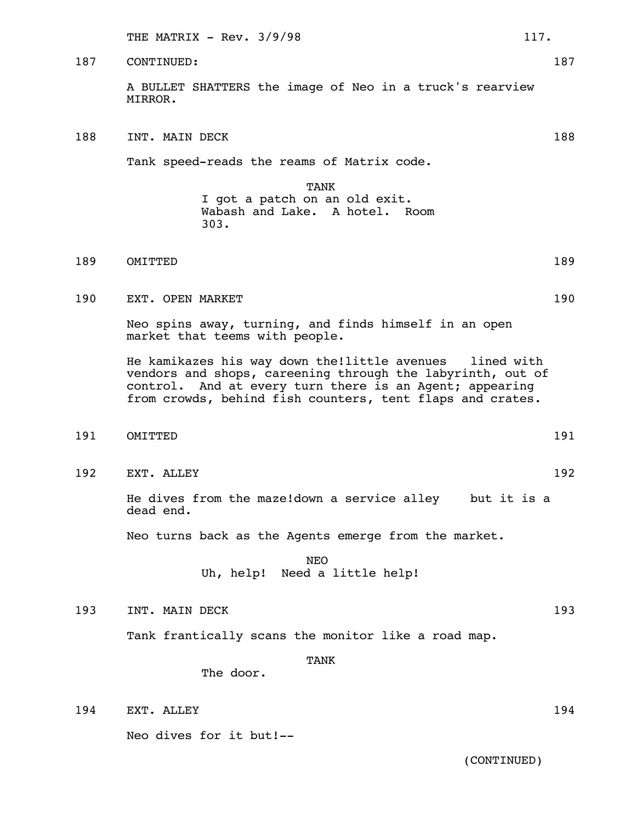THE MATRIX - Rev. 3/9/98 117.

187 CONTINUED: 187

A BULLET SHATTERS the image of Neo in a truck's rearview MIRROR.

188 INT. MAIN DECK 188

Tank speed-reads the reams of Matrix code.

TANK I got a patch on an old exit. Wabash and Lake. A hotel. Room 303.

- 189 OMITTED 189
- 190 EXT. OPEN MARKET

Neo spins away, turning, and finds himself in an open market that teems with people.

He kamikazes his way down the!little avenues lined with vendors and shops, careening through the labyrinth, out of control. And at every turn there is an Agent; appearing from crowds, behind fish counters, tent flaps and crates.

- 191 OMITTED 191
- 192 EXT. ALLEY 192

He dives from the maze!down a service alley but it is a dead end.

Neo turns back as the Agents emerge from the market.

NEO Uh, help! Need a little help!

193 INT. MAIN DECK 193

Tank frantically scans the monitor like a road map.

TANK

The door.

194 EXT. ALLEY 194 2012

Neo dives for it but!--

- 
- 
- 
- 
-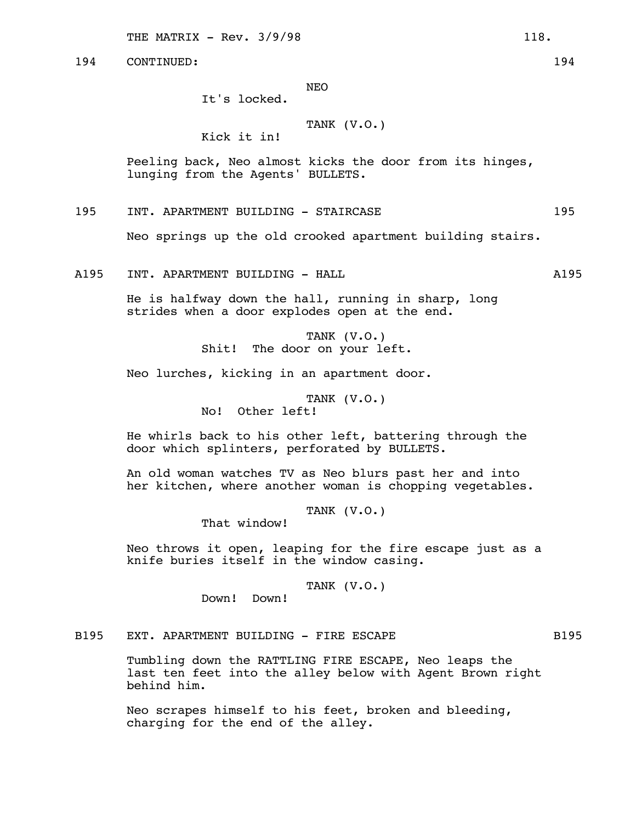THE MATRIX - Rev. 3/9/98 118.

194 CONTINUED: 194

NEO

It's locked.

Kick it in!

TANK (V.O.)

Peeling back, Neo almost kicks the door from its hinges, lunging from the Agents' BULLETS.

195 INT. APARTMENT BUILDING - STAIRCASE 195

Neo springs up the old crooked apartment building stairs.

A195 INT. APARTMENT BUILDING - HALL **And Almar Almany Alman** 

He is halfway down the hall, running in sharp, long strides when a door explodes open at the end.

> TANK (V.O.) Shit! The door on your left.

Neo lurches, kicking in an apartment door.

TANK (V.O.) No! Other left!

He whirls back to his other left, battering through the door which splinters, perforated by BULLETS.

An old woman watches TV as Neo blurs past her and into her kitchen, where another woman is chopping vegetables.

TANK (V.O.)

That window!

Neo throws it open, leaping for the fire escape just as a knife buries itself in the window casing.

TANK (V.O.)

Down! Down!

B195 EXT. APARTMENT BUILDING - FIRE ESCAPE **B195** 

Tumbling down the RATTLING FIRE ESCAPE, Neo leaps the last ten feet into the alley below with Agent Brown right behind him.

Neo scrapes himself to his feet, broken and bleeding, charging for the end of the alley.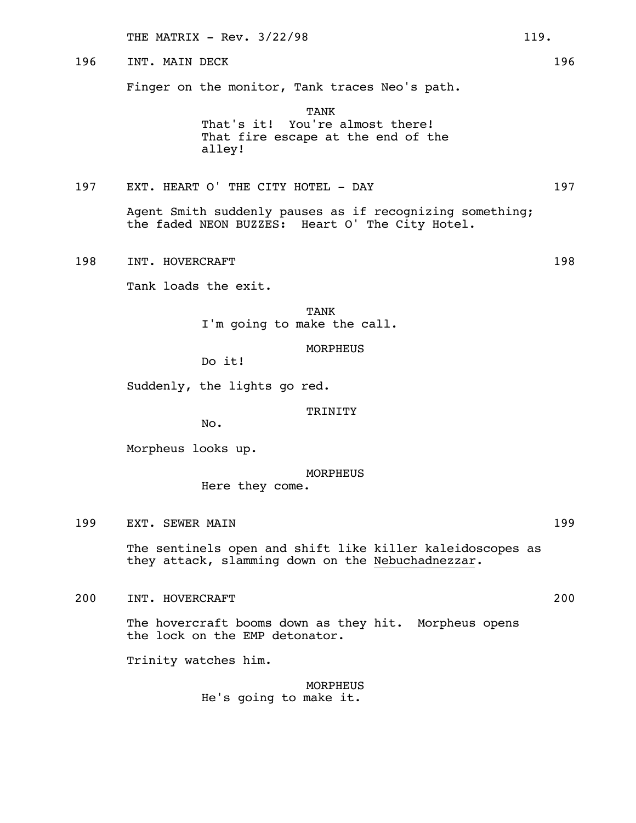## 196 INT. MAIN DECK 196

Finger on the monitor, Tank traces Neo's path.

TANK That's it! You're almost there! That fire escape at the end of the alley!

# 197 EXT. HEART O' THE CITY HOTEL - DAY 197

Agent Smith suddenly pauses as if recognizing something; the faded NEON BUZZES: Heart O' The City Hotel.

198 INT. HOVERCRAFT 198 198

Tank loads the exit.

TANK I'm going to make the call.

MORPHEUS

Do it!

Suddenly, the lights go red.

TRINITY

No.

Morpheus looks up.

MORPHEUS

Here they come.

199 EXT. SEWER MAIN 199

The sentinels open and shift like killer kaleidoscopes as they attack, slamming down on the Nebuchadnezzar.

200 INT. HOVERCRAFT 200

The hovercraft booms down as they hit. Morpheus opens the lock on the EMP detonator.

Trinity watches him.

MORPHEUS

He's going to make it.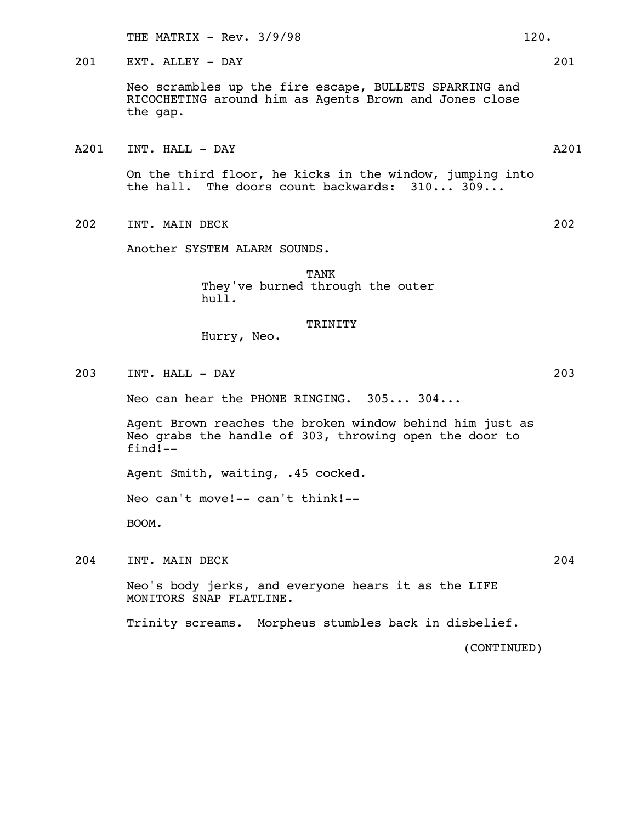THE MATRIX - Rev. 3/9/98 120.

201 EXT. ALLEY - DAY 201

Neo scrambles up the fire escape, BULLETS SPARKING and RICOCHETING around him as Agents Brown and Jones close the gap.

A201 INT. HALL - DAY A201

On the third floor, he kicks in the window, jumping into the hall. The doors count backwards: 310... 309...

202 INT. MAIN DECK 202

Another SYSTEM ALARM SOUNDS.

TANK They've burned through the outer hull.

#### TRINITY

Hurry, Neo.

203 INT. HALL - DAY 203

Neo can hear the PHONE RINGING. 305... 304...

Agent Brown reaches the broken window behind him just as Neo grabs the handle of 303, throwing open the door to  $find$   $---$ 

Agent Smith, waiting, .45 cocked.

Neo can't move!-- can't think!--

BOOM.

204 INT. MAIN DECK 204

Neo's body jerks, and everyone hears it as the LIFE MONITORS SNAP FLATLINE.

Trinity screams. Morpheus stumbles back in disbelief.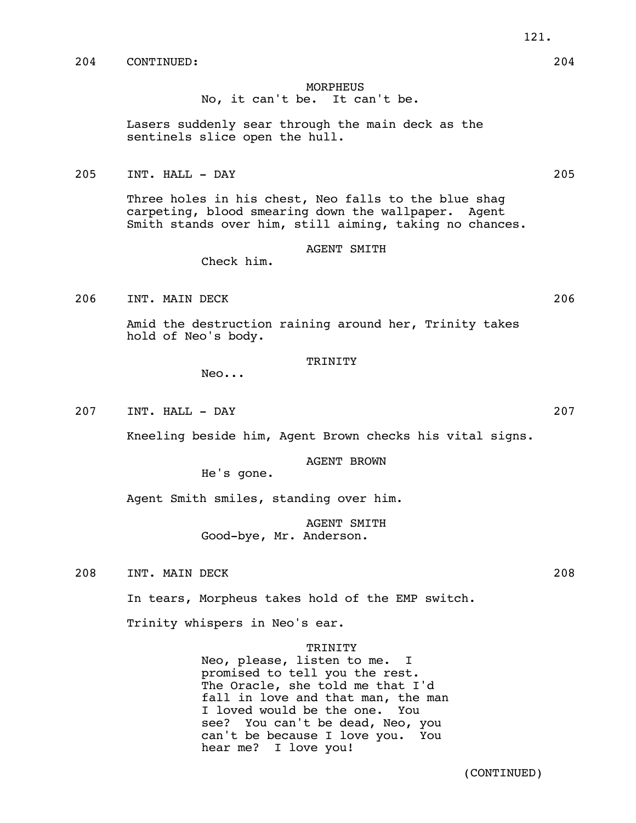#### MORPHEUS

# No, it can't be. It can't be.

Lasers suddenly sear through the main deck as the sentinels slice open the hull.

205 INT. HALL - DAY 205

Three holes in his chest, Neo falls to the blue shag carpeting, blood smearing down the wallpaper. Agent Smith stands over him, still aiming, taking no chances.

## AGENT SMITH

Check him.

206 INT. MAIN DECK 206 Amid the destruction raining around her, Trinity takes

hold of Neo's body.

## TRINITY

Neo...

207 INT. HALL - DAY 207

Kneeling beside him, Agent Brown checks his vital signs.

AGENT BROWN

He's gone.

Agent Smith smiles, standing over him.

AGENT SMITH Good-bye, Mr. Anderson.

208 INT. MAIN DECK 208

In tears, Morpheus takes hold of the EMP switch.

Trinity whispers in Neo's ear.

#### **TRINITY**

Neo, please, listen to me. I promised to tell you the rest. The Oracle, she told me that I'd fall in love and that man, the man I loved would be the one. You see? You can't be dead, Neo, you can't be because I love you. You hear me? I love you!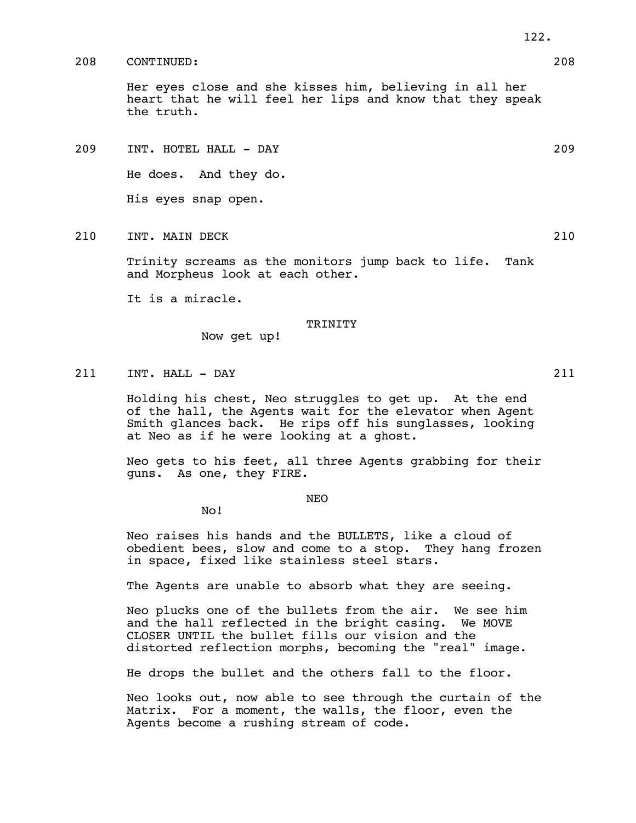Her eyes close and she kisses him, believing in all her heart that he will feel her lips and know that they speak the truth.

209 INT. HOTEL HALL - DAY 209 He does. And they do. His eyes snap open.

210 INT. MAIN DECK 210

Trinity screams as the monitors jump back to life. Tank and Morpheus look at each other.

It is a miracle.

## TRINITY

Now get up!

## 211 INT. HALL - DAY 211

Holding his chest, Neo struggles to get up. At the end of the hall, the Agents wait for the elevator when Agent Smith glances back. He rips off his sunglasses, looking at Neo as if he were looking at a ghost.

Neo gets to his feet, all three Agents grabbing for their guns. As one, they FIRE.

NEO

No!

Neo raises his hands and the BULLETS, like a cloud of obedient bees, slow and come to a stop. They hang frozen in space, fixed like stainless steel stars.

The Agents are unable to absorb what they are seeing.

Neo plucks one of the bullets from the air. We see him and the hall reflected in the bright casing. We MOVE CLOSER UNTIL the bullet fills our vision and the distorted reflection morphs, becoming the "real" image.

He drops the bullet and the others fall to the floor.

Neo looks out, now able to see through the curtain of the Matrix. For a moment, the walls, the floor, even the Agents become a rushing stream of code.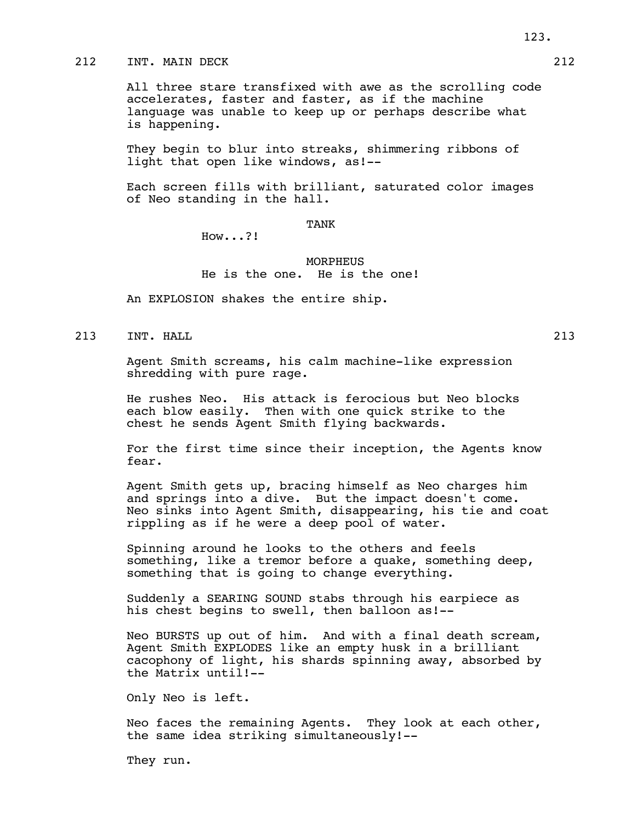## 212 INT. MAIN DECK 212

All three stare transfixed with awe as the scrolling code accelerates, faster and faster, as if the machine language was unable to keep up or perhaps describe what is happening.

They begin to blur into streaks, shimmering ribbons of light that open like windows, as!--

Each screen fills with brilliant, saturated color images of Neo standing in the hall.

#### TANK

How...?!

**MORPHEUS** He is the one. He is the one!

An EXPLOSION shakes the entire ship.

213 INT. HALL 213 213

Agent Smith screams, his calm machine-like expression shredding with pure rage.

He rushes Neo. His attack is ferocious but Neo blocks each blow easily. Then with one quick strike to the chest he sends Agent Smith flying backwards.

For the first time since their inception, the Agents know fear.

Agent Smith gets up, bracing himself as Neo charges him and springs into a dive. But the impact doesn't come. Neo sinks into Agent Smith, disappearing, his tie and coat rippling as if he were a deep pool of water.

Spinning around he looks to the others and feels something, like a tremor before a quake, something deep, something that is going to change everything.

Suddenly a SEARING SOUND stabs through his earpiece as his chest begins to swell, then balloon as!--

Neo BURSTS up out of him. And with a final death scream, Agent Smith EXPLODES like an empty husk in a brilliant cacophony of light, his shards spinning away, absorbed by the Matrix until!--

Only Neo is left.

Neo faces the remaining Agents. They look at each other, the same idea striking simultaneously!--

They run.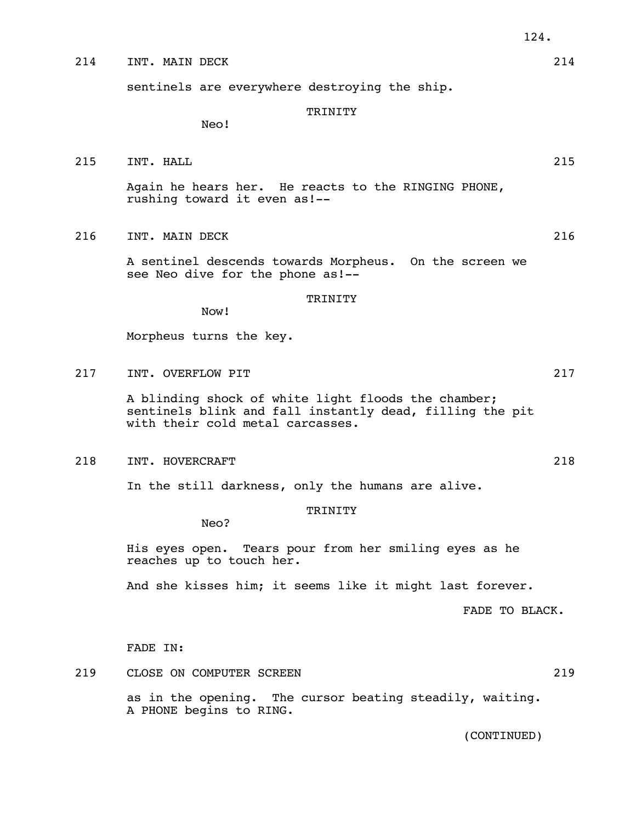214 INT. MAIN DECK 214

sentinels are everywhere destroying the ship.

**TRINITY** 

Neo!

215 INT. HALL 215 215 Again he hears her. He reacts to the RINGING PHONE, rushing toward it even as!-- 216 INT. MAIN DECK 216

> A sentinel descends towards Morpheus. On the screen we see Neo dive for the phone as!--

## **TRINITY**

Now!

Morpheus turns the key.

217 INT. OVERFLOW PIT 217

A blinding shock of white light floods the chamber; sentinels blink and fall instantly dead, filling the pit with their cold metal carcasses.

218 INT. HOVERCRAFT 218

In the still darkness, only the humans are alive.

**TRINITY** 

Neo?

His eyes open. Tears pour from her smiling eyes as he reaches up to touch her.

And she kisses him; it seems like it might last forever.

FADE TO BLACK.

FADE IN:

219 CLOSE ON COMPUTER SCREEN 219

as in the opening. The cursor beating steadily, waiting. A PHONE begins to RING.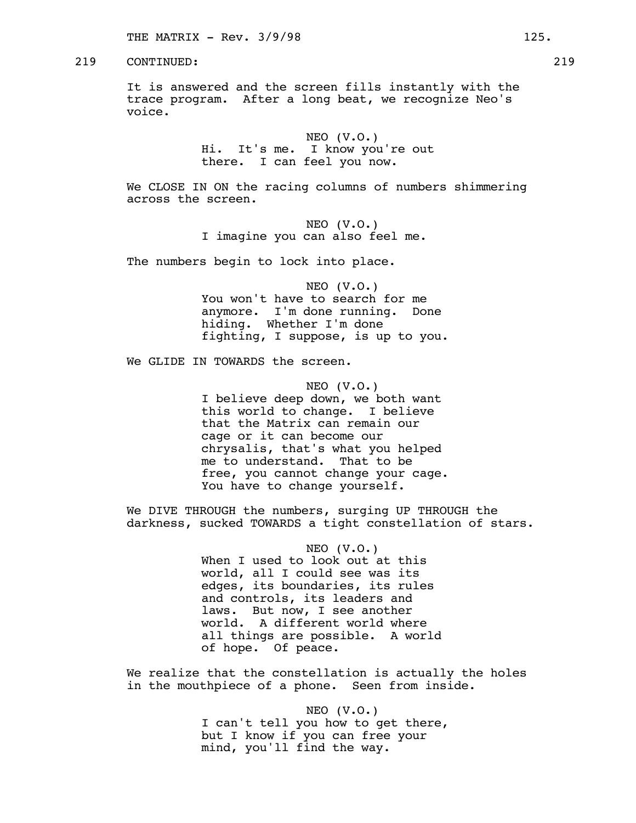It is answered and the screen fills instantly with the trace program. After a long beat, we recognize Neo's voice.

> NEO (V.O.) Hi. It's me. I know you're out there. I can feel you now.

We CLOSE IN ON the racing columns of numbers shimmering across the screen.

> NEO (V.O.) I imagine you can also feel me.

The numbers begin to lock into place.

NEO (V.O.) You won't have to search for me anymore. I'm done running. Done hiding. Whether I'm done fighting, I suppose, is up to you.

We GLIDE IN TOWARDS the screen.

NEO (V.O.) I believe deep down, we both want this world to change. I believe that the Matrix can remain our cage or it can become our chrysalis, that's what you helped me to understand. That to be free, you cannot change your cage. You have to change yourself.

We DIVE THROUGH the numbers, surging UP THROUGH the darkness, sucked TOWARDS a tight constellation of stars.

> NEO (V.O.) When I used to look out at this world, all I could see was its edges, its boundaries, its rules and controls, its leaders and laws. But now, I see another world. A different world where all things are possible. A world of hope. Of peace.

We realize that the constellation is actually the holes in the mouthpiece of a phone. Seen from inside.

> NEO (V.O.) I can't tell you how to get there, but I know if you can free your mind, you'll find the way.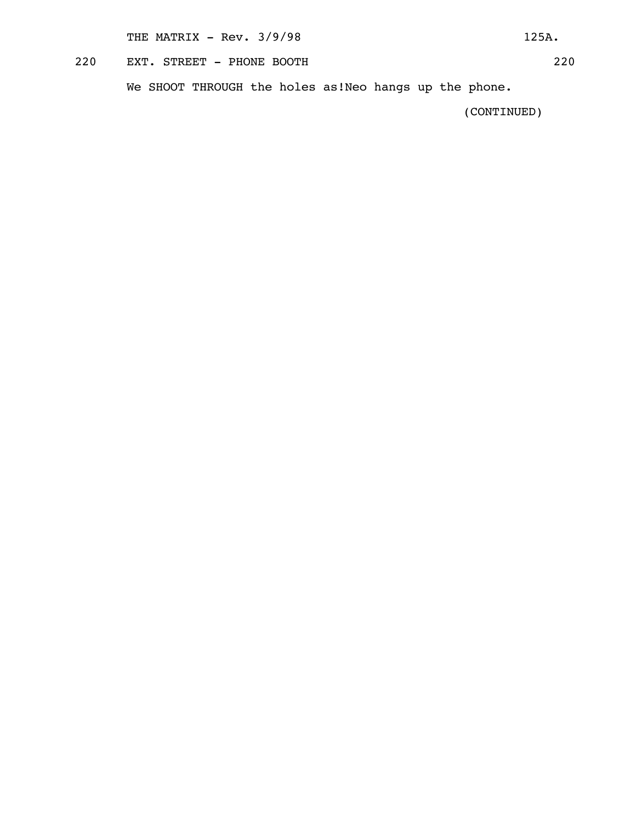THE MATRIX - Rev. 3/9/98 125A.

220 EXT. STREET - PHONE BOOTH 220 We SHOOT THROUGH the holes as! Neo hangs up the phone.